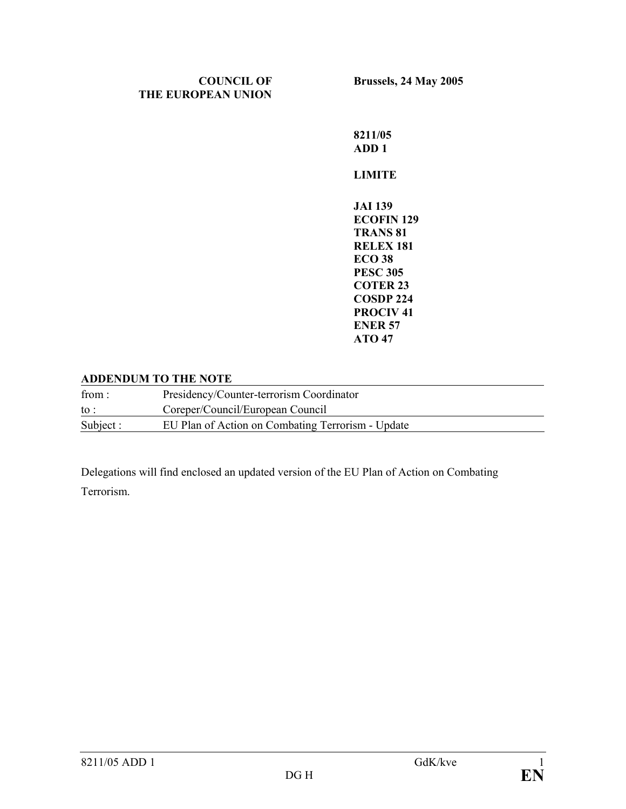## **COUNCIL OF THE EUROPEAN UNION**

**Brussels, 24 May 2005** 

**8211/05 ADD 1 LIMITE JAI 139 ECOFIN 129 TRANS 81 RELEX 181 ECO 38 PESC 305 COTER 23 COSDP 224 PROCIV 41 ENER 57 ATO 47** 

## **ADDENDUM TO THE NOTE**

| from:     | Presidency/Counter-terrorism Coordinator          |
|-----------|---------------------------------------------------|
| to :      | Coreper/Council/European Council                  |
| Subject : | EU Plan of Action on Combating Terrorism - Update |

Delegations will find enclosed an updated version of the EU Plan of Action on Combating Terrorism.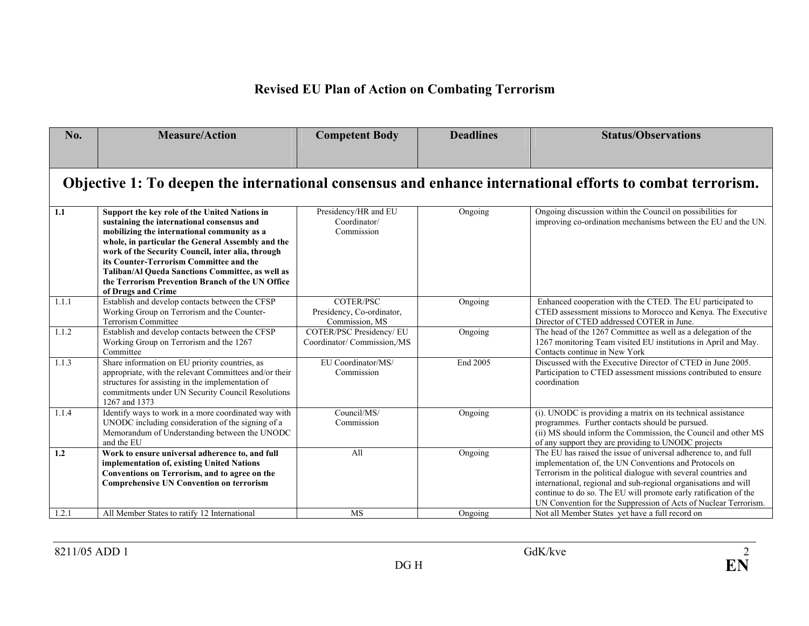## **Revised EU Plan of Action on Combating Terrorism**

| No.   | <b>Measure/Action</b>                                                                                     | <b>Competent Body</b>                       | <b>Deadlines</b> | <b>Status/Observations</b>                                                                                                     |
|-------|-----------------------------------------------------------------------------------------------------------|---------------------------------------------|------------------|--------------------------------------------------------------------------------------------------------------------------------|
|       |                                                                                                           |                                             |                  |                                                                                                                                |
|       |                                                                                                           |                                             |                  |                                                                                                                                |
|       |                                                                                                           |                                             |                  | Objective 1: To deepen the international consensus and enhance international efforts to combat terrorism.                      |
|       |                                                                                                           |                                             |                  |                                                                                                                                |
| 1.1   | Support the key role of the United Nations in                                                             | Presidency/HR and EU<br>Coordinator/        | Ongoing          | Ongoing discussion within the Council on possibilities for<br>improving co-ordination mechanisms between the EU and the UN.    |
|       | sustaining the international consensus and<br>mobilizing the international community as a                 | Commission                                  |                  |                                                                                                                                |
|       | whole, in particular the General Assembly and the                                                         |                                             |                  |                                                                                                                                |
|       | work of the Security Council, inter alia, through                                                         |                                             |                  |                                                                                                                                |
|       | its Counter-Terrorism Committee and the<br>Taliban/Al Queda Sanctions Committee, as well as               |                                             |                  |                                                                                                                                |
|       | the Terrorism Prevention Branch of the UN Office                                                          |                                             |                  |                                                                                                                                |
|       | of Drugs and Crime                                                                                        |                                             |                  |                                                                                                                                |
| 1.1.1 | Establish and develop contacts between the CFSP                                                           | <b>COTER/PSC</b>                            | Ongoing          | Enhanced cooperation with the CTED. The EU participated to                                                                     |
|       | Working Group on Terrorism and the Counter-<br><b>Terrorism Committee</b>                                 | Presidency, Co-ordinator,<br>Commission, MS |                  | CTED assessment missions to Morocco and Kenya. The Executive<br>Director of CTED addressed COTER in June.                      |
| 1.1.2 | Establish and develop contacts between the CFSP                                                           | COTER/PSC Presidency/ EU                    | Ongoing          | The head of the 1267 Committee as well as a delegation of the                                                                  |
|       | Working Group on Terrorism and the 1267                                                                   | Coordinator/ Commission,/MS                 |                  | 1267 monitoring Team visited EU institutions in April and May.                                                                 |
|       | Committee                                                                                                 |                                             |                  | Contacts continue in New York                                                                                                  |
| 1.1.3 | Share information on EU priority countries, as<br>appropriate, with the relevant Committees and/or their  | EU Coordinator/MS/<br>Commission            | End 2005         | Discussed with the Executive Director of CTED in June 2005.<br>Participation to CTED assessment missions contributed to ensure |
|       | structures for assisting in the implementation of                                                         |                                             |                  | coordination                                                                                                                   |
|       | commitments under UN Security Council Resolutions                                                         |                                             |                  |                                                                                                                                |
|       | 1267 and 1373                                                                                             |                                             |                  |                                                                                                                                |
| 1.1.4 | Identify ways to work in a more coordinated way with<br>UNODC including consideration of the signing of a | Council/MS/<br>Commission                   | Ongoing          | (i). UNODC is providing a matrix on its technical assistance<br>programmes. Further contacts should be pursued.                |
|       | Memorandum of Understanding between the UNODC                                                             |                                             |                  | (ii) MS should inform the Commission, the Council and other MS                                                                 |
|       | and the EU                                                                                                |                                             |                  | of any support they are providing to UNODC projects                                                                            |
| 1.2   | Work to ensure universal adherence to, and full                                                           | All                                         | Ongoing          | The EU has raised the issue of universal adherence to, and full                                                                |
|       | implementation of, existing United Nations                                                                |                                             |                  | implementation of, the UN Conventions and Protocols on<br>Terrorism in the political dialogue with several countries and       |
|       | Conventions on Terrorism, and to agree on the<br><b>Comprehensive UN Convention on terrorism</b>          |                                             |                  | international, regional and sub-regional organisations and will                                                                |
|       |                                                                                                           |                                             |                  | continue to do so. The EU will promote early ratification of the                                                               |
|       |                                                                                                           |                                             |                  | UN Convention for the Suppression of Acts of Nuclear Terrorism.                                                                |
| 1.2.1 | All Member States to ratify 12 International                                                              | <b>MS</b>                                   | Ongoing          | Not all Member States yet have a full record on                                                                                |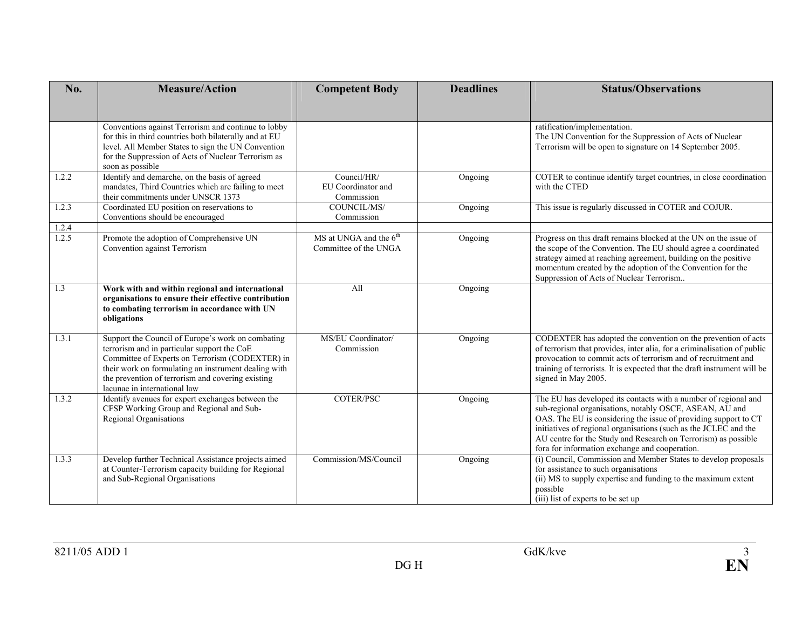| No.            | <b>Measure/Action</b>                                                                                                                                                                                                                                                                            | <b>Competent Body</b>                               | <b>Deadlines</b> | <b>Status/Observations</b>                                                                                                                                                                                                                                                                                                                                                            |
|----------------|--------------------------------------------------------------------------------------------------------------------------------------------------------------------------------------------------------------------------------------------------------------------------------------------------|-----------------------------------------------------|------------------|---------------------------------------------------------------------------------------------------------------------------------------------------------------------------------------------------------------------------------------------------------------------------------------------------------------------------------------------------------------------------------------|
|                |                                                                                                                                                                                                                                                                                                  |                                                     |                  |                                                                                                                                                                                                                                                                                                                                                                                       |
|                | Conventions against Terrorism and continue to lobby<br>for this in third countries both bilaterally and at EU<br>level. All Member States to sign the UN Convention<br>for the Suppression of Acts of Nuclear Terrorism as<br>soon as possible                                                   |                                                     |                  | ratification/implementation.<br>The UN Convention for the Suppression of Acts of Nuclear<br>Terrorism will be open to signature on 14 September 2005.                                                                                                                                                                                                                                 |
| 1.2.2          | Identify and demarche, on the basis of agreed<br>mandates, Third Countries which are failing to meet<br>their commitments under UNSCR 1373                                                                                                                                                       | Council/HR/<br>EU Coordinator and<br>Commission     | Ongoing          | COTER to continue identify target countries, in close coordination<br>with the CTED                                                                                                                                                                                                                                                                                                   |
| 1.2.3          | Coordinated EU position on reservations to<br>Conventions should be encouraged                                                                                                                                                                                                                   | COUNCIL/MS/<br>Commission                           | Ongoing          | This issue is regularly discussed in COTER and COJUR.                                                                                                                                                                                                                                                                                                                                 |
| 1.2.4<br>1.2.5 | Promote the adoption of Comprehensive UN<br>Convention against Terrorism                                                                                                                                                                                                                         | $MS$ at UNGA and the $6th$<br>Committee of the UNGA | Ongoing          | Progress on this draft remains blocked at the UN on the issue of<br>the scope of the Convention. The EU should agree a coordinated<br>strategy aimed at reaching agreement, building on the positive<br>momentum created by the adoption of the Convention for the<br>Suppression of Acts of Nuclear Terrorism                                                                        |
| 1.3            | Work with and within regional and international<br>organisations to ensure their effective contribution<br>to combating terrorism in accordance with UN<br>obligations                                                                                                                           | All                                                 | Ongoing          |                                                                                                                                                                                                                                                                                                                                                                                       |
| 1.3.1          | Support the Council of Europe's work on combating<br>terrorism and in particular support the CoE<br>Committee of Experts on Terrorism (CODEXTER) in<br>their work on formulating an instrument dealing with<br>the prevention of terrorism and covering existing<br>lacunae in international law | MS/EU Coordinator/<br>Commission                    | Ongoing          | CODEXTER has adopted the convention on the prevention of acts<br>of terrorism that provides, inter alia, for a criminalisation of public<br>provocation to commit acts of terrorism and of recruitment and<br>training of terrorists. It is expected that the draft instrument will be<br>signed in May 2005.                                                                         |
| 1.3.2          | Identify avenues for expert exchanges between the<br>CFSP Working Group and Regional and Sub-<br>Regional Organisations                                                                                                                                                                          | <b>COTER/PSC</b>                                    | Ongoing          | The EU has developed its contacts with a number of regional and<br>sub-regional organisations, notably OSCE, ASEAN, AU and<br>OAS. The EU is considering the issue of providing support to CT<br>initiatives of regional organisations (such as the JCLEC and the<br>AU centre for the Study and Research on Terrorism) as possible<br>fora for information exchange and cooperation. |
| 1.3.3          | Develop further Technical Assistance projects aimed<br>at Counter-Terrorism capacity building for Regional<br>and Sub-Regional Organisations                                                                                                                                                     | Commission/MS/Council                               | Ongoing          | (i) Council, Commission and Member States to develop proposals<br>for assistance to such organisations<br>(ii) MS to supply expertise and funding to the maximum extent<br>possible<br>(iii) list of experts to be set up                                                                                                                                                             |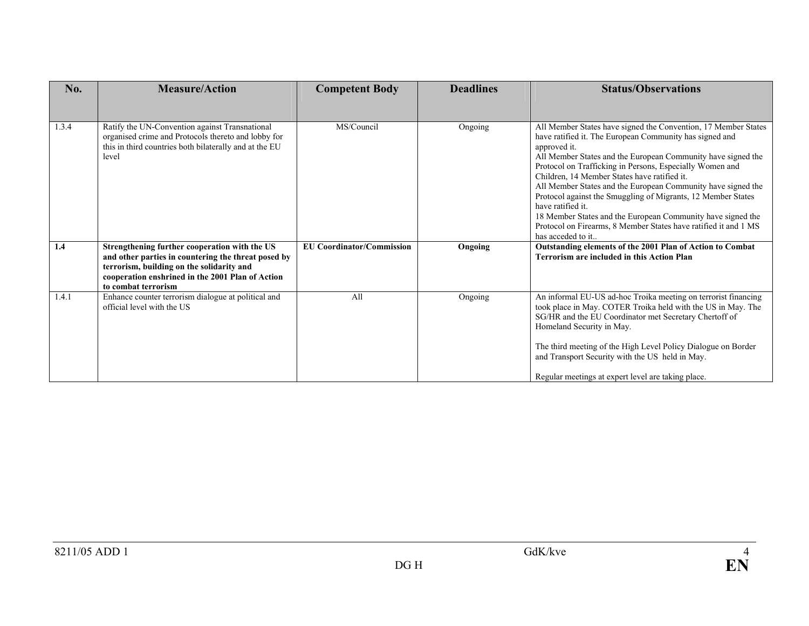| No.   | <b>Measure/Action</b>                                                                                                                                                                                                        | <b>Competent Body</b>            | <b>Deadlines</b> | <b>Status/Observations</b>                                                                                                                                                                                                                                                                                                                                                                                                                                                                                                                                                                                                        |
|-------|------------------------------------------------------------------------------------------------------------------------------------------------------------------------------------------------------------------------------|----------------------------------|------------------|-----------------------------------------------------------------------------------------------------------------------------------------------------------------------------------------------------------------------------------------------------------------------------------------------------------------------------------------------------------------------------------------------------------------------------------------------------------------------------------------------------------------------------------------------------------------------------------------------------------------------------------|
|       |                                                                                                                                                                                                                              |                                  |                  |                                                                                                                                                                                                                                                                                                                                                                                                                                                                                                                                                                                                                                   |
| 1.3.4 | Ratify the UN-Convention against Transnational<br>organised crime and Protocols thereto and lobby for<br>this in third countries both bilaterally and at the EU<br>level                                                     | MS/Council                       | Ongoing          | All Member States have signed the Convention, 17 Member States<br>have ratified it. The European Community has signed and<br>approved it.<br>All Member States and the European Community have signed the<br>Protocol on Trafficking in Persons, Especially Women and<br>Children, 14 Member States have ratified it.<br>All Member States and the European Community have signed the<br>Protocol against the Smuggling of Migrants, 12 Member States<br>have ratified it.<br>18 Member States and the European Community have signed the<br>Protocol on Firearms, 8 Member States have ratified it and 1 MS<br>has acceded to it |
| 1.4   | Strengthening further cooperation with the US<br>and other parties in countering the threat posed by<br>terrorism, building on the solidarity and<br>cooperation enshrined in the 2001 Plan of Action<br>to combat terrorism | <b>EU Coordinator/Commission</b> | Ongoing          | Outstanding elements of the 2001 Plan of Action to Combat<br><b>Terrorism are included in this Action Plan</b>                                                                                                                                                                                                                                                                                                                                                                                                                                                                                                                    |
| 1.4.1 | Enhance counter terrorism dialogue at political and<br>official level with the US                                                                                                                                            | All                              | Ongoing          | An informal EU-US ad-hoc Troika meeting on terrorist financing<br>took place in May. COTER Troika held with the US in May. The<br>SG/HR and the EU Coordinator met Secretary Chertoff of<br>Homeland Security in May.<br>The third meeting of the High Level Policy Dialogue on Border<br>and Transport Security with the US held in May.<br>Regular meetings at expert level are taking place.                                                                                                                                                                                                                                   |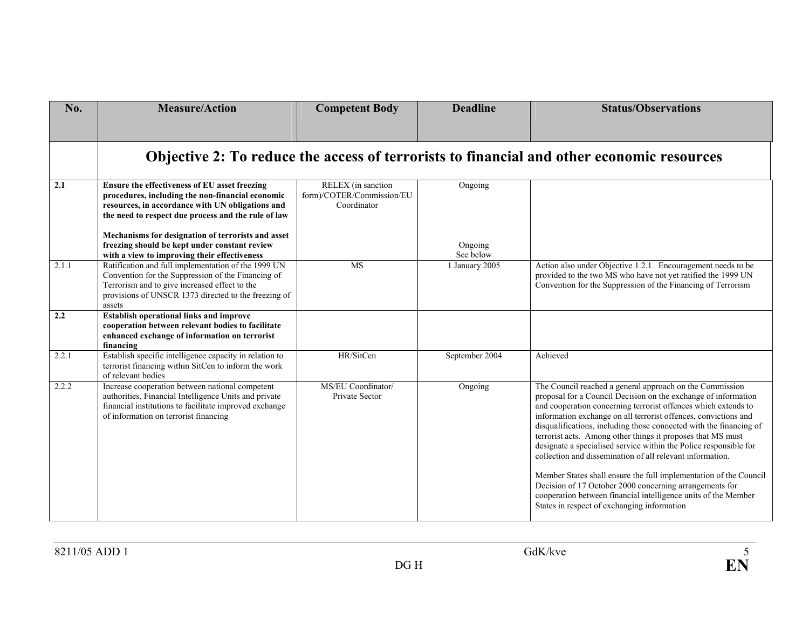| No.   | <b>Measure/Action</b>                                                                                                                                                                                                        | <b>Competent Body</b>                                          | <b>Deadline</b>      | <b>Status/Observations</b>                                                                                                                                                                                                                                                                                                                                                                                                                                                                                                                                                                                                                                                                                                                                                              |
|-------|------------------------------------------------------------------------------------------------------------------------------------------------------------------------------------------------------------------------------|----------------------------------------------------------------|----------------------|-----------------------------------------------------------------------------------------------------------------------------------------------------------------------------------------------------------------------------------------------------------------------------------------------------------------------------------------------------------------------------------------------------------------------------------------------------------------------------------------------------------------------------------------------------------------------------------------------------------------------------------------------------------------------------------------------------------------------------------------------------------------------------------------|
|       |                                                                                                                                                                                                                              |                                                                |                      |                                                                                                                                                                                                                                                                                                                                                                                                                                                                                                                                                                                                                                                                                                                                                                                         |
|       |                                                                                                                                                                                                                              |                                                                |                      | Objective 2: To reduce the access of terrorists to financial and other economic resources                                                                                                                                                                                                                                                                                                                                                                                                                                                                                                                                                                                                                                                                                               |
| 2.1   | Ensure the effectiveness of EU asset freezing<br>procedures, including the non-financial economic<br>resources, in accordance with UN obligations and<br>the need to respect due process and the rule of law                 | RELEX (in sanction<br>form)/COTER/Commission/EU<br>Coordinator | Ongoing              |                                                                                                                                                                                                                                                                                                                                                                                                                                                                                                                                                                                                                                                                                                                                                                                         |
|       | Mechanisms for designation of terrorists and asset<br>freezing should be kept under constant review<br>with a view to improving their effectiveness                                                                          |                                                                | Ongoing<br>See below |                                                                                                                                                                                                                                                                                                                                                                                                                                                                                                                                                                                                                                                                                                                                                                                         |
| 2.1.1 | Ratification and full implementation of the 1999 UN<br>Convention for the Suppression of the Financing of<br>Terrorism and to give increased effect to the<br>provisions of UNSCR 1373 directed to the freezing of<br>assets | <b>MS</b>                                                      | 1 January 2005       | Action also under Objective 1.2.1. Encouragement needs to be<br>provided to the two MS who have not yet ratified the 1999 UN<br>Convention for the Suppression of the Financing of Terrorism                                                                                                                                                                                                                                                                                                                                                                                                                                                                                                                                                                                            |
| 2.2   | <b>Establish operational links and improve</b><br>cooperation between relevant bodies to facilitate<br>enhanced exchange of information on terrorist<br>financing                                                            |                                                                |                      |                                                                                                                                                                                                                                                                                                                                                                                                                                                                                                                                                                                                                                                                                                                                                                                         |
| 2.2.1 | Establish specific intelligence capacity in relation to<br>terrorist financing within SitCen to inform the work<br>of relevant bodies                                                                                        | HR/SitCen                                                      | September 2004       | Achieved                                                                                                                                                                                                                                                                                                                                                                                                                                                                                                                                                                                                                                                                                                                                                                                |
| 2.2.2 | Increase cooperation between national competent<br>authorities, Financial Intelligence Units and private<br>financial institutions to facilitate improved exchange<br>of information on terrorist financing                  | MS/EU Coordinator/<br>Private Sector                           | Ongoing              | The Council reached a general approach on the Commission<br>proposal for a Council Decision on the exchange of information<br>and cooperation concerning terrorist offences which extends to<br>information exchange on all terrorist offences, convictions and<br>disqualifications, including those connected with the financing of<br>terrorist acts. Among other things it proposes that MS must<br>designate a specialised service within the Police responsible for<br>collection and dissemination of all relevant information.<br>Member States shall ensure the full implementation of the Council<br>Decision of 17 October 2000 concerning arrangements for<br>cooperation between financial intelligence units of the Member<br>States in respect of exchanging information |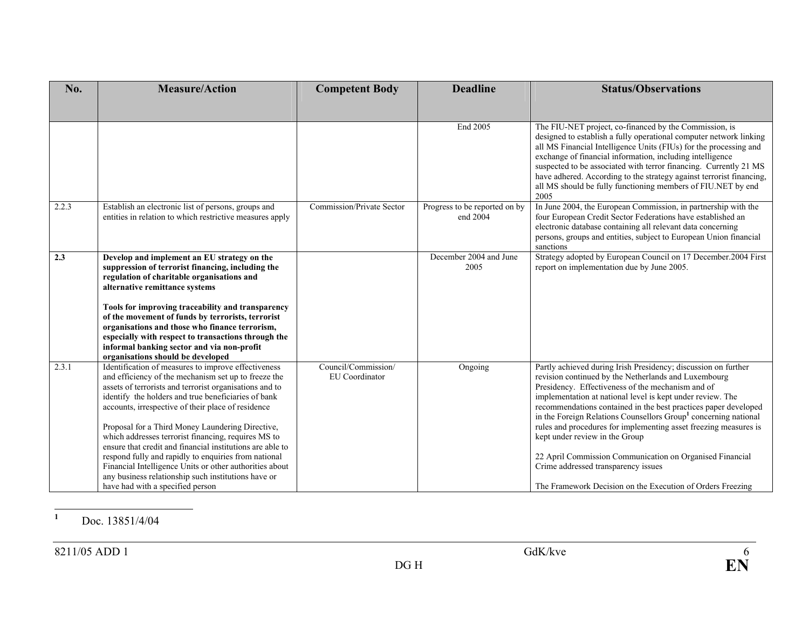| No.   | <b>Measure/Action</b>                                                                                                                                                                                                                                                                                                                                                                                                                                                                                                                                                                                                                                                     | <b>Competent Body</b>                 | <b>Deadline</b>                           | <b>Status/Observations</b>                                                                                                                                                                                                                                                                                                                                                                                                                                                                                                                                                                                                                                         |
|-------|---------------------------------------------------------------------------------------------------------------------------------------------------------------------------------------------------------------------------------------------------------------------------------------------------------------------------------------------------------------------------------------------------------------------------------------------------------------------------------------------------------------------------------------------------------------------------------------------------------------------------------------------------------------------------|---------------------------------------|-------------------------------------------|--------------------------------------------------------------------------------------------------------------------------------------------------------------------------------------------------------------------------------------------------------------------------------------------------------------------------------------------------------------------------------------------------------------------------------------------------------------------------------------------------------------------------------------------------------------------------------------------------------------------------------------------------------------------|
|       |                                                                                                                                                                                                                                                                                                                                                                                                                                                                                                                                                                                                                                                                           |                                       |                                           |                                                                                                                                                                                                                                                                                                                                                                                                                                                                                                                                                                                                                                                                    |
|       |                                                                                                                                                                                                                                                                                                                                                                                                                                                                                                                                                                                                                                                                           |                                       |                                           |                                                                                                                                                                                                                                                                                                                                                                                                                                                                                                                                                                                                                                                                    |
|       |                                                                                                                                                                                                                                                                                                                                                                                                                                                                                                                                                                                                                                                                           |                                       | End 2005                                  | The FIU-NET project, co-financed by the Commission, is<br>designed to establish a fully operational computer network linking<br>all MS Financial Intelligence Units (FIUs) for the processing and<br>exchange of financial information, including intelligence<br>suspected to be associated with terror financing. Currently 21 MS<br>have adhered. According to the strategy against terrorist financing,<br>all MS should be fully functioning members of FIU.NET by end<br>2005                                                                                                                                                                                |
| 2.2.3 | Establish an electronic list of persons, groups and<br>entities in relation to which restrictive measures apply                                                                                                                                                                                                                                                                                                                                                                                                                                                                                                                                                           | Commission/Private Sector             | Progress to be reported on by<br>end 2004 | In June 2004, the European Commission, in partnership with the<br>four European Credit Sector Federations have established an<br>electronic database containing all relevant data concerning<br>persons, groups and entities, subject to European Union financial<br>sanctions                                                                                                                                                                                                                                                                                                                                                                                     |
| 2.3   | Develop and implement an EU strategy on the<br>suppression of terrorist financing, including the<br>regulation of charitable organisations and<br>alternative remittance systems<br>Tools for improving traceability and transparency<br>of the movement of funds by terrorists, terrorist<br>organisations and those who finance terrorism,<br>especially with respect to transactions through the<br>informal banking sector and via non-profit<br>organisations should be developed                                                                                                                                                                                    |                                       | December 2004 and June<br>2005            | Strategy adopted by European Council on 17 December.2004 First<br>report on implementation due by June 2005.                                                                                                                                                                                                                                                                                                                                                                                                                                                                                                                                                       |
| 2.3.1 | Identification of measures to improve effectiveness<br>and efficiency of the mechanism set up to freeze the<br>assets of terrorists and terrorist organisations and to<br>identify the holders and true beneficiaries of bank<br>accounts, irrespective of their place of residence<br>Proposal for a Third Money Laundering Directive,<br>which addresses terrorist financing, requires MS to<br>ensure that credit and financial institutions are able to<br>respond fully and rapidly to enquiries from national<br>Financial Intelligence Units or other authorities about<br>any business relationship such institutions have or<br>have had with a specified person | Council/Commission/<br>EU Coordinator | Ongoing                                   | Partly achieved during Irish Presidency; discussion on further<br>revision continued by the Netherlands and Luxembourg<br>Presidency. Effectiveness of the mechanism and of<br>implementation at national level is kept under review. The<br>recommendations contained in the best practices paper developed<br>in the Foreign Relations Counsellors Group <sup>1</sup> concerning national<br>rules and procedures for implementing asset freezing measures is<br>kept under review in the Group<br>22 April Commission Communication on Organised Financial<br>Crime addressed transparency issues<br>The Framework Decision on the Execution of Orders Freezing |

**<sup>1</sup>** Doc. 13851/4/04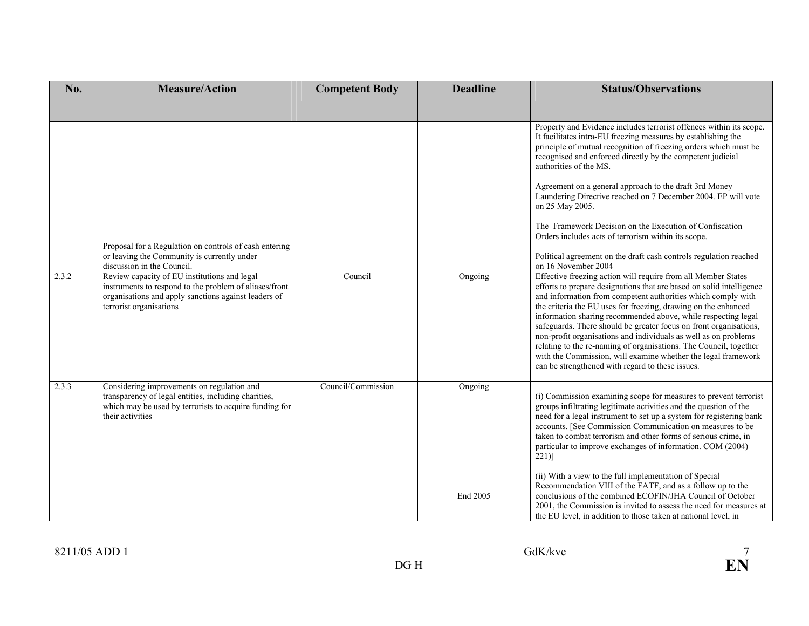| No.   | <b>Measure/Action</b>                                                                                                                                                                     | <b>Competent Body</b> | <b>Deadline</b>       | <b>Status/Observations</b>                                                                                                                                                                                                                                                                                                                                                                                                                                                                                                                                                                                                                                                 |
|-------|-------------------------------------------------------------------------------------------------------------------------------------------------------------------------------------------|-----------------------|-----------------------|----------------------------------------------------------------------------------------------------------------------------------------------------------------------------------------------------------------------------------------------------------------------------------------------------------------------------------------------------------------------------------------------------------------------------------------------------------------------------------------------------------------------------------------------------------------------------------------------------------------------------------------------------------------------------|
|       |                                                                                                                                                                                           |                       |                       |                                                                                                                                                                                                                                                                                                                                                                                                                                                                                                                                                                                                                                                                            |
|       |                                                                                                                                                                                           |                       |                       | Property and Evidence includes terrorist offences within its scope.<br>It facilitates intra-EU freezing measures by establishing the<br>principle of mutual recognition of freezing orders which must be<br>recognised and enforced directly by the competent judicial<br>authorities of the MS.                                                                                                                                                                                                                                                                                                                                                                           |
|       |                                                                                                                                                                                           |                       |                       | Agreement on a general approach to the draft 3rd Money<br>Laundering Directive reached on 7 December 2004. EP will vote<br>on 25 May 2005.                                                                                                                                                                                                                                                                                                                                                                                                                                                                                                                                 |
|       | Proposal for a Regulation on controls of cash entering                                                                                                                                    |                       |                       | The Framework Decision on the Execution of Confiscation<br>Orders includes acts of terrorism within its scope.                                                                                                                                                                                                                                                                                                                                                                                                                                                                                                                                                             |
|       | or leaving the Community is currently under<br>discussion in the Council.                                                                                                                 |                       |                       | Political agreement on the draft cash controls regulation reached<br>on 16 November 2004                                                                                                                                                                                                                                                                                                                                                                                                                                                                                                                                                                                   |
| 2.3.2 | Review capacity of EU institutions and legal<br>instruments to respond to the problem of aliases/front<br>organisations and apply sanctions against leaders of<br>terrorist organisations | Council               | Ongoing               | Effective freezing action will require from all Member States<br>efforts to prepare designations that are based on solid intelligence<br>and information from competent authorities which comply with<br>the criteria the EU uses for freezing, drawing on the enhanced<br>information sharing recommended above, while respecting legal<br>safeguards. There should be greater focus on front organisations,<br>non-profit organisations and individuals as well as on problems<br>relating to the re-naming of organisations. The Council, together<br>with the Commission, will examine whether the legal framework<br>can be strengthened with regard to these issues. |
| 2.3.3 | Considering improvements on regulation and<br>transparency of legal entities, including charities,<br>which may be used by terrorists to acquire funding for<br>their activities          | Council/Commission    | $\overline{O}$ ngoing | (i) Commission examining scope for measures to prevent terrorist<br>groups infiltrating legitimate activities and the question of the<br>need for a legal instrument to set up a system for registering bank<br>accounts. [See Commission Communication on measures to be<br>taken to combat terrorism and other forms of serious crime, in<br>particular to improve exchanges of information. COM (2004)<br>$221$ ]                                                                                                                                                                                                                                                       |
|       |                                                                                                                                                                                           |                       | End 2005              | (ii) With a view to the full implementation of Special<br>Recommendation VIII of the FATF, and as a follow up to the<br>conclusions of the combined ECOFIN/JHA Council of October<br>2001, the Commission is invited to assess the need for measures at<br>the EU level, in addition to those taken at national level, in                                                                                                                                                                                                                                                                                                                                                  |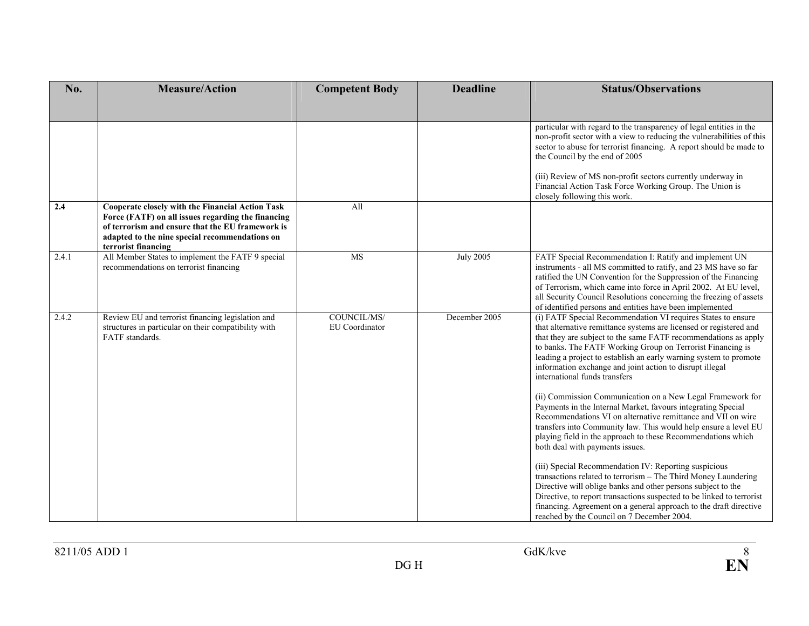| No.   | <b>Measure/Action</b>                                                                                                                                                                                                               | <b>Competent Body</b>         | <b>Deadline</b>  | <b>Status/Observations</b>                                                                                                                                                                                                                                                                                                                                                                                                                                                                                                                                                                                                                                                                                                                                                                                                                                                                                                                                                                                                                                                                                                                                                                       |
|-------|-------------------------------------------------------------------------------------------------------------------------------------------------------------------------------------------------------------------------------------|-------------------------------|------------------|--------------------------------------------------------------------------------------------------------------------------------------------------------------------------------------------------------------------------------------------------------------------------------------------------------------------------------------------------------------------------------------------------------------------------------------------------------------------------------------------------------------------------------------------------------------------------------------------------------------------------------------------------------------------------------------------------------------------------------------------------------------------------------------------------------------------------------------------------------------------------------------------------------------------------------------------------------------------------------------------------------------------------------------------------------------------------------------------------------------------------------------------------------------------------------------------------|
|       |                                                                                                                                                                                                                                     |                               |                  |                                                                                                                                                                                                                                                                                                                                                                                                                                                                                                                                                                                                                                                                                                                                                                                                                                                                                                                                                                                                                                                                                                                                                                                                  |
|       |                                                                                                                                                                                                                                     |                               |                  | particular with regard to the transparency of legal entities in the<br>non-profit sector with a view to reducing the vulnerabilities of this<br>sector to abuse for terrorist financing. A report should be made to<br>the Council by the end of 2005<br>(iii) Review of MS non-profit sectors currently underway in<br>Financial Action Task Force Working Group. The Union is<br>closely following this work.                                                                                                                                                                                                                                                                                                                                                                                                                                                                                                                                                                                                                                                                                                                                                                                  |
| 2.4   | Cooperate closely with the Financial Action Task<br>Force (FATF) on all issues regarding the financing<br>of terrorism and ensure that the EU framework is<br>adapted to the nine special recommendations on<br>terrorist financing | All                           |                  |                                                                                                                                                                                                                                                                                                                                                                                                                                                                                                                                                                                                                                                                                                                                                                                                                                                                                                                                                                                                                                                                                                                                                                                                  |
| 2.4.1 | All Member States to implement the FATF 9 special<br>recommendations on terrorist financing                                                                                                                                         | <b>MS</b>                     | <b>July 2005</b> | FATF Special Recommendation I: Ratify and implement UN<br>instruments - all MS committed to ratify, and 23 MS have so far<br>ratified the UN Convention for the Suppression of the Financing<br>of Terrorism, which came into force in April 2002. At EU level,<br>all Security Council Resolutions concerning the freezing of assets<br>of identified persons and entities have been implemented                                                                                                                                                                                                                                                                                                                                                                                                                                                                                                                                                                                                                                                                                                                                                                                                |
| 2.4.2 | Review EU and terrorist financing legislation and<br>structures in particular on their compatibility with<br>FATF standards.                                                                                                        | COUNCIL/MS/<br>EU Coordinator | December 2005    | (i) FATF Special Recommendation VI requires States to ensure<br>that alternative remittance systems are licensed or registered and<br>that they are subject to the same FATF recommendations as apply<br>to banks. The FATF Working Group on Terrorist Financing is<br>leading a project to establish an early warning system to promote<br>information exchange and joint action to disrupt illegal<br>international funds transfers<br>(ii) Commission Communication on a New Legal Framework for<br>Payments in the Internal Market, favours integrating Special<br>Recommendations VI on alternative remittance and VII on wire<br>transfers into Community law. This would help ensure a level EU<br>playing field in the approach to these Recommendations which<br>both deal with payments issues.<br>(iii) Special Recommendation IV: Reporting suspicious<br>transactions related to terrorism - The Third Money Laundering<br>Directive will oblige banks and other persons subject to the<br>Directive, to report transactions suspected to be linked to terrorist<br>financing. Agreement on a general approach to the draft directive<br>reached by the Council on 7 December 2004. |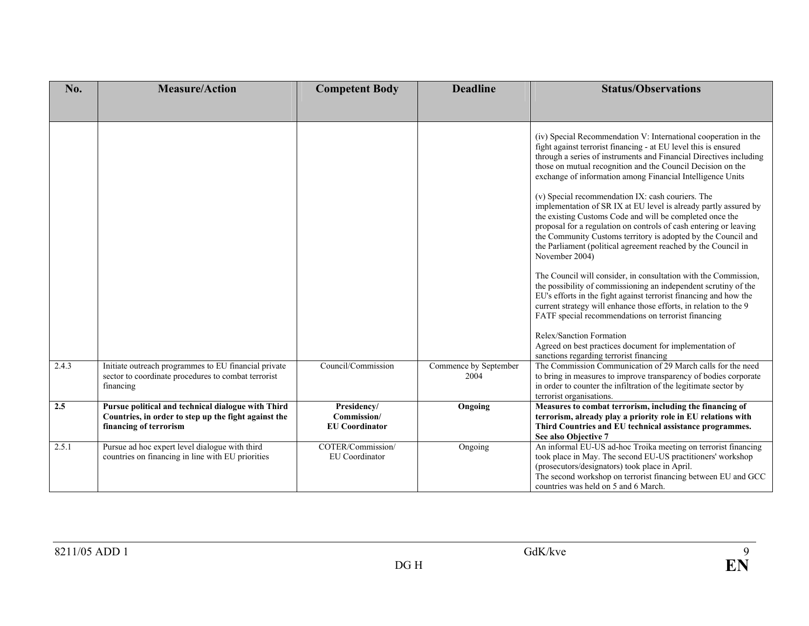| No.   | <b>Measure/Action</b>                                                                                                                | <b>Competent Body</b>                               | <b>Deadline</b>               | <b>Status/Observations</b>                                                                                                                                                                                                                                                                                                                                                                                                                                                                                                                                                                                                                                                                                                        |
|-------|--------------------------------------------------------------------------------------------------------------------------------------|-----------------------------------------------------|-------------------------------|-----------------------------------------------------------------------------------------------------------------------------------------------------------------------------------------------------------------------------------------------------------------------------------------------------------------------------------------------------------------------------------------------------------------------------------------------------------------------------------------------------------------------------------------------------------------------------------------------------------------------------------------------------------------------------------------------------------------------------------|
|       |                                                                                                                                      |                                                     |                               |                                                                                                                                                                                                                                                                                                                                                                                                                                                                                                                                                                                                                                                                                                                                   |
|       |                                                                                                                                      |                                                     |                               |                                                                                                                                                                                                                                                                                                                                                                                                                                                                                                                                                                                                                                                                                                                                   |
|       |                                                                                                                                      |                                                     |                               | (iv) Special Recommendation V: International cooperation in the<br>fight against terrorist financing - at EU level this is ensured<br>through a series of instruments and Financial Directives including<br>those on mutual recognition and the Council Decision on the<br>exchange of information among Financial Intelligence Units<br>(v) Special recommendation IX: cash couriers. The<br>implementation of SR IX at EU level is already partly assured by<br>the existing Customs Code and will be completed once the<br>proposal for a regulation on controls of cash entering or leaving<br>the Community Customs territory is adopted by the Council and<br>the Parliament (political agreement reached by the Council in |
|       |                                                                                                                                      |                                                     |                               | November 2004)                                                                                                                                                                                                                                                                                                                                                                                                                                                                                                                                                                                                                                                                                                                    |
|       |                                                                                                                                      |                                                     |                               | The Council will consider, in consultation with the Commission,<br>the possibility of commissioning an independent scrutiny of the<br>EU's efforts in the fight against terrorist financing and how the<br>current strategy will enhance those efforts, in relation to the 9<br>FATF special recommendations on terrorist financing                                                                                                                                                                                                                                                                                                                                                                                               |
|       |                                                                                                                                      |                                                     |                               | Relex/Sanction Formation<br>Agreed on best practices document for implementation of                                                                                                                                                                                                                                                                                                                                                                                                                                                                                                                                                                                                                                               |
| 2.4.3 | Initiate outreach programmes to EU financial private<br>sector to coordinate procedures to combat terrorist<br>financing             | Council/Commission                                  | Commence by September<br>2004 | sanctions regarding terrorist financing<br>The Commission Communication of 29 March calls for the need<br>to bring in measures to improve transparency of bodies corporate<br>in order to counter the infiltration of the legitimate sector by<br>terrorist organisations.                                                                                                                                                                                                                                                                                                                                                                                                                                                        |
| 2.5   | Pursue political and technical dialogue with Third<br>Countries, in order to step up the fight against the<br>financing of terrorism | Presidency/<br>Commission/<br><b>EU</b> Coordinator | Ongoing                       | Measures to combat terrorism, including the financing of<br>terrorism, already play a priority role in EU relations with<br>Third Countries and EU technical assistance programmes.<br>See also Objective 7                                                                                                                                                                                                                                                                                                                                                                                                                                                                                                                       |
| 2.5.1 | Pursue ad hoc expert level dialogue with third<br>countries on financing in line with EU priorities                                  | COTER/Commission/<br><b>EU</b> Coordinator          | Ongoing                       | An informal EU-US ad-hoc Troika meeting on terrorist financing<br>took place in May. The second EU-US practitioners' workshop<br>(prosecutors/designators) took place in April.<br>The second workshop on terrorist financing between EU and GCC<br>countries was held on 5 and 6 March.                                                                                                                                                                                                                                                                                                                                                                                                                                          |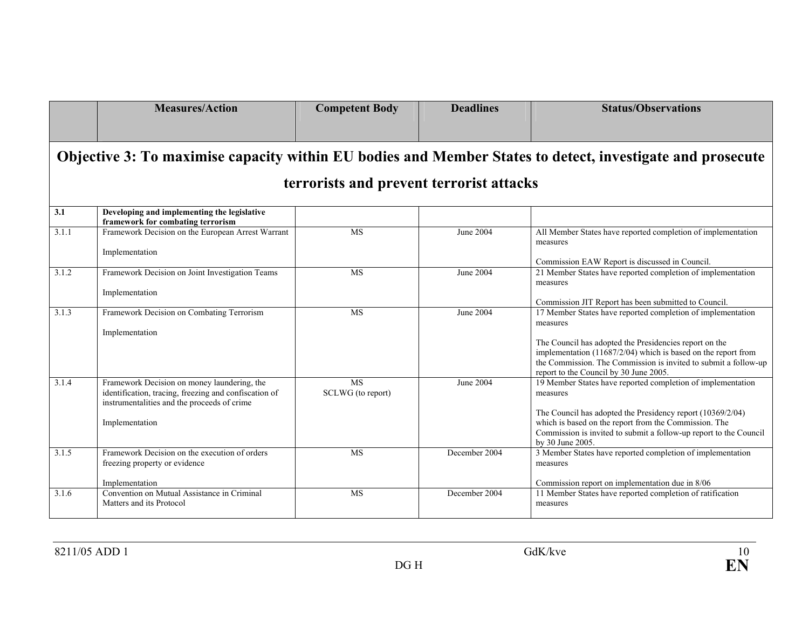|       | <b>Measures/Action</b>                                                                                                                                                | <b>Competent Body</b>          | <b>Deadlines</b> | <b>Status/Observations</b>                                                                                                                                                                                                                                                                                        |  |
|-------|-----------------------------------------------------------------------------------------------------------------------------------------------------------------------|--------------------------------|------------------|-------------------------------------------------------------------------------------------------------------------------------------------------------------------------------------------------------------------------------------------------------------------------------------------------------------------|--|
|       |                                                                                                                                                                       |                                |                  |                                                                                                                                                                                                                                                                                                                   |  |
|       |                                                                                                                                                                       |                                |                  | Objective 3: To maximise capacity within EU bodies and Member States to detect, investigate and prosecute                                                                                                                                                                                                         |  |
|       | terrorists and prevent terrorist attacks                                                                                                                              |                                |                  |                                                                                                                                                                                                                                                                                                                   |  |
| 3.1   | Developing and implementing the legislative<br>framework for combating terrorism                                                                                      |                                |                  |                                                                                                                                                                                                                                                                                                                   |  |
| 3.1.1 | Framework Decision on the European Arrest Warrant<br>Implementation                                                                                                   | <b>MS</b>                      | June 2004        | All Member States have reported completion of implementation<br>measures<br>Commission EAW Report is discussed in Council.                                                                                                                                                                                        |  |
| 3.1.2 | Framework Decision on Joint Investigation Teams<br>Implementation                                                                                                     | <b>MS</b>                      | June 2004        | 21 Member States have reported completion of implementation<br>measures<br>Commission JIT Report has been submitted to Council.                                                                                                                                                                                   |  |
| 3.1.3 | Framework Decision on Combating Terrorism<br>Implementation                                                                                                           | <b>MS</b>                      | June 2004        | 17 Member States have reported completion of implementation<br>measures<br>The Council has adopted the Presidencies report on the<br>implementation $(11687/2/04)$ which is based on the report from<br>the Commission. The Commission is invited to submit a follow-up<br>report to the Council by 30 June 2005. |  |
| 3.1.4 | Framework Decision on money laundering, the<br>identification, tracing, freezing and confiscation of<br>instrumentalities and the proceeds of crime<br>Implementation | <b>MS</b><br>SCLWG (to report) | June 2004        | 19 Member States have reported completion of implementation<br>measures<br>The Council has adopted the Presidency report (10369/2/04)<br>which is based on the report from the Commission. The<br>Commission is invited to submit a follow-up report to the Council<br>by 30 June 2005.                           |  |
| 3.1.5 | Framework Decision on the execution of orders<br>freezing property or evidence<br>Implementation                                                                      | <b>MS</b>                      | December 2004    | 3 Member States have reported completion of implementation<br>measures<br>Commission report on implementation due in 8/06                                                                                                                                                                                         |  |
| 3.1.6 | Convention on Mutual Assistance in Criminal<br>Matters and its Protocol                                                                                               | <b>MS</b>                      | December 2004    | 11 Member States have reported completion of ratification<br>measures                                                                                                                                                                                                                                             |  |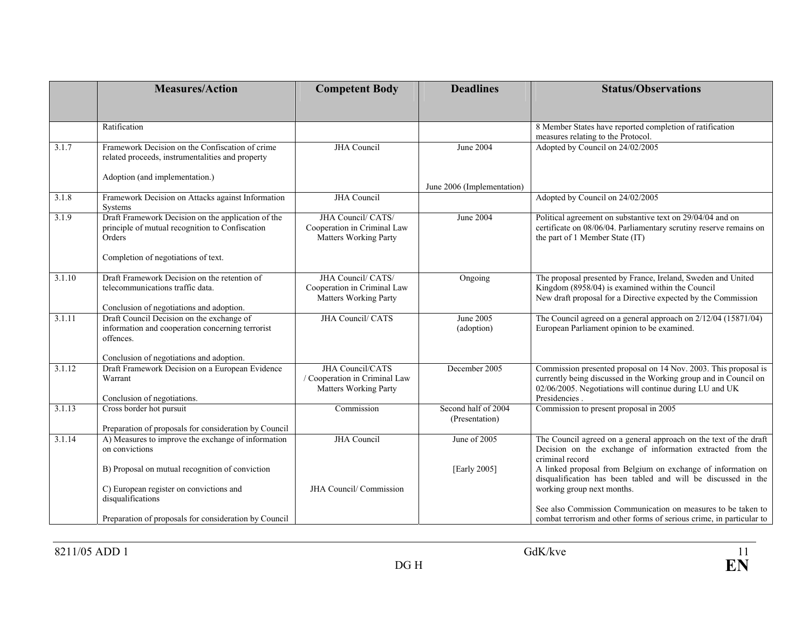|        | <b>Measures/Action</b>                                                                                                                                 | <b>Competent Body</b>                                                      | <b>Deadlines</b>                      | <b>Status/Observations</b>                                                                                                                                                                                      |
|--------|--------------------------------------------------------------------------------------------------------------------------------------------------------|----------------------------------------------------------------------------|---------------------------------------|-----------------------------------------------------------------------------------------------------------------------------------------------------------------------------------------------------------------|
|        |                                                                                                                                                        |                                                                            |                                       |                                                                                                                                                                                                                 |
|        | Ratification                                                                                                                                           |                                                                            |                                       | 8 Member States have reported completion of ratification                                                                                                                                                        |
|        |                                                                                                                                                        |                                                                            |                                       | measures relating to the Protocol.                                                                                                                                                                              |
| 3.1.7  | Framework Decision on the Confiscation of crime<br>related proceeds, instrumentalities and property                                                    | <b>JHA</b> Council                                                         | June 2004                             | Adopted by Council on 24/02/2005                                                                                                                                                                                |
|        | Adoption (and implementation.)                                                                                                                         |                                                                            | June 2006 (Implementation)            |                                                                                                                                                                                                                 |
| 3.1.8  | Framework Decision on Attacks against Information<br>Systems                                                                                           | <b>JHA</b> Council                                                         |                                       | Adopted by Council on 24/02/2005                                                                                                                                                                                |
| 3.1.9  | Draft Framework Decision on the application of the<br>principle of mutual recognition to Confiscation<br>Orders<br>Completion of negotiations of text. | JHA Council/ CATS/<br>Cooperation in Criminal Law<br>Matters Working Party | <b>June 2004</b>                      | Political agreement on substantive text on 29/04/04 and on<br>certificate on 08/06/04. Parliamentary scrutiny reserve remains on<br>the part of 1 Member State (IT)                                             |
|        |                                                                                                                                                        |                                                                            |                                       |                                                                                                                                                                                                                 |
| 3.1.10 | Draft Framework Decision on the retention of<br>telecommunications traffic data.                                                                       | JHA Council/ CATS/<br>Cooperation in Criminal Law<br>Matters Working Party | Ongoing                               | The proposal presented by France, Ireland, Sweden and United<br>Kingdom (8958/04) is examined within the Council<br>New draft proposal for a Directive expected by the Commission                               |
|        | Conclusion of negotiations and adoption.                                                                                                               |                                                                            |                                       |                                                                                                                                                                                                                 |
| 3.1.11 | Draft Council Decision on the exchange of<br>information and cooperation concerning terrorist<br>offences.                                             | <b>JHA Council/ CATS</b>                                                   | June 2005<br>(adoption)               | The Council agreed on a general approach on 2/12/04 (15871/04)<br>European Parliament opinion to be examined.                                                                                                   |
|        | Conclusion of negotiations and adoption.                                                                                                               |                                                                            |                                       |                                                                                                                                                                                                                 |
| 3.1.12 | Draft Framework Decision on a European Evidence<br>Warrant<br>Conclusion of negotiations.                                                              | JHA Council/CATS<br>/ Cooperation in Criminal Law<br>Matters Working Party | December 2005                         | Commission presented proposal on 14 Nov. 2003. This proposal is<br>currently being discussed in the Working group and in Council on<br>02/06/2005. Negotiations will continue during LU and UK<br>Presidencies. |
| 3.1.13 | Cross border hot pursuit                                                                                                                               | Commission                                                                 | Second half of 2004<br>(Presentation) | Commission to present proposal in 2005                                                                                                                                                                          |
| 3.1.14 | Preparation of proposals for consideration by Council<br>A) Measures to improve the exchange of information                                            | <b>JHA</b> Council                                                         | June of 2005                          | The Council agreed on a general approach on the text of the draft                                                                                                                                               |
|        | on convictions                                                                                                                                         |                                                                            |                                       | Decision on the exchange of information extracted from the<br>criminal record                                                                                                                                   |
|        | B) Proposal on mutual recognition of conviction<br>C) European register on convictions and                                                             | <b>JHA Council/Commission</b>                                              | [Early 2005]                          | A linked proposal from Belgium on exchange of information on<br>disqualification has been tabled and will be discussed in the<br>working group next months.                                                     |
|        | disqualifications                                                                                                                                      |                                                                            |                                       | See also Commission Communication on measures to be taken to                                                                                                                                                    |
|        | Preparation of proposals for consideration by Council                                                                                                  |                                                                            |                                       | combat terrorism and other forms of serious crime, in particular to                                                                                                                                             |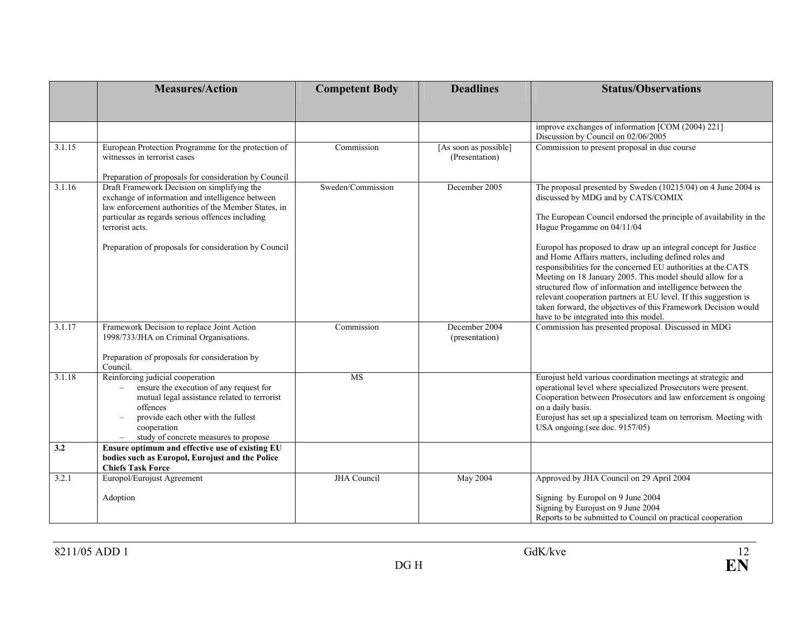|        | <b>Measures/Action</b>                                                                                                                                                                                                                                                                  | <b>Competent Body</b> | <b>Deadlines</b>                        | <b>Status/Observations</b>                                                                                                                                                                                                                                                                                                                                                                                                                                                                                                                                                                                                                                                                                       |
|--------|-----------------------------------------------------------------------------------------------------------------------------------------------------------------------------------------------------------------------------------------------------------------------------------------|-----------------------|-----------------------------------------|------------------------------------------------------------------------------------------------------------------------------------------------------------------------------------------------------------------------------------------------------------------------------------------------------------------------------------------------------------------------------------------------------------------------------------------------------------------------------------------------------------------------------------------------------------------------------------------------------------------------------------------------------------------------------------------------------------------|
|        |                                                                                                                                                                                                                                                                                         |                       |                                         |                                                                                                                                                                                                                                                                                                                                                                                                                                                                                                                                                                                                                                                                                                                  |
|        |                                                                                                                                                                                                                                                                                         |                       |                                         | improve exchanges of information [COM (2004) 221]<br>Discussion by Council on 02/06/2005                                                                                                                                                                                                                                                                                                                                                                                                                                                                                                                                                                                                                         |
| 3.1.15 | European Protection Programme for the protection of<br>witnesses in terrorist cases<br>Preparation of proposals for consideration by Council                                                                                                                                            | Commission            | [As soon as possible]<br>(Presentation) | Commission to present proposal in due course                                                                                                                                                                                                                                                                                                                                                                                                                                                                                                                                                                                                                                                                     |
| 3.1.16 | Draft Framework Decision on simplifying the<br>exchange of information and intelligence between<br>law enforcement authorities of the Member States, in<br>particular as regards serious offences including<br>terrorist acts.<br>Preparation of proposals for consideration by Council | Sweden/Commission     | December 2005                           | The proposal presented by Sweden (10215/04) on 4 June 2004 is<br>discussed by MDG and by CATS/COMIX<br>The European Council endorsed the principle of availability in the<br>Hague Progamme on 04/11/04<br>Europol has proposed to draw up an integral concept for Justice<br>and Home Affairs matters, including defined roles and<br>responsibilities for the concerned EU authorities at the CATS<br>Meeting on 18 January 2005. This model should allow for a<br>structured flow of information and intelligence between the<br>relevant cooperation partners at EU level. If this suggestion is<br>taken forward, the objectives of this Framework Decision would<br>have to be integrated into this model. |
| 3.1.17 | Framework Decision to replace Joint Action<br>1998/733/JHA on Criminal Organisations.<br>Preparation of proposals for consideration by<br>Council.                                                                                                                                      | Commission            | December 2004<br>(presentation)         | Commission has presented proposal. Discussed in MDG                                                                                                                                                                                                                                                                                                                                                                                                                                                                                                                                                                                                                                                              |
| 3.1.18 | Reinforcing judicial cooperation<br>ensure the execution of any request for<br>mutual legal assistance related to terrorist<br>offences<br>provide each other with the fullest<br>cooperation<br>study of concrete measures to propose                                                  | <b>MS</b>             |                                         | Eurojust held various coordination meetings at strategic and<br>operational level where specialized Prosecutors were present.<br>Cooperation between Prosecutors and law enforcement is ongoing<br>on a daily basis.<br>Eurojust has set up a specialized team on terrorism. Meeting with<br>USA ongoing (see doc. 9157/05)                                                                                                                                                                                                                                                                                                                                                                                      |
| 3.2    | Ensure optimum and effective use of existing EU<br>bodies such as Europol, Eurojust and the Police<br><b>Chiefs Task Force</b>                                                                                                                                                          |                       |                                         |                                                                                                                                                                                                                                                                                                                                                                                                                                                                                                                                                                                                                                                                                                                  |
| 3.2.1  | Europol/Eurojust Agreement<br>Adoption                                                                                                                                                                                                                                                  | <b>JHA</b> Council    | May 2004                                | Approved by JHA Council on 29 April 2004<br>Signing by Europol on 9 June 2004<br>Signing by Eurojust on 9 June 2004<br>Reports to be submitted to Council on practical cooperation                                                                                                                                                                                                                                                                                                                                                                                                                                                                                                                               |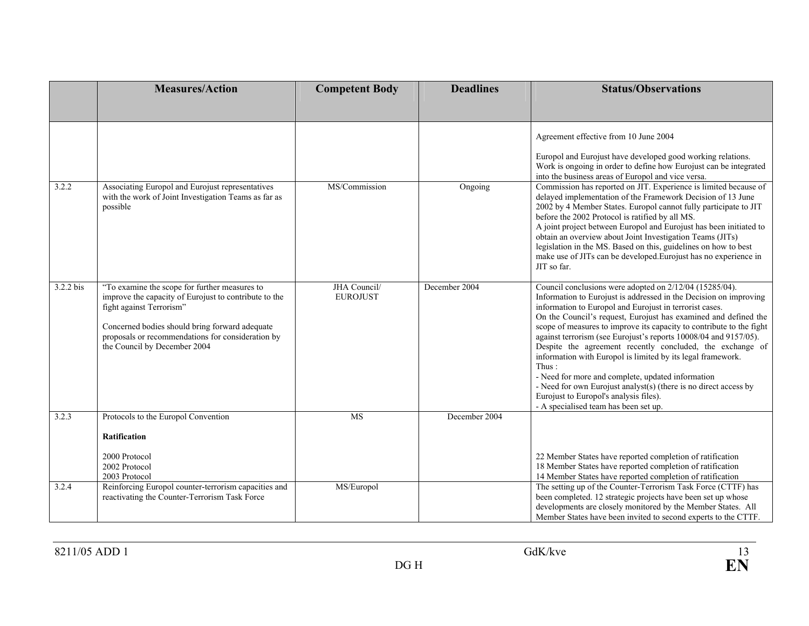|           | <b>Measures/Action</b>                                                                                                                                                                                                                                                    | <b>Competent Body</b>           | <b>Deadlines</b>    | <b>Status/Observations</b>                                                                                                                                                                                                                                                                                                                                                                                                                                                                                                                                                                                                                                                                                                                              |
|-----------|---------------------------------------------------------------------------------------------------------------------------------------------------------------------------------------------------------------------------------------------------------------------------|---------------------------------|---------------------|---------------------------------------------------------------------------------------------------------------------------------------------------------------------------------------------------------------------------------------------------------------------------------------------------------------------------------------------------------------------------------------------------------------------------------------------------------------------------------------------------------------------------------------------------------------------------------------------------------------------------------------------------------------------------------------------------------------------------------------------------------|
|           |                                                                                                                                                                                                                                                                           |                                 |                     |                                                                                                                                                                                                                                                                                                                                                                                                                                                                                                                                                                                                                                                                                                                                                         |
|           |                                                                                                                                                                                                                                                                           |                                 |                     | Agreement effective from 10 June 2004<br>Europol and Eurojust have developed good working relations.<br>Work is ongoing in order to define how Eurojust can be integrated<br>into the business areas of Europol and vice versa.                                                                                                                                                                                                                                                                                                                                                                                                                                                                                                                         |
| 3.2.2     | Associating Europol and Eurojust representatives<br>with the work of Joint Investigation Teams as far as<br>possible                                                                                                                                                      | MS/Commission                   | O <sub>ngoing</sub> | Commission has reported on JIT. Experience is limited because of<br>delayed implementation of the Framework Decision of 13 June<br>2002 by 4 Member States. Europol cannot fully participate to JIT<br>before the 2002 Protocol is ratified by all MS.<br>A joint project between Europol and Eurojust has been initiated to<br>obtain an overview about Joint Investigation Teams (JITs)<br>legislation in the MS. Based on this, guidelines on how to best<br>make use of JITs can be developed. Eurojust has no experience in<br>JIT so far.                                                                                                                                                                                                         |
| 3.2.2 bis | "To examine the scope for further measures to<br>improve the capacity of Eurojust to contribute to the<br>fight against Terrorism"<br>Concerned bodies should bring forward adequate<br>proposals or recommendations for consideration by<br>the Council by December 2004 | JHA Council/<br><b>EUROJUST</b> | December 2004       | Council conclusions were adopted on 2/12/04 (15285/04).<br>Information to Eurojust is addressed in the Decision on improving<br>information to Europol and Eurojust in terrorist cases.<br>On the Council's request, Eurojust has examined and defined the<br>scope of measures to improve its capacity to contribute to the fight<br>against terrorism (see Eurojust's reports 10008/04 and 9157/05).<br>Despite the agreement recently concluded, the exchange of<br>information with Europol is limited by its legal framework.<br>Thus:<br>- Need for more and complete, updated information<br>- Need for own Eurojust analyst(s) (there is no direct access by<br>Eurojust to Europol's analysis files).<br>- A specialised team has been set up. |
| 3.2.3     | Protocols to the Europol Convention<br>Ratification                                                                                                                                                                                                                       | <b>MS</b>                       | December 2004       |                                                                                                                                                                                                                                                                                                                                                                                                                                                                                                                                                                                                                                                                                                                                                         |
|           | 2000 Protocol<br>2002 Protocol<br>2003 Protocol                                                                                                                                                                                                                           |                                 |                     | 22 Member States have reported completion of ratification<br>18 Member States have reported completion of ratification<br>14 Member States have reported completion of ratification                                                                                                                                                                                                                                                                                                                                                                                                                                                                                                                                                                     |
| 3.2.4     | Reinforcing Europol counter-terrorism capacities and<br>reactivating the Counter-Terrorism Task Force                                                                                                                                                                     | MS/Europol                      |                     | The setting up of the Counter-Terrorism Task Force (CTTF) has<br>been completed. 12 strategic projects have been set up whose<br>developments are closely monitored by the Member States. All<br>Member States have been invited to second experts to the CTTF.                                                                                                                                                                                                                                                                                                                                                                                                                                                                                         |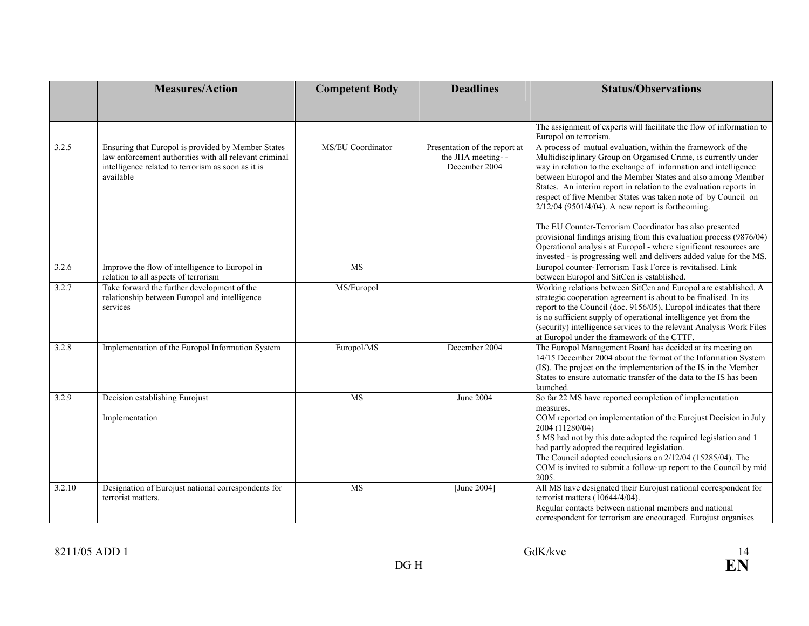|        | <b>Measures/Action</b>                                                                                                                                                          | <b>Competent Body</b> | <b>Deadlines</b>                                                    | <b>Status/Observations</b>                                                                                                                                                                                                                                                                                                                                                                                                                                    |
|--------|---------------------------------------------------------------------------------------------------------------------------------------------------------------------------------|-----------------------|---------------------------------------------------------------------|---------------------------------------------------------------------------------------------------------------------------------------------------------------------------------------------------------------------------------------------------------------------------------------------------------------------------------------------------------------------------------------------------------------------------------------------------------------|
|        |                                                                                                                                                                                 |                       |                                                                     |                                                                                                                                                                                                                                                                                                                                                                                                                                                               |
|        |                                                                                                                                                                                 |                       |                                                                     |                                                                                                                                                                                                                                                                                                                                                                                                                                                               |
|        |                                                                                                                                                                                 |                       |                                                                     | The assignment of experts will facilitate the flow of information to<br>Europol on terrorism.                                                                                                                                                                                                                                                                                                                                                                 |
| 3.2.5  | Ensuring that Europol is provided by Member States<br>law enforcement authorities with all relevant criminal<br>intelligence related to terrorism as soon as it is<br>available | MS/EU Coordinator     | Presentation of the report at<br>the JHA meeting--<br>December 2004 | A process of mutual evaluation, within the framework of the<br>Multidisciplinary Group on Organised Crime, is currently under<br>way in relation to the exchange of information and intelligence<br>between Europol and the Member States and also among Member<br>States. An interim report in relation to the evaluation reports in<br>respect of five Member States was taken note of by Council on<br>$2/12/04$ (9501/4/04). A new report is forthcoming. |
|        |                                                                                                                                                                                 |                       |                                                                     | The EU Counter-Terrorism Coordinator has also presented<br>provisional findings arising from this evaluation process (9876/04)<br>Operational analysis at Europol - where significant resources are<br>invested - is progressing well and delivers added value for the MS.                                                                                                                                                                                    |
| 3.2.6  | Improve the flow of intelligence to Europol in<br>relation to all aspects of terrorism                                                                                          | MS                    |                                                                     | Europol counter-Terrorism Task Force is revitalised. Link<br>between Europol and SitCen is established.                                                                                                                                                                                                                                                                                                                                                       |
| 3.2.7  | Take forward the further development of the<br>relationship between Europol and intelligence<br>services                                                                        | MS/Europol            |                                                                     | Working relations between SitCen and Europol are established. A<br>strategic cooperation agreement is about to be finalised. In its<br>report to the Council (doc. 9156/05), Europol indicates that there<br>is no sufficient supply of operational intelligence yet from the<br>(security) intelligence services to the relevant Analysis Work Files<br>at Europol under the framework of the CTTF.                                                          |
| 3.2.8  | Implementation of the Europol Information System                                                                                                                                | Europol/MS            | December 2004                                                       | The Europol Management Board has decided at its meeting on<br>14/15 December 2004 about the format of the Information System<br>(IS). The project on the implementation of the IS in the Member<br>States to ensure automatic transfer of the data to the IS has been<br>launched.                                                                                                                                                                            |
| 3.2.9  | Decision establishing Eurojust<br>Implementation                                                                                                                                | MS                    | June 2004                                                           | So far 22 MS have reported completion of implementation<br>measures.<br>COM reported on implementation of the Eurojust Decision in July<br>2004 (11280/04)<br>5 MS had not by this date adopted the required legislation and 1<br>had partly adopted the required legislation.<br>The Council adopted conclusions on 2/12/04 (15285/04). The<br>COM is invited to submit a follow-up report to the Council by mid<br>2005.                                    |
| 3.2.10 | Designation of Eurojust national correspondents for<br>terrorist matters.                                                                                                       | <b>MS</b>             | [June 2004]                                                         | All MS have designated their Eurojust national correspondent for<br>terrorist matters (10644/4/04).<br>Regular contacts between national members and national<br>correspondent for terrorism are encouraged. Eurojust organises                                                                                                                                                                                                                               |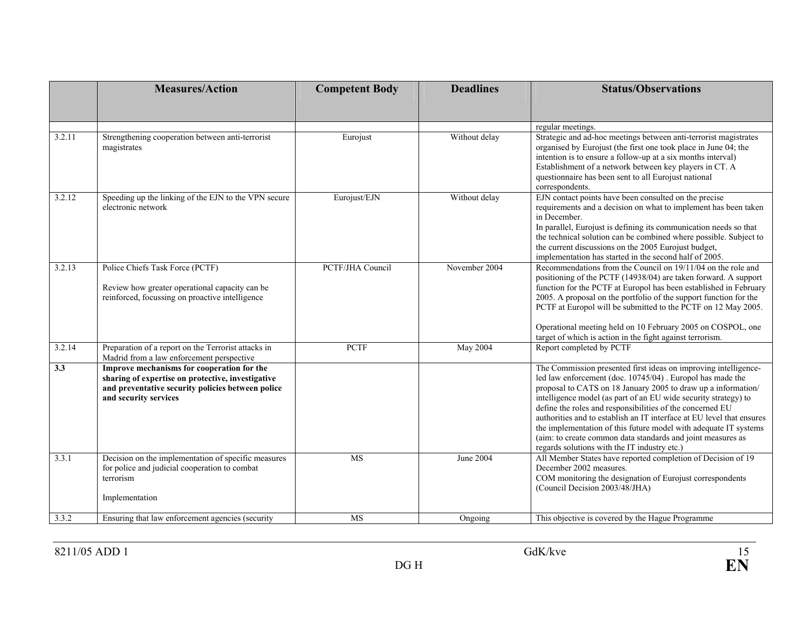|        | <b>Measures/Action</b>                                                                                                                                                        | <b>Competent Body</b> | <b>Deadlines</b> | <b>Status/Observations</b>                                                                                                                                                                                                                                                                                                                                                                                                                                                                                                                                                                |
|--------|-------------------------------------------------------------------------------------------------------------------------------------------------------------------------------|-----------------------|------------------|-------------------------------------------------------------------------------------------------------------------------------------------------------------------------------------------------------------------------------------------------------------------------------------------------------------------------------------------------------------------------------------------------------------------------------------------------------------------------------------------------------------------------------------------------------------------------------------------|
|        |                                                                                                                                                                               |                       |                  |                                                                                                                                                                                                                                                                                                                                                                                                                                                                                                                                                                                           |
|        |                                                                                                                                                                               |                       |                  | regular meetings.                                                                                                                                                                                                                                                                                                                                                                                                                                                                                                                                                                         |
| 3.2.11 | Strengthening cooperation between anti-terrorist<br>magistrates                                                                                                               | Eurojust              | Without delay    | Strategic and ad-hoc meetings between anti-terrorist magistrates<br>organised by Eurojust (the first one took place in June 04; the<br>intention is to ensure a follow-up at a six months interval)<br>Establishment of a network between key players in CT. A<br>questionnaire has been sent to all Eurojust national<br>correspondents.                                                                                                                                                                                                                                                 |
| 3.2.12 | Speeding up the linking of the EJN to the VPN secure<br>electronic network                                                                                                    | Eurojust/EJN          | Without delay    | EJN contact points have been consulted on the precise<br>requirements and a decision on what to implement has been taken<br>in December.<br>In parallel, Eurojust is defining its communication needs so that<br>the technical solution can be combined where possible. Subject to<br>the current discussions on the 2005 Eurojust budget,<br>implementation has started in the second half of 2005.                                                                                                                                                                                      |
| 3.2.13 | Police Chiefs Task Force (PCTF)<br>Review how greater operational capacity can be<br>reinforced, focussing on proactive intelligence                                          | PCTF/JHA Council      | November 2004    | Recommendations from the Council on 19/11/04 on the role and<br>positioning of the PCTF (14938/04) are taken forward. A support<br>function for the PCTF at Europol has been established in February<br>2005. A proposal on the portfolio of the support function for the<br>PCTF at Europol will be submitted to the PCTF on 12 May 2005.<br>Operational meeting held on 10 February 2005 on COSPOL, one<br>target of which is action in the fight against terrorism.                                                                                                                    |
| 3.2.14 | Preparation of a report on the Terrorist attacks in<br>Madrid from a law enforcement perspective                                                                              | <b>PCTF</b>           | May 2004         | Report completed by PCTF                                                                                                                                                                                                                                                                                                                                                                                                                                                                                                                                                                  |
| 3.3    | Improve mechanisms for cooperation for the<br>sharing of expertise on protective, investigative<br>and preventative security policies between police<br>and security services |                       |                  | The Commission presented first ideas on improving intelligence-<br>led law enforcement (doc. 10745/04). Europol has made the<br>proposal to CATS on 18 January 2005 to draw up a information/<br>intelligence model (as part of an EU wide security strategy) to<br>define the roles and responsibilities of the concerned EU<br>authorities and to establish an IT interface at EU level that ensures<br>the implementation of this future model with adequate IT systems<br>(aim: to create common data standards and joint measures as<br>regards solutions with the IT industry etc.) |
| 3.3.1  | Decision on the implementation of specific measures<br>for police and judicial cooperation to combat<br>terrorism<br>Implementation                                           | <b>MS</b>             | June 2004        | All Member States have reported completion of Decision of 19<br>December 2002 measures.<br>COM monitoring the designation of Eurojust correspondents<br>(Council Decision 2003/48/JHA)                                                                                                                                                                                                                                                                                                                                                                                                    |
| 3.3.2  | Ensuring that law enforcement agencies (security                                                                                                                              | MS                    | Ongoing          | This objective is covered by the Hague Programme                                                                                                                                                                                                                                                                                                                                                                                                                                                                                                                                          |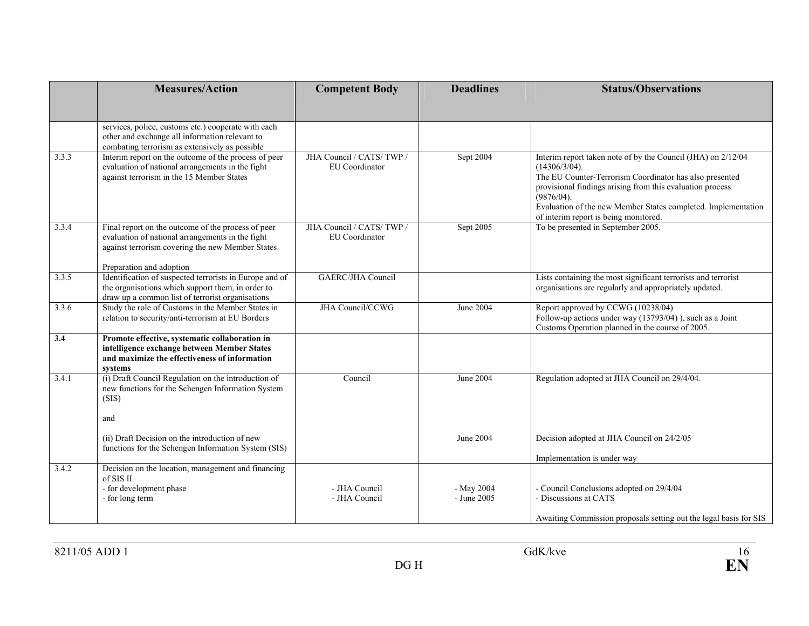|       | <b>Measures/Action</b>                                                                                                                                                                 | <b>Competent Body</b>                       | <b>Deadlines</b>          | <b>Status/Observations</b>                                                                                                                                                                                                                                                                                                          |
|-------|----------------------------------------------------------------------------------------------------------------------------------------------------------------------------------------|---------------------------------------------|---------------------------|-------------------------------------------------------------------------------------------------------------------------------------------------------------------------------------------------------------------------------------------------------------------------------------------------------------------------------------|
|       |                                                                                                                                                                                        |                                             |                           |                                                                                                                                                                                                                                                                                                                                     |
|       | services, police, customs etc.) cooperate with each                                                                                                                                    |                                             |                           |                                                                                                                                                                                                                                                                                                                                     |
|       | other and exchange all information relevant to<br>combating terrorism as extensively as possible                                                                                       |                                             |                           |                                                                                                                                                                                                                                                                                                                                     |
| 3.3.3 | Interim report on the outcome of the process of peer<br>evaluation of national arrangements in the fight<br>against terrorism in the 15 Member States                                  | JHA Council / CATS/TWP /<br>EU Coordinator  | Sept 2004                 | Interim report taken note of by the Council (JHA) on 2/12/04<br>$(14306/3/04)$ .<br>The EU Counter-Terrorism Coordinator has also presented<br>provisional findings arising from this evaluation process<br>$(9876/04)$ .<br>Evaluation of the new Member States completed. Implementation<br>of interim report is being monitored. |
| 3.3.4 | Final report on the outcome of the process of peer<br>evaluation of national arrangements in the fight<br>against terrorism covering the new Member States<br>Preparation and adoption | JHA Council / CATS/ TWP /<br>EU Coordinator | Sept 2005                 | To be presented in September 2005.                                                                                                                                                                                                                                                                                                  |
| 3.3.5 | Identification of suspected terrorists in Europe and of<br>the organisations which support them, in order to<br>draw up a common list of terrorist organisations                       | <b>GAERC/JHA Council</b>                    |                           | Lists containing the most significant terrorists and terrorist<br>organisations are regularly and appropriately updated.                                                                                                                                                                                                            |
| 3.3.6 | Study the role of Customs in the Member States in<br>relation to security/anti-terrorism at EU Borders                                                                                 | <b>JHA Council/CCWG</b>                     | June 2004                 | Report approved by CCWG (10238/04)<br>Follow-up actions under way (13793/04)), such as a Joint<br>Customs Operation planned in the course of 2005.                                                                                                                                                                                  |
| 3.4   | Promote effective, systematic collaboration in<br>intelligence exchange between Member States<br>and maximize the effectiveness of information<br>systems                              |                                             |                           |                                                                                                                                                                                                                                                                                                                                     |
| 3.4.1 | (i) Draft Council Regulation on the introduction of<br>new functions for the Schengen Information System<br>(SIS)<br>and                                                               | Council                                     | June 2004                 | Regulation adopted at JHA Council on 29/4/04.                                                                                                                                                                                                                                                                                       |
|       | (ii) Draft Decision on the introduction of new<br>functions for the Schengen Information System (SIS)                                                                                  |                                             | June 2004                 | Decision adopted at JHA Council on 24/2/05<br>Implementation is under way                                                                                                                                                                                                                                                           |
| 3.4.2 | Decision on the location, management and financing<br>of SIS II<br>- for development phase<br>- for long term                                                                          | - JHA Council<br>- JHA Council              | - May 2004<br>- June 2005 | - Council Conclusions adopted on 29/4/04<br>- Discussions at CATS<br>Awaiting Commission proposals setting out the legal basis for SIS                                                                                                                                                                                              |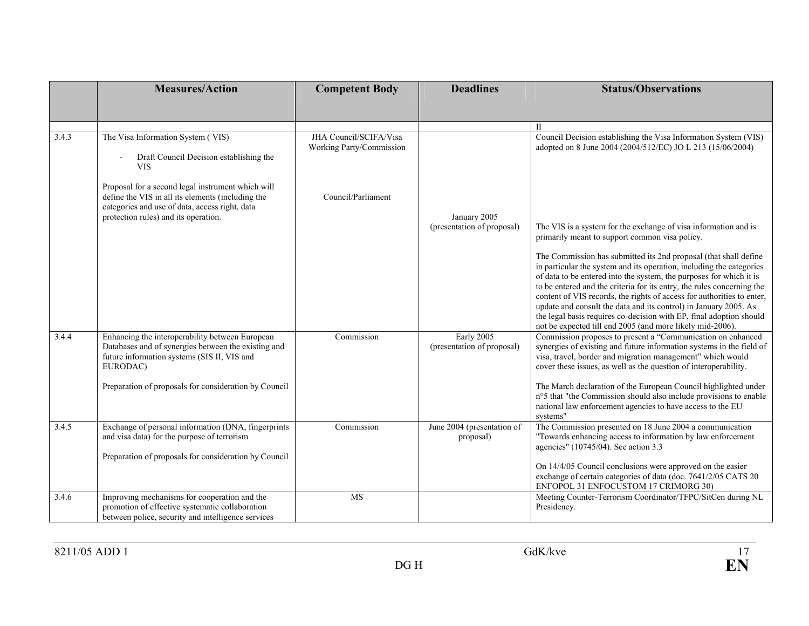|       | <b>Measures/Action</b>                                                                                                                                                                                                     | <b>Competent Body</b>                              | <b>Deadlines</b>                           | <b>Status/Observations</b>                                                                                                                                                                                                                                                                                                                                                                                                                                                                                                                                                                                                    |
|-------|----------------------------------------------------------------------------------------------------------------------------------------------------------------------------------------------------------------------------|----------------------------------------------------|--------------------------------------------|-------------------------------------------------------------------------------------------------------------------------------------------------------------------------------------------------------------------------------------------------------------------------------------------------------------------------------------------------------------------------------------------------------------------------------------------------------------------------------------------------------------------------------------------------------------------------------------------------------------------------------|
|       |                                                                                                                                                                                                                            |                                                    |                                            |                                                                                                                                                                                                                                                                                                                                                                                                                                                                                                                                                                                                                               |
|       |                                                                                                                                                                                                                            |                                                    |                                            |                                                                                                                                                                                                                                                                                                                                                                                                                                                                                                                                                                                                                               |
|       |                                                                                                                                                                                                                            |                                                    |                                            |                                                                                                                                                                                                                                                                                                                                                                                                                                                                                                                                                                                                                               |
| 3.4.3 | The Visa Information System (VIS)<br>Draft Council Decision establishing the<br><b>VIS</b>                                                                                                                                 | JHA Council/SCIFA/Visa<br>Working Party/Commission |                                            | Council Decision establishing the Visa Information System (VIS)<br>adopted on 8 June 2004 (2004/512/EC) JO L 213 (15/06/2004)                                                                                                                                                                                                                                                                                                                                                                                                                                                                                                 |
|       | Proposal for a second legal instrument which will<br>define the VIS in all its elements (including the<br>categories and use of data, access right, data<br>protection rules) and its operation.                           | Council/Parliament                                 | January 2005<br>(presentation of proposal) | The VIS is a system for the exchange of visa information and is                                                                                                                                                                                                                                                                                                                                                                                                                                                                                                                                                               |
|       |                                                                                                                                                                                                                            |                                                    |                                            | primarily meant to support common visa policy.<br>The Commission has submitted its 2nd proposal (that shall define<br>in particular the system and its operation, including the categories<br>of data to be entered into the system, the purposes for which it is<br>to be entered and the criteria for its entry, the rules concerning the<br>content of VIS records, the rights of access for authorities to enter,<br>update and consult the data and its control) in January 2005. As<br>the legal basis requires co-decision with EP, final adoption should<br>not be expected till end 2005 (and more likely mid-2006). |
| 3.4.4 | Enhancing the interoperability between European<br>Databases and of synergies between the existing and<br>future information systems (SIS II, VIS and<br>EURODAC)<br>Preparation of proposals for consideration by Council | Commission                                         | Early 2005<br>(presentation of proposal)   | Commission proposes to present a "Communication on enhanced<br>synergies of existing and future information systems in the field of<br>visa, travel, border and migration management" which would<br>cover these issues, as well as the question of interoperability.<br>The March declaration of the European Council highlighted under<br>n°5 that "the Commission should also include provisions to enable<br>national law enforcement agencies to have access to the EU<br>systems"                                                                                                                                       |
| 3.4.5 | Exchange of personal information (DNA, fingerprints<br>and visa data) for the purpose of terrorism<br>Preparation of proposals for consideration by Council                                                                | Commission                                         | June 2004 (presentation of<br>proposal)    | The Commission presented on 18 June 2004 a communication<br>"Towards enhancing access to information by law enforcement<br>agencies" (10745/04). See action 3.3<br>On 14/4/05 Council conclusions were approved on the easier<br>exchange of certain categories of data (doc. 7641/2/05 CATS 20<br>ENFOPOL 31 ENFOCUSTOM 17 CRIMORG 30)                                                                                                                                                                                                                                                                                       |
| 3.4.6 | Improving mechanisms for cooperation and the<br>promotion of effective systematic collaboration<br>between police, security and intelligence services                                                                      | MS                                                 |                                            | Meeting Counter-Terrorism Coordinator/TFPC/SitCen during NL<br>Presidency.                                                                                                                                                                                                                                                                                                                                                                                                                                                                                                                                                    |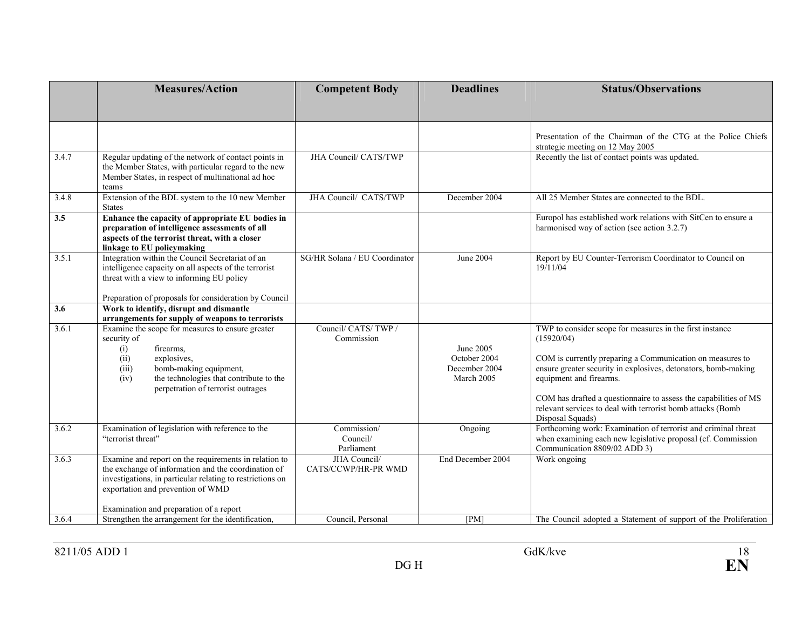|       | <b>Measures/Action</b>                                                                                                                                                                                                                 | <b>Competent Body</b>                 | <b>Deadlines</b>                                         | <b>Status/Observations</b>                                                                                                                                                                                                                                                                                                                                          |
|-------|----------------------------------------------------------------------------------------------------------------------------------------------------------------------------------------------------------------------------------------|---------------------------------------|----------------------------------------------------------|---------------------------------------------------------------------------------------------------------------------------------------------------------------------------------------------------------------------------------------------------------------------------------------------------------------------------------------------------------------------|
|       |                                                                                                                                                                                                                                        |                                       |                                                          |                                                                                                                                                                                                                                                                                                                                                                     |
|       |                                                                                                                                                                                                                                        |                                       |                                                          |                                                                                                                                                                                                                                                                                                                                                                     |
|       |                                                                                                                                                                                                                                        |                                       |                                                          | Presentation of the Chairman of the CTG at the Police Chiefs<br>strategic meeting on 12 May 2005                                                                                                                                                                                                                                                                    |
| 3.4.7 | Regular updating of the network of contact points in<br>the Member States, with particular regard to the new<br>Member States, in respect of multinational ad hoc<br>teams                                                             | <b>JHA Council/ CATS/TWP</b>          |                                                          | Recently the list of contact points was updated.                                                                                                                                                                                                                                                                                                                    |
| 3.4.8 | Extension of the BDL system to the 10 new Member<br><b>States</b>                                                                                                                                                                      | JHA Council/ CATS/TWP                 | December 2004                                            | All 25 Member States are connected to the BDL.                                                                                                                                                                                                                                                                                                                      |
| 3.5   | Enhance the capacity of appropriate EU bodies in<br>preparation of intelligence assessments of all<br>aspects of the terrorist threat, with a closer<br>linkage to EU policymaking                                                     |                                       |                                                          | Europol has established work relations with SitCen to ensure a<br>harmonised way of action (see action 3.2.7)                                                                                                                                                                                                                                                       |
| 3.5.1 | Integration within the Council Secretariat of an<br>intelligence capacity on all aspects of the terrorist<br>threat with a view to informing EU policy                                                                                 | SG/HR Solana / EU Coordinator         | June 2004                                                | Report by EU Counter-Terrorism Coordinator to Council on<br>19/11/04                                                                                                                                                                                                                                                                                                |
| 3.6   | Preparation of proposals for consideration by Council<br>Work to identify, disrupt and dismantle                                                                                                                                       |                                       |                                                          |                                                                                                                                                                                                                                                                                                                                                                     |
|       | arrangements for supply of weapons to terrorists                                                                                                                                                                                       |                                       |                                                          |                                                                                                                                                                                                                                                                                                                                                                     |
| 3.6.1 | Examine the scope for measures to ensure greater<br>security of<br>(i)<br>firearms,<br>(ii)<br>explosives,<br>bomb-making equipment,<br>(iii)<br>the technologies that contribute to the<br>(iv)<br>perpetration of terrorist outrages | Council/ CATS/ TWP /<br>Commission    | June 2005<br>October 2004<br>December 2004<br>March 2005 | TWP to consider scope for measures in the first instance<br>(15920/04)<br>COM is currently preparing a Communication on measures to<br>ensure greater security in explosives, detonators, bomb-making<br>equipment and firearms.<br>COM has drafted a questionnaire to assess the capabilities of MS<br>relevant services to deal with terrorist bomb attacks (Bomb |
| 3.6.2 |                                                                                                                                                                                                                                        |                                       |                                                          | Disposal Squads)<br>Forthcoming work: Examination of terrorist and criminal threat                                                                                                                                                                                                                                                                                  |
|       | Examination of legislation with reference to the<br>"terrorist threat"                                                                                                                                                                 | Commission/<br>Council/<br>Parliament | Ongoing                                                  | when examining each new legislative proposal (cf. Commission<br>Communication 8809/02 ADD 3)                                                                                                                                                                                                                                                                        |
| 3.6.3 | Examine and report on the requirements in relation to<br>the exchange of information and the coordination of<br>investigations, in particular relating to restrictions on<br>exportation and prevention of WMD                         | JHA Council/<br>CATS/CCWP/HR-PR WMD   | End December 2004                                        | Work ongoing                                                                                                                                                                                                                                                                                                                                                        |
|       | Examination and preparation of a report                                                                                                                                                                                                |                                       |                                                          |                                                                                                                                                                                                                                                                                                                                                                     |
| 3.6.4 | Strengthen the arrangement for the identification,                                                                                                                                                                                     | Council, Personal                     | [PM]                                                     | The Council adopted a Statement of support of the Proliferation                                                                                                                                                                                                                                                                                                     |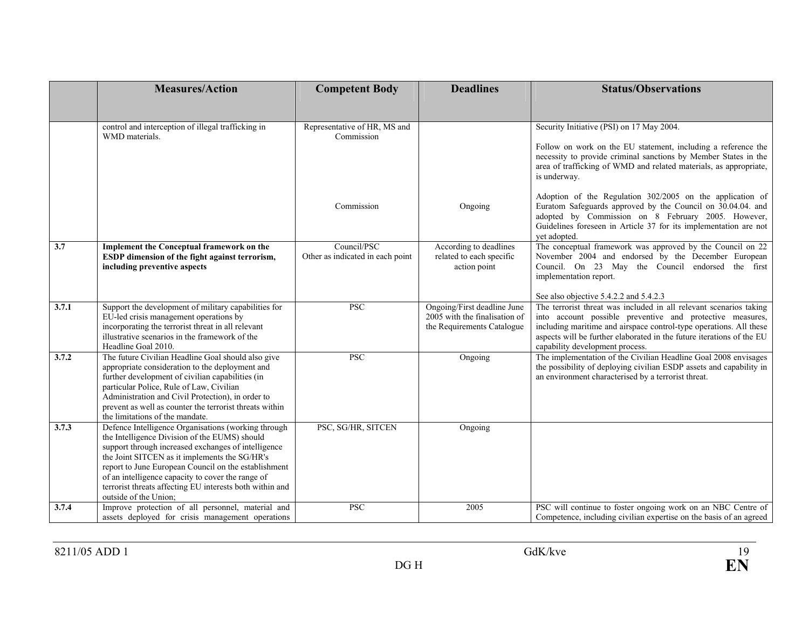|                  | <b>Measures/Action</b>                                                                                                                                                                                                                                                                                                                                                                                         | <b>Competent Body</b>                           | <b>Deadlines</b>                                                                           | <b>Status/Observations</b>                                                                                                                                                                                                                                                                                        |
|------------------|----------------------------------------------------------------------------------------------------------------------------------------------------------------------------------------------------------------------------------------------------------------------------------------------------------------------------------------------------------------------------------------------------------------|-------------------------------------------------|--------------------------------------------------------------------------------------------|-------------------------------------------------------------------------------------------------------------------------------------------------------------------------------------------------------------------------------------------------------------------------------------------------------------------|
|                  |                                                                                                                                                                                                                                                                                                                                                                                                                |                                                 |                                                                                            |                                                                                                                                                                                                                                                                                                                   |
|                  | control and interception of illegal trafficking in<br>WMD materials.                                                                                                                                                                                                                                                                                                                                           | Representative of HR, MS and<br>Commission      |                                                                                            | Security Initiative (PSI) on 17 May 2004.<br>Follow on work on the EU statement, including a reference the<br>necessity to provide criminal sanctions by Member States in the<br>area of trafficking of WMD and related materials, as appropriate,<br>is underway.                                                |
|                  |                                                                                                                                                                                                                                                                                                                                                                                                                | Commission                                      | Ongoing                                                                                    | Adoption of the Regulation 302/2005 on the application of<br>Euratom Safeguards approved by the Council on 30.04.04. and<br>adopted by Commission on 8 February 2005. However,<br>Guidelines foreseen in Article 37 for its implementation are not<br>yet adopted.                                                |
| $\overline{3.7}$ | Implement the Conceptual framework on the<br>ESDP dimension of the fight against terrorism,<br>including preventive aspects                                                                                                                                                                                                                                                                                    | Council/PSC<br>Other as indicated in each point | According to deadlines<br>related to each specific<br>action point                         | The conceptual framework was approved by the Council on 22<br>November 2004 and endorsed by the December European<br>Council. On 23 May the Council endorsed the first<br>implementation report.<br>See also objective 5.4.2.2 and 5.4.2.3                                                                        |
| 3.7.1            | Support the development of military capabilities for<br>EU-led crisis management operations by<br>incorporating the terrorist threat in all relevant<br>illustrative scenarios in the framework of the<br>Headline Goal 2010.                                                                                                                                                                                  | <b>PSC</b>                                      | Ongoing/First deadline June<br>2005 with the finalisation of<br>the Requirements Catalogue | The terrorist threat was included in all relevant scenarios taking<br>into account possible preventive and protective measures,<br>including maritime and airspace control-type operations. All these<br>aspects will be further elaborated in the future iterations of the EU<br>capability development process. |
| 3.7.2            | The future Civilian Headline Goal should also give<br>appropriate consideration to the deployment and<br>further development of civilian capabilities (in<br>particular Police, Rule of Law, Civilian<br>Administration and Civil Protection), in order to<br>prevent as well as counter the terrorist threats within<br>the limitations of the mandate.                                                       | <b>PSC</b>                                      | Ongoing                                                                                    | The implementation of the Civilian Headline Goal 2008 envisages<br>the possibility of deploying civilian ESDP assets and capability in<br>an environment characterised by a terrorist threat.                                                                                                                     |
| 3.7.3            | Defence Intelligence Organisations (working through<br>the Intelligence Division of the EUMS) should<br>support through increased exchanges of intelligence<br>the Joint SITCEN as it implements the SG/HR's<br>report to June European Council on the establishment<br>of an intelligence capacity to cover the range of<br>terrorist threats affecting EU interests both within and<br>outside of the Union; | PSC, SG/HR, SITCEN                              | Ongoing                                                                                    |                                                                                                                                                                                                                                                                                                                   |
| 3.7.4            | Improve protection of all personnel, material and<br>assets deployed for crisis management operations                                                                                                                                                                                                                                                                                                          | <b>PSC</b>                                      | 2005                                                                                       | PSC will continue to foster ongoing work on an NBC Centre of<br>Competence, including civilian expertise on the basis of an agreed                                                                                                                                                                                |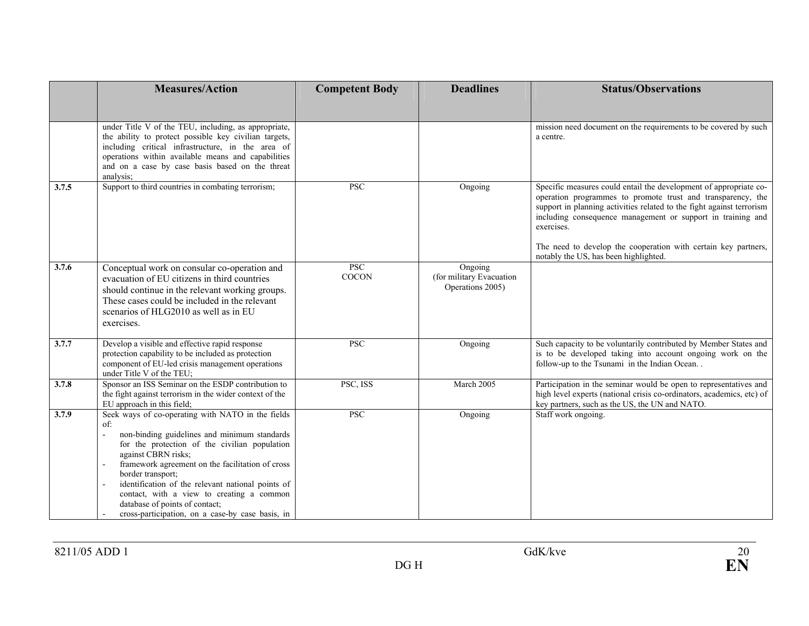|       | <b>Measures/Action</b>                                                                                                                                                                                                                                                                                                                                                                                                                            | <b>Competent Body</b> | <b>Deadlines</b>                                        | <b>Status/Observations</b>                                                                                                                                                                                                                                                                                                                                                                        |
|-------|---------------------------------------------------------------------------------------------------------------------------------------------------------------------------------------------------------------------------------------------------------------------------------------------------------------------------------------------------------------------------------------------------------------------------------------------------|-----------------------|---------------------------------------------------------|---------------------------------------------------------------------------------------------------------------------------------------------------------------------------------------------------------------------------------------------------------------------------------------------------------------------------------------------------------------------------------------------------|
|       |                                                                                                                                                                                                                                                                                                                                                                                                                                                   |                       |                                                         |                                                                                                                                                                                                                                                                                                                                                                                                   |
|       |                                                                                                                                                                                                                                                                                                                                                                                                                                                   |                       |                                                         |                                                                                                                                                                                                                                                                                                                                                                                                   |
|       | under Title V of the TEU, including, as appropriate,<br>the ability to protect possible key civilian targets,<br>including critical infrastructure, in the area of<br>operations within available means and capabilities<br>and on a case by case basis based on the threat<br>analysis:                                                                                                                                                          |                       |                                                         | mission need document on the requirements to be covered by such<br>a centre.                                                                                                                                                                                                                                                                                                                      |
| 3.7.5 | Support to third countries in combating terrorism;                                                                                                                                                                                                                                                                                                                                                                                                | <b>PSC</b>            | Ongoing                                                 | Specific measures could entail the development of appropriate co-<br>operation programmes to promote trust and transparency, the<br>support in planning activities related to the fight against terrorism<br>including consequence management or support in training and<br>exercises.<br>The need to develop the cooperation with certain key partners,<br>notably the US, has been highlighted. |
| 3.7.6 | Conceptual work on consular co-operation and<br>evacuation of EU citizens in third countries<br>should continue in the relevant working groups.<br>These cases could be included in the relevant<br>scenarios of HLG2010 as well as in EU<br>exercises.                                                                                                                                                                                           | PSC<br><b>COCON</b>   | Ongoing<br>(for military Evacuation<br>Operations 2005) |                                                                                                                                                                                                                                                                                                                                                                                                   |
| 3.7.7 | Develop a visible and effective rapid response<br>protection capability to be included as protection<br>component of EU-led crisis management operations<br>under Title V of the TEU;                                                                                                                                                                                                                                                             | <b>PSC</b>            | Ongoing                                                 | Such capacity to be voluntarily contributed by Member States and<br>is to be developed taking into account ongoing work on the<br>follow-up to the Tsunami in the Indian Ocean                                                                                                                                                                                                                    |
| 3.7.8 | Sponsor an ISS Seminar on the ESDP contribution to<br>the fight against terrorism in the wider context of the<br>EU approach in this field;                                                                                                                                                                                                                                                                                                       | PSC, ISS              | March 2005                                              | Participation in the seminar would be open to representatives and<br>high level experts (national crisis co-ordinators, academics, etc) of<br>key partners, such as the US, the UN and NATO.                                                                                                                                                                                                      |
| 3.7.9 | Seek ways of co-operating with NATO in the fields<br>of:<br>non-binding guidelines and minimum standards<br>for the protection of the civilian population<br>against CBRN risks;<br>framework agreement on the facilitation of cross<br>border transport:<br>identification of the relevant national points of<br>contact, with a view to creating a common<br>database of points of contact;<br>cross-participation, on a case-by case basis, in | <b>PSC</b>            | Ongoing                                                 | Staff work ongoing.                                                                                                                                                                                                                                                                                                                                                                               |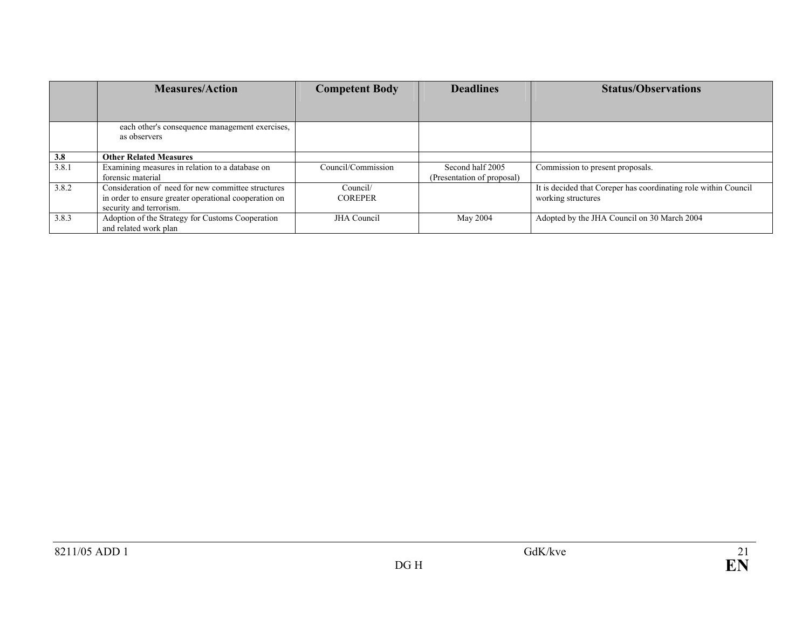|       | <b>Measures/Action</b>                                         | <b>Competent Body</b> | <b>Deadlines</b>           | <b>Status/Observations</b>                                      |
|-------|----------------------------------------------------------------|-----------------------|----------------------------|-----------------------------------------------------------------|
|       |                                                                |                       |                            |                                                                 |
|       | each other's consequence management exercises,<br>as observers |                       |                            |                                                                 |
| 3.8   | <b>Other Related Measures</b>                                  |                       |                            |                                                                 |
| 3.8.1 | Examining measures in relation to a database on                | Council/Commission    | Second half 2005           | Commission to present proposals.                                |
|       | forensic material                                              |                       | (Presentation of proposal) |                                                                 |
| 3.8.2 | Consideration of need for new committee structures             | Council/              |                            | It is decided that Coreper has coordinating role within Council |
|       | in order to ensure greater operational cooperation on          | <b>COREPER</b>        |                            | working structures                                              |
|       | security and terrorism.                                        |                       |                            |                                                                 |
| 3.8.3 | Adoption of the Strategy for Customs Cooperation               | <b>JHA</b> Council    | May 2004                   | Adopted by the JHA Council on 30 March 2004                     |
|       | and related work plan                                          |                       |                            |                                                                 |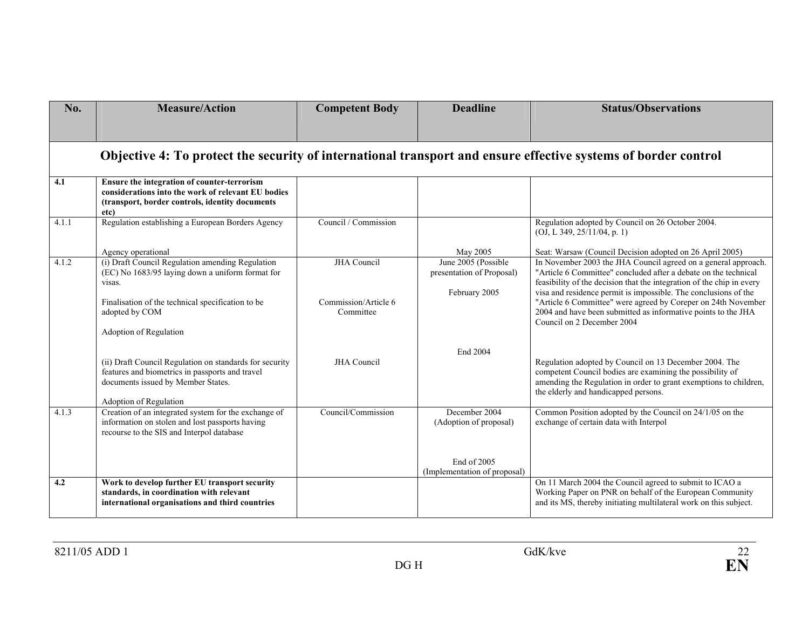| No.   | <b>Measure/Action</b>                                                                                                                                                      | <b>Competent Body</b>             | <b>Deadline</b>                                                   | <b>Status/Observations</b>                                                                                                                                                                                                                                                    |
|-------|----------------------------------------------------------------------------------------------------------------------------------------------------------------------------|-----------------------------------|-------------------------------------------------------------------|-------------------------------------------------------------------------------------------------------------------------------------------------------------------------------------------------------------------------------------------------------------------------------|
|       |                                                                                                                                                                            |                                   |                                                                   |                                                                                                                                                                                                                                                                               |
|       |                                                                                                                                                                            |                                   |                                                                   |                                                                                                                                                                                                                                                                               |
|       | Objective 4: To protect the security of international transport and ensure effective systems of border control                                                             |                                   |                                                                   |                                                                                                                                                                                                                                                                               |
| 4.1   | Ensure the integration of counter-terrorism<br>considerations into the work of relevant EU bodies<br>(transport, border controls, identity documents<br>etc)               |                                   |                                                                   |                                                                                                                                                                                                                                                                               |
| 4.1.1 | Regulation establishing a European Borders Agency                                                                                                                          | Council / Commission              |                                                                   | Regulation adopted by Council on 26 October 2004.<br>(OJ, L 349, 25/11/04, p. 1)                                                                                                                                                                                              |
|       | Agency operational                                                                                                                                                         |                                   | May 2005                                                          | Seat: Warsaw (Council Decision adopted on 26 April 2005)                                                                                                                                                                                                                      |
| 4.1.2 | (i) Draft Council Regulation amending Regulation<br>(EC) No 1683/95 laying down a uniform format for<br>visas.                                                             | <b>JHA</b> Council                | June 2005 (Possible<br>presentation of Proposal)<br>February 2005 | In November 2003 the JHA Council agreed on a general approach.<br>"Article 6 Committee" concluded after a debate on the technical<br>feasibility of the decision that the integration of the chip in every<br>visa and residence permit is impossible. The conclusions of the |
|       | Finalisation of the technical specification to be<br>adopted by COM<br>Adoption of Regulation                                                                              | Commission/Article 6<br>Committee |                                                                   | "Article 6 Committee" were agreed by Coreper on 24th November<br>2004 and have been submitted as informative points to the JHA<br>Council on 2 December 2004                                                                                                                  |
|       | (ii) Draft Council Regulation on standards for security<br>features and biometrics in passports and travel<br>documents issued by Member States.<br>Adoption of Regulation | <b>JHA</b> Council                | End 2004                                                          | Regulation adopted by Council on 13 December 2004. The<br>competent Council bodies are examining the possibility of<br>amending the Regulation in order to grant exemptions to children,<br>the elderly and handicapped persons.                                              |
| 4.1.3 | Creation of an integrated system for the exchange of<br>information on stolen and lost passports having<br>recourse to the SIS and Interpol database                       | Council/Commission                | December 2004<br>(Adoption of proposal)                           | Common Position adopted by the Council on 24/1/05 on the<br>exchange of certain data with Interpol                                                                                                                                                                            |
|       |                                                                                                                                                                            |                                   | End of 2005<br>(Implementation of proposal)                       |                                                                                                                                                                                                                                                                               |
| 4.2   | Work to develop further EU transport security<br>standards, in coordination with relevant<br>international organisations and third countries                               |                                   |                                                                   | On 11 March 2004 the Council agreed to submit to ICAO a<br>Working Paper on PNR on behalf of the European Community<br>and its MS, thereby initiating multilateral work on this subject.                                                                                      |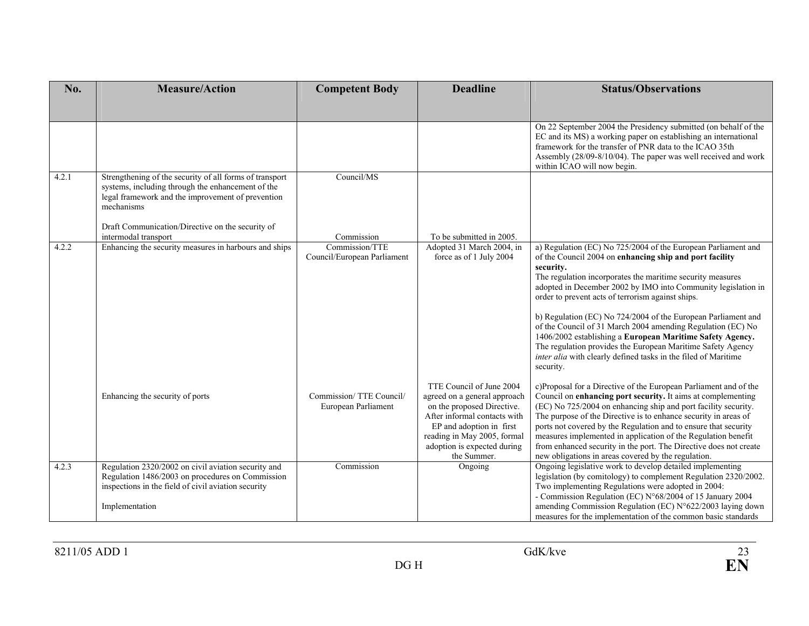| No.   | <b>Measure/Action</b>                                                                                                                                                           | <b>Competent Body</b>                          | <b>Deadline</b>                                                                                                                                                                                                                 | <b>Status/Observations</b>                                                                                                                                                                                                                                                                                                                                                                                                                                                                                                                                                                          |
|-------|---------------------------------------------------------------------------------------------------------------------------------------------------------------------------------|------------------------------------------------|---------------------------------------------------------------------------------------------------------------------------------------------------------------------------------------------------------------------------------|-----------------------------------------------------------------------------------------------------------------------------------------------------------------------------------------------------------------------------------------------------------------------------------------------------------------------------------------------------------------------------------------------------------------------------------------------------------------------------------------------------------------------------------------------------------------------------------------------------|
|       |                                                                                                                                                                                 |                                                |                                                                                                                                                                                                                                 |                                                                                                                                                                                                                                                                                                                                                                                                                                                                                                                                                                                                     |
|       |                                                                                                                                                                                 |                                                |                                                                                                                                                                                                                                 |                                                                                                                                                                                                                                                                                                                                                                                                                                                                                                                                                                                                     |
|       |                                                                                                                                                                                 |                                                |                                                                                                                                                                                                                                 | On 22 September 2004 the Presidency submitted (on behalf of the<br>EC and its MS) a working paper on establishing an international<br>framework for the transfer of PNR data to the ICAO 35th<br>Assembly (28/09-8/10/04). The paper was well received and work<br>within ICAO will now begin.                                                                                                                                                                                                                                                                                                      |
| 4.2.1 | Strengthening of the security of all forms of transport<br>systems, including through the enhancement of the<br>legal framework and the improvement of prevention<br>mechanisms | Council/MS                                     |                                                                                                                                                                                                                                 |                                                                                                                                                                                                                                                                                                                                                                                                                                                                                                                                                                                                     |
|       | Draft Communication/Directive on the security of                                                                                                                                |                                                |                                                                                                                                                                                                                                 |                                                                                                                                                                                                                                                                                                                                                                                                                                                                                                                                                                                                     |
| 4.2.2 | intermodal transport<br>Enhancing the security measures in harbours and ships                                                                                                   | Commission<br>Commission/TTE                   | To be submitted in 2005.<br>Adopted 31 March 2004, in                                                                                                                                                                           | a) Regulation (EC) No 725/2004 of the European Parliament and                                                                                                                                                                                                                                                                                                                                                                                                                                                                                                                                       |
|       |                                                                                                                                                                                 | Council/European Parliament                    | force as of 1 July 2004                                                                                                                                                                                                         | of the Council 2004 on enhancing ship and port facility<br>security.<br>The regulation incorporates the maritime security measures<br>adopted in December 2002 by IMO into Community legislation in<br>order to prevent acts of terrorism against ships.<br>b) Regulation (EC) No 724/2004 of the European Parliament and<br>of the Council of 31 March 2004 amending Regulation (EC) No<br>1406/2002 establishing a European Maritime Safety Agency.<br>The regulation provides the European Maritime Safety Agency<br>inter alia with clearly defined tasks in the filed of Maritime<br>security. |
|       | Enhancing the security of ports                                                                                                                                                 | Commission/TTE Council/<br>European Parliament | TTE Council of June 2004<br>agreed on a general approach<br>on the proposed Directive.<br>After informal contacts with<br>EP and adoption in first<br>reading in May 2005, formal<br>adoption is expected during<br>the Summer. | c)Proposal for a Directive of the European Parliament and of the<br>Council on enhancing port security. It aims at complementing<br>(EC) No 725/2004 on enhancing ship and port facility security.<br>The purpose of the Directive is to enhance security in areas of<br>ports not covered by the Regulation and to ensure that security<br>measures implemented in application of the Regulation benefit<br>from enhanced security in the port. The Directive does not create<br>new obligations in areas covered by the regulation.                                                               |
| 4.2.3 | Regulation 2320/2002 on civil aviation security and                                                                                                                             | Commission                                     | Ongoing                                                                                                                                                                                                                         | Ongoing legislative work to develop detailed implementing                                                                                                                                                                                                                                                                                                                                                                                                                                                                                                                                           |
|       | Regulation 1486/2003 on procedures on Commission<br>inspections in the field of civil aviation security                                                                         |                                                |                                                                                                                                                                                                                                 | legislation (by comitology) to complement Regulation 2320/2002.<br>Two implementing Regulations were adopted in 2004:<br>- Commission Regulation (EC) N°68/2004 of 15 January 2004                                                                                                                                                                                                                                                                                                                                                                                                                  |
|       | Implementation                                                                                                                                                                  |                                                |                                                                                                                                                                                                                                 | amending Commission Regulation (EC) N°622/2003 laying down<br>measures for the implementation of the common basic standards                                                                                                                                                                                                                                                                                                                                                                                                                                                                         |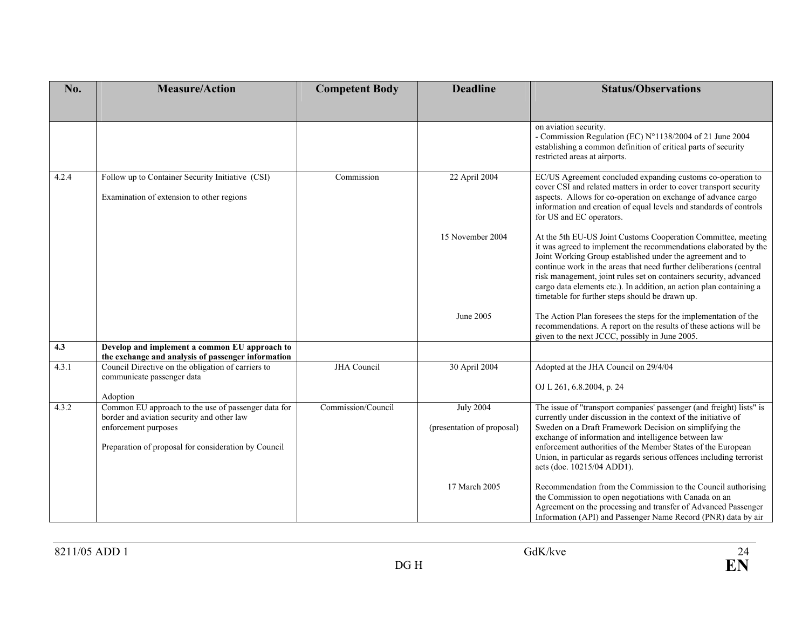| No.   | <b>Measure/Action</b>                                                                                                                                                             | <b>Competent Body</b> | <b>Deadline</b>                                | <b>Status/Observations</b>                                                                                                                                                                                                                                                                                                                                                                                                                                            |
|-------|-----------------------------------------------------------------------------------------------------------------------------------------------------------------------------------|-----------------------|------------------------------------------------|-----------------------------------------------------------------------------------------------------------------------------------------------------------------------------------------------------------------------------------------------------------------------------------------------------------------------------------------------------------------------------------------------------------------------------------------------------------------------|
|       |                                                                                                                                                                                   |                       |                                                |                                                                                                                                                                                                                                                                                                                                                                                                                                                                       |
|       |                                                                                                                                                                                   |                       |                                                | on aviation security.<br>- Commission Regulation (EC) N°1138/2004 of 21 June 2004<br>establishing a common definition of critical parts of security<br>restricted areas at airports.                                                                                                                                                                                                                                                                                  |
| 4.2.4 | Follow up to Container Security Initiative (CSI)<br>Examination of extension to other regions                                                                                     | Commission            | 22 April 2004                                  | EC/US Agreement concluded expanding customs co-operation to<br>cover CSI and related matters in order to cover transport security<br>aspects. Allows for co-operation on exchange of advance cargo<br>information and creation of equal levels and standards of controls<br>for US and EC operators.                                                                                                                                                                  |
|       |                                                                                                                                                                                   |                       | 15 November 2004                               | At the 5th EU-US Joint Customs Cooperation Committee, meeting<br>it was agreed to implement the recommendations elaborated by the<br>Joint Working Group established under the agreement and to<br>continue work in the areas that need further deliberations (central<br>risk management, joint rules set on containers security, advanced<br>cargo data elements etc.). In addition, an action plan containing a<br>timetable for further steps should be drawn up. |
|       |                                                                                                                                                                                   |                       | June 2005                                      | The Action Plan foresees the steps for the implementation of the<br>recommendations. A report on the results of these actions will be<br>given to the next JCCC, possibly in June 2005.                                                                                                                                                                                                                                                                               |
| 4.3   | Develop and implement a common EU approach to<br>the exchange and analysis of passenger information                                                                               |                       |                                                |                                                                                                                                                                                                                                                                                                                                                                                                                                                                       |
| 4.3.1 | Council Directive on the obligation of carriers to<br>communicate passenger data<br>Adoption                                                                                      | JHA Council           | 30 April 2004                                  | Adopted at the JHA Council on 29/4/04<br>OJ L 261, 6.8.2004, p. 24                                                                                                                                                                                                                                                                                                                                                                                                    |
| 4.3.2 | Common EU approach to the use of passenger data for<br>border and aviation security and other law<br>enforcement purposes<br>Preparation of proposal for consideration by Council | Commission/Council    | <b>July 2004</b><br>(presentation of proposal) | The issue of "transport companies' passenger (and freight) lists" is<br>currently under discussion in the context of the initiative of<br>Sweden on a Draft Framework Decision on simplifying the<br>exchange of information and intelligence between law<br>enforcement authorities of the Member States of the European<br>Union, in particular as regards serious offences including terrorist<br>acts (doc. 10215/04 ADD1).                                       |
|       |                                                                                                                                                                                   |                       | 17 March 2005                                  | Recommendation from the Commission to the Council authorising<br>the Commission to open negotiations with Canada on an<br>Agreement on the processing and transfer of Advanced Passenger<br>Information (API) and Passenger Name Record (PNR) data by air                                                                                                                                                                                                             |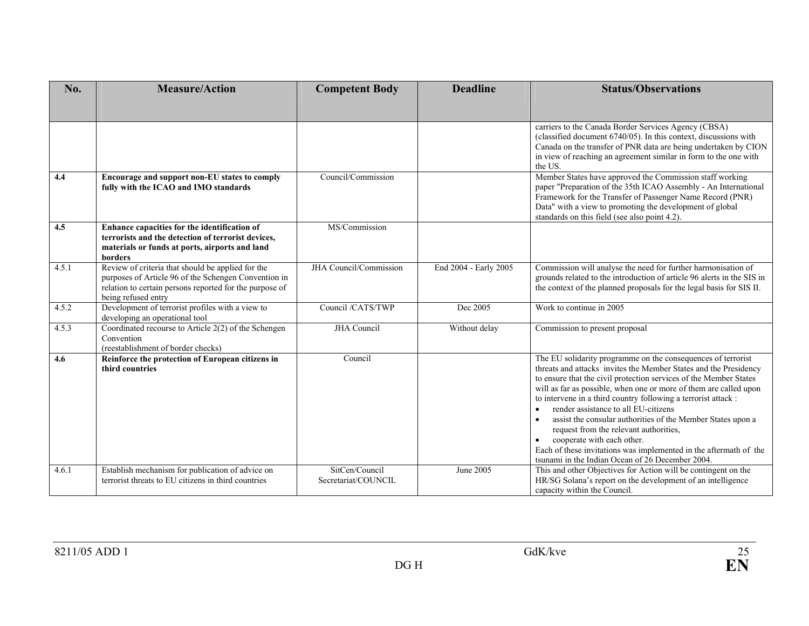| No.   | <b>Measure/Action</b>                                                                                                                                                                       | <b>Competent Body</b>                 | <b>Deadline</b>       | <b>Status/Observations</b>                                                                                                                                                                                                                                                                                                                                                                                                                                                                                                                                                                                                                                                     |
|-------|---------------------------------------------------------------------------------------------------------------------------------------------------------------------------------------------|---------------------------------------|-----------------------|--------------------------------------------------------------------------------------------------------------------------------------------------------------------------------------------------------------------------------------------------------------------------------------------------------------------------------------------------------------------------------------------------------------------------------------------------------------------------------------------------------------------------------------------------------------------------------------------------------------------------------------------------------------------------------|
|       |                                                                                                                                                                                             |                                       |                       |                                                                                                                                                                                                                                                                                                                                                                                                                                                                                                                                                                                                                                                                                |
|       |                                                                                                                                                                                             |                                       |                       | carriers to the Canada Border Services Agency (CBSA)<br>(classified document 6740/05). In this context, discussions with<br>Canada on the transfer of PNR data are being undertaken by CION<br>in view of reaching an agreement similar in form to the one with<br>the US.                                                                                                                                                                                                                                                                                                                                                                                                     |
| 4.4   | Encourage and support non-EU states to comply<br>fully with the ICAO and IMO standards                                                                                                      | Council/Commission                    |                       | Member States have approved the Commission staff working<br>paper "Preparation of the 35th ICAO Assembly - An International<br>Framework for the Transfer of Passenger Name Record (PNR)<br>Data" with a view to promoting the development of global<br>standards on this field (see also point 4.2).                                                                                                                                                                                                                                                                                                                                                                          |
| 4.5   | Enhance capacities for the identification of<br>terrorists and the detection of terrorist devices,<br>materials or funds at ports, airports and land<br>borders                             | MS/Commission                         |                       |                                                                                                                                                                                                                                                                                                                                                                                                                                                                                                                                                                                                                                                                                |
| 4.5.1 | Review of criteria that should be applied for the<br>purposes of Article 96 of the Schengen Convention in<br>relation to certain persons reported for the purpose of<br>being refused entry | JHA Council/Commission                | End 2004 - Early 2005 | Commission will analyse the need for further harmonisation of<br>grounds related to the introduction of article 96 alerts in the SIS in<br>the context of the planned proposals for the legal basis for SIS II.                                                                                                                                                                                                                                                                                                                                                                                                                                                                |
| 4.5.2 | Development of terrorist profiles with a view to<br>developing an operational tool                                                                                                          | Council /CATS/TWP                     | Dec 2005              | Work to continue in 2005                                                                                                                                                                                                                                                                                                                                                                                                                                                                                                                                                                                                                                                       |
| 4.5.3 | Coordinated recourse to Article $2(2)$ of the Schengen<br>Convention<br>(reestablishment of border checks)                                                                                  | <b>JHA</b> Council                    | Without delay         | Commission to present proposal                                                                                                                                                                                                                                                                                                                                                                                                                                                                                                                                                                                                                                                 |
| 4.6   | Reinforce the protection of European citizens in<br>third countries                                                                                                                         | Council                               |                       | The EU solidarity programme on the consequences of terrorist<br>threats and attacks invites the Member States and the Presidency<br>to ensure that the civil protection services of the Member States<br>will as far as possible, when one or more of them are called upon<br>to intervene in a third country following a terrorist attack :<br>render assistance to all EU-citizens<br>$\bullet$<br>assist the consular authorities of the Member States upon a<br>$\bullet$<br>request from the relevant authorities,<br>cooperate with each other.<br>Each of these invitations was implemented in the aftermath of the<br>tsunami in the Indian Ocean of 26 December 2004. |
| 4.6.1 | Establish mechanism for publication of advice on<br>terrorist threats to EU citizens in third countries                                                                                     | SitCen/Council<br>Secretariat/COUNCIL | June 2005             | This and other Objectives for Action will be contingent on the<br>HR/SG Solana's report on the development of an intelligence<br>capacity within the Council.                                                                                                                                                                                                                                                                                                                                                                                                                                                                                                                  |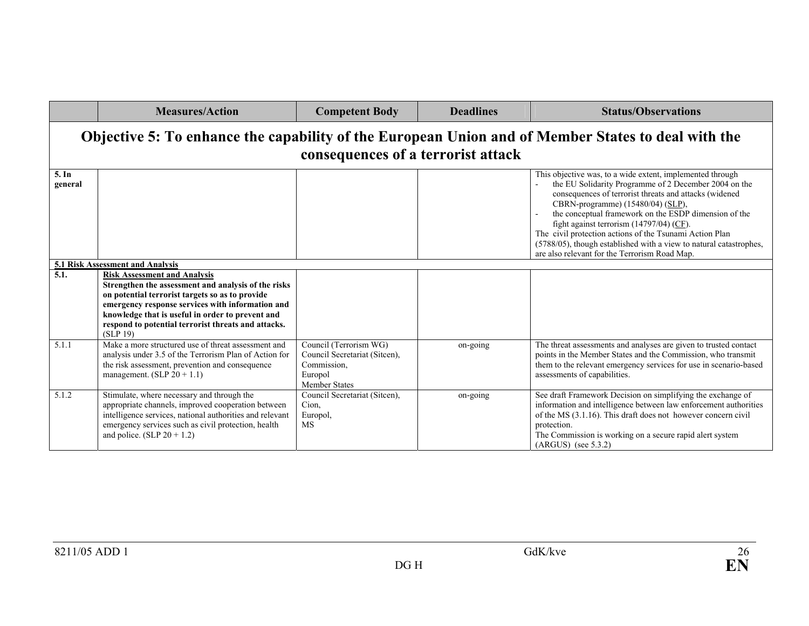|                    | <b>Measures/Action</b>                                                                                                                                                                                                                                                                                                   | <b>Competent Body</b>                                                                                     | <b>Deadlines</b> | <b>Status/Observations</b>                                                                                                                                                                                                                                                                                                                                                                                                                                                                                 |  |
|--------------------|--------------------------------------------------------------------------------------------------------------------------------------------------------------------------------------------------------------------------------------------------------------------------------------------------------------------------|-----------------------------------------------------------------------------------------------------------|------------------|------------------------------------------------------------------------------------------------------------------------------------------------------------------------------------------------------------------------------------------------------------------------------------------------------------------------------------------------------------------------------------------------------------------------------------------------------------------------------------------------------------|--|
|                    | Objective 5: To enhance the capability of the European Union and of Member States to deal with the<br>consequences of a terrorist attack                                                                                                                                                                                 |                                                                                                           |                  |                                                                                                                                                                                                                                                                                                                                                                                                                                                                                                            |  |
| 5. In<br>general   | 5.1 Risk Assessment and Analysis                                                                                                                                                                                                                                                                                         |                                                                                                           |                  | This objective was, to a wide extent, implemented through<br>the EU Solidarity Programme of 2 December 2004 on the<br>consequences of terrorist threats and attacks (widened<br>CBRN-programme) (15480/04) (SLP),<br>the conceptual framework on the ESDP dimension of the<br>fight against terrorism $(14797/04)$ (CF).<br>The civil protection actions of the Tsunami Action Plan<br>(5788/05), though established with a view to natural catastrophes,<br>are also relevant for the Terrorism Road Map. |  |
| $\overline{5.1}$ . | <b>Risk Assessment and Analysis</b><br>Strengthen the assessment and analysis of the risks<br>on potential terrorist targets so as to provide<br>emergency response services with information and<br>knowledge that is useful in order to prevent and<br>respond to potential terrorist threats and attacks.<br>(SLP 19) |                                                                                                           |                  |                                                                                                                                                                                                                                                                                                                                                                                                                                                                                                            |  |
| 5.1.1              | Make a more structured use of threat assessment and<br>analysis under 3.5 of the Terrorism Plan of Action for<br>the risk assessment, prevention and consequence<br>management. $(SLP 20 + 1.1)$                                                                                                                         | Council (Terrorism WG)<br>Council Secretariat (Sitcen),<br>Commission,<br>Europol<br><b>Member States</b> | on-going         | The threat assessments and analyses are given to trusted contact<br>points in the Member States and the Commission, who transmit<br>them to the relevant emergency services for use in scenario-based<br>assessments of capabilities.                                                                                                                                                                                                                                                                      |  |
| 5.1.2              | Stimulate, where necessary and through the<br>appropriate channels, improved cooperation between<br>intelligence services, national authorities and relevant<br>emergency services such as civil protection, health<br>and police. $(SLP 20 + 1.2)$                                                                      | Council Secretariat (Sitcen),<br>Cion,<br>Europol,<br><b>MS</b>                                           | on-going         | See draft Framework Decision on simplifying the exchange of<br>information and intelligence between law enforcement authorities<br>of the MS $(3.1.16)$ . This draft does not however concern civil<br>protection.<br>The Commission is working on a secure rapid alert system<br>$(ARGUS)$ (see 5.3.2)                                                                                                                                                                                                    |  |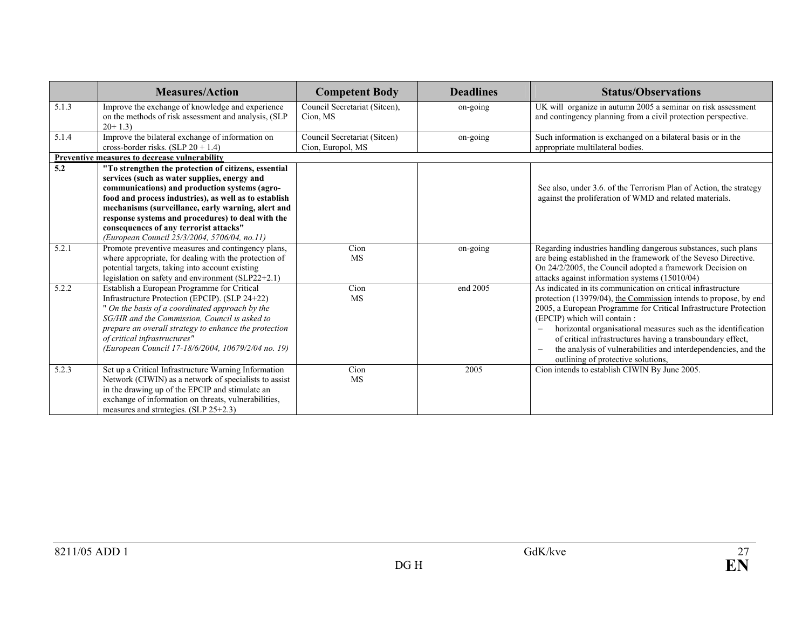|                  | <b>Measures/Action</b>                                                                                                                                                                                                                                                                                                                                                                                              | <b>Competent Body</b>                             | <b>Deadlines</b> | <b>Status/Observations</b>                                                                                                                                                                                                                                                                                                                                                                                                                                                   |
|------------------|---------------------------------------------------------------------------------------------------------------------------------------------------------------------------------------------------------------------------------------------------------------------------------------------------------------------------------------------------------------------------------------------------------------------|---------------------------------------------------|------------------|------------------------------------------------------------------------------------------------------------------------------------------------------------------------------------------------------------------------------------------------------------------------------------------------------------------------------------------------------------------------------------------------------------------------------------------------------------------------------|
| 5.1.3            | Improve the exchange of knowledge and experience<br>on the methods of risk assessment and analysis, (SLP<br>$20+1.3$                                                                                                                                                                                                                                                                                                | Council Secretariat (Sitcen),<br>Cion, MS         | on-going         | UK will organize in autumn 2005 a seminar on risk assessment<br>and contingency planning from a civil protection perspective.                                                                                                                                                                                                                                                                                                                                                |
| 5.1.4            | Improve the bilateral exchange of information on<br>cross-border risks. (SLP $20 + 1.4$ )                                                                                                                                                                                                                                                                                                                           | Council Secretariat (Sitcen)<br>Cion, Europol, MS | on-going         | Such information is exchanged on a bilateral basis or in the<br>appropriate multilateral bodies.                                                                                                                                                                                                                                                                                                                                                                             |
|                  | <b>Preventive measures to decrease vulnerability</b>                                                                                                                                                                                                                                                                                                                                                                |                                                   |                  |                                                                                                                                                                                                                                                                                                                                                                                                                                                                              |
| $\overline{5.2}$ | "To strengthen the protection of citizens, essential<br>services (such as water supplies, energy and<br>communications) and production systems (agro-<br>food and process industries), as well as to establish<br>mechanisms (surveillance, early warning, alert and<br>response systems and procedures) to deal with the<br>consequences of any terrorist attacks"<br>(European Council 25/3/2004, 5706/04, no.11) |                                                   |                  | See also, under 3.6. of the Terrorism Plan of Action, the strategy<br>against the proliferation of WMD and related materials.                                                                                                                                                                                                                                                                                                                                                |
| 5.2.1            | Promote preventive measures and contingency plans,<br>where appropriate, for dealing with the protection of<br>potential targets, taking into account existing<br>legislation on safety and environment (SLP22+2.1)                                                                                                                                                                                                 | Cion<br><b>MS</b>                                 | on-going         | Regarding industries handling dangerous substances, such plans<br>are being established in the framework of the Seveso Directive.<br>On 24/2/2005, the Council adopted a framework Decision on<br>attacks against information systems (15010/04)                                                                                                                                                                                                                             |
| 5.2.2            | Establish a European Programme for Critical<br>Infrastructure Protection (EPCIP). (SLP 24+22)<br>" On the basis of a coordinated approach by the<br>SG/HR and the Commission. Council is asked to<br>prepare an overall strategy to enhance the protection<br>of critical infrastructures"<br>(European Council 17-18/6/2004, 10679/2/04 no. 19)                                                                    | Cion<br><b>MS</b>                                 | end 2005         | As indicated in its communication on critical infrastructure<br>protection (13979/04), the Commission intends to propose, by end<br>2005, a European Programme for Critical Infrastructure Protection<br>(EPCIP) which will contain :<br>horizontal organisational measures such as the identification<br>of critical infrastructures having a transboundary effect,<br>the analysis of vulnerabilities and interdependencies, and the<br>outlining of protective solutions, |
| 5.2.3            | Set up a Critical Infrastructure Warning Information<br>Network (CIWIN) as a network of specialists to assist<br>in the drawing up of the EPCIP and stimulate an<br>exchange of information on threats, vulnerabilities,<br>measures and strategies. (SLP 25+2.3)                                                                                                                                                   | Cion<br><b>MS</b>                                 | 2005             | Cion intends to establish CIWIN By June 2005.                                                                                                                                                                                                                                                                                                                                                                                                                                |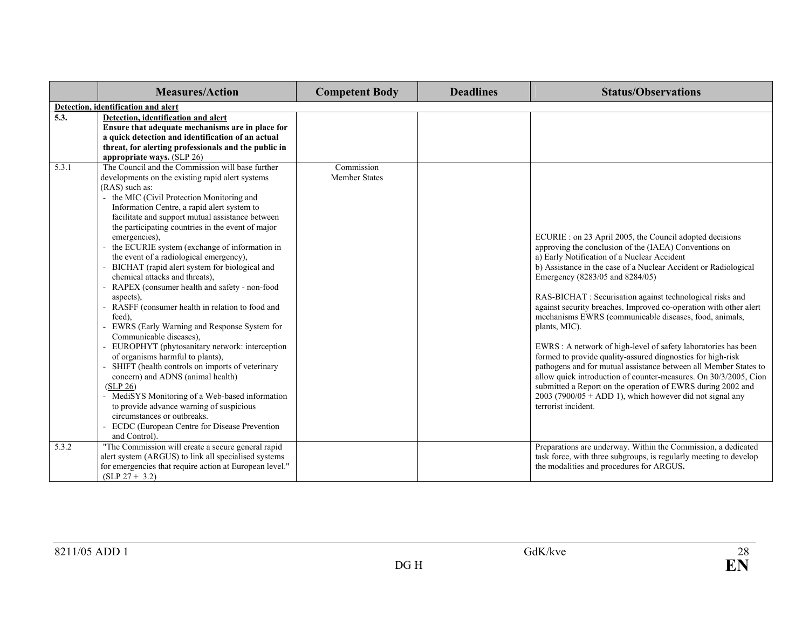|               | <b>Measures/Action</b>                                                                                                                                                                                                                                                                                                                                                                                                                                                                                                                                                                                                                                                                                                                                                                                                                                                                                                                                                                                                                                            | <b>Competent Body</b> | <b>Deadlines</b> | <b>Status/Observations</b>                                                                                                                                                                                                                                                                                                                                                                                                                                                                                                                                                                                                                                                                                                                                                                                                                                                                                    |
|---------------|-------------------------------------------------------------------------------------------------------------------------------------------------------------------------------------------------------------------------------------------------------------------------------------------------------------------------------------------------------------------------------------------------------------------------------------------------------------------------------------------------------------------------------------------------------------------------------------------------------------------------------------------------------------------------------------------------------------------------------------------------------------------------------------------------------------------------------------------------------------------------------------------------------------------------------------------------------------------------------------------------------------------------------------------------------------------|-----------------------|------------------|---------------------------------------------------------------------------------------------------------------------------------------------------------------------------------------------------------------------------------------------------------------------------------------------------------------------------------------------------------------------------------------------------------------------------------------------------------------------------------------------------------------------------------------------------------------------------------------------------------------------------------------------------------------------------------------------------------------------------------------------------------------------------------------------------------------------------------------------------------------------------------------------------------------|
|               | Detection, identification and alert                                                                                                                                                                                                                                                                                                                                                                                                                                                                                                                                                                                                                                                                                                                                                                                                                                                                                                                                                                                                                               |                       |                  |                                                                                                                                                                                                                                                                                                                                                                                                                                                                                                                                                                                                                                                                                                                                                                                                                                                                                                               |
| 5.3.<br>5.3.1 | Detection, identification and alert<br>Ensure that adequate mechanisms are in place for<br>a quick detection and identification of an actual<br>threat, for alerting professionals and the public in<br>appropriate ways. (SLP 26)<br>The Council and the Commission will base further                                                                                                                                                                                                                                                                                                                                                                                                                                                                                                                                                                                                                                                                                                                                                                            | Commission            |                  |                                                                                                                                                                                                                                                                                                                                                                                                                                                                                                                                                                                                                                                                                                                                                                                                                                                                                                               |
|               | developments on the existing rapid alert systems<br>(RAS) such as:<br>- the MIC (Civil Protection Monitoring and<br>Information Centre, a rapid alert system to<br>facilitate and support mutual assistance between<br>the participating countries in the event of major<br>emergencies),<br>the ECURIE system (exchange of information in<br>the event of a radiological emergency),<br>BICHAT (rapid alert system for biological and<br>chemical attacks and threats),<br>RAPEX (consumer health and safety - non-food<br>aspects),<br>RASFF (consumer health in relation to food and<br>feed).<br>EWRS (Early Warning and Response System for<br>Communicable diseases),<br>EUROPHYT (phytosanitary network: interception<br>of organisms harmful to plants),<br>SHIFT (health controls on imports of veterinary<br>concern) and ADNS (animal health)<br>(SLP 26)<br>MediSYS Monitoring of a Web-based information<br>to provide advance warning of suspicious<br>circumstances or outbreaks.<br>ECDC (European Centre for Disease Prevention<br>and Control). | <b>Member States</b>  |                  | ECURIE: on 23 April 2005, the Council adopted decisions<br>approving the conclusion of the (IAEA) Conventions on<br>a) Early Notification of a Nuclear Accident<br>b) Assistance in the case of a Nuclear Accident or Radiological<br>Emergency (8283/05 and 8284/05)<br>RAS-BICHAT: Securisation against technological risks and<br>against security breaches. Improved co-operation with other alert<br>mechanisms EWRS (communicable diseases, food, animals,<br>plants, MIC).<br>EWRS: A network of high-level of safety laboratories has been<br>formed to provide quality-assured diagnostics for high-risk<br>pathogens and for mutual assistance between all Member States to<br>allow quick introduction of counter-measures. On 30/3/2005, Cion<br>submitted a Report on the operation of EWRS during 2002 and<br>$2003$ (7900/05 + ADD 1), which however did not signal any<br>terrorist incident. |
| 5.3.2         | "The Commission will create a secure general rapid<br>alert system (ARGUS) to link all specialised systems<br>for emergencies that require action at European level."<br>$(SLP 27 + 3.2)$                                                                                                                                                                                                                                                                                                                                                                                                                                                                                                                                                                                                                                                                                                                                                                                                                                                                         |                       |                  | Preparations are underway. Within the Commission, a dedicated<br>task force, with three subgroups, is regularly meeting to develop<br>the modalities and procedures for ARGUS.                                                                                                                                                                                                                                                                                                                                                                                                                                                                                                                                                                                                                                                                                                                                |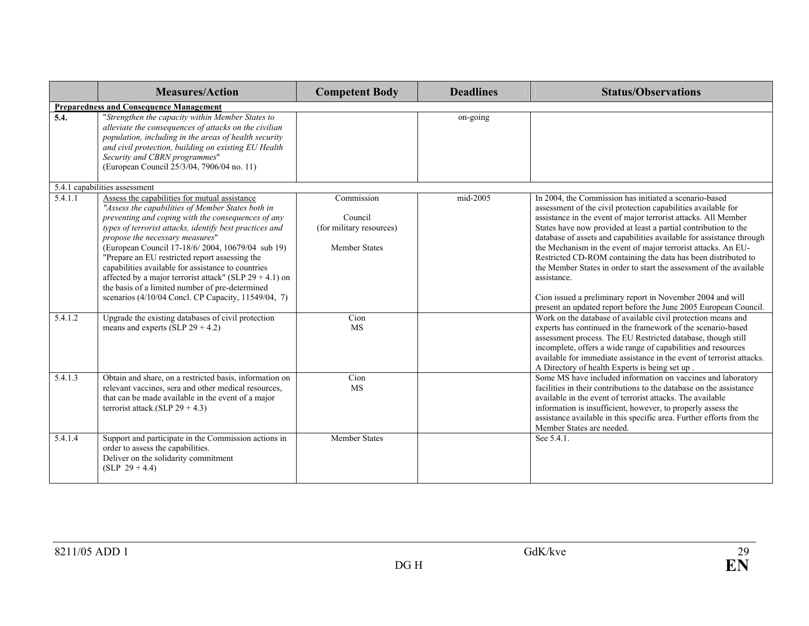|                      | <b>Measures/Action</b>                                                                                                                                                                                                                                                                                                                                                                                                                                                                                                                                                                     | <b>Competent Body</b>                                                     | <b>Deadlines</b> | <b>Status/Observations</b>                                                                                                                                                                                                                                                                                                                                                                                                                                                                                                                                                                                                                                                                     |
|----------------------|--------------------------------------------------------------------------------------------------------------------------------------------------------------------------------------------------------------------------------------------------------------------------------------------------------------------------------------------------------------------------------------------------------------------------------------------------------------------------------------------------------------------------------------------------------------------------------------------|---------------------------------------------------------------------------|------------------|------------------------------------------------------------------------------------------------------------------------------------------------------------------------------------------------------------------------------------------------------------------------------------------------------------------------------------------------------------------------------------------------------------------------------------------------------------------------------------------------------------------------------------------------------------------------------------------------------------------------------------------------------------------------------------------------|
|                      | <b>Preparedness and Consequence Management</b>                                                                                                                                                                                                                                                                                                                                                                                                                                                                                                                                             |                                                                           |                  |                                                                                                                                                                                                                                                                                                                                                                                                                                                                                                                                                                                                                                                                                                |
| 5.4.                 | "Strengthen the capacity within Member States to<br>alleviate the consequences of attacks on the civilian<br>population, including in the areas of health security<br>and civil protection, building on existing EU Health<br>Security and CBRN programmes"<br>(European Council 25/3/04, 7906/04 no. 11)                                                                                                                                                                                                                                                                                  |                                                                           | on-going         |                                                                                                                                                                                                                                                                                                                                                                                                                                                                                                                                                                                                                                                                                                |
|                      | 5.4.1 capabilities assessment                                                                                                                                                                                                                                                                                                                                                                                                                                                                                                                                                              |                                                                           |                  |                                                                                                                                                                                                                                                                                                                                                                                                                                                                                                                                                                                                                                                                                                |
| 5.4.1.1              | Assess the capabilities for mutual assistance<br>"Assess the capabilities of Member States both in<br>preventing and coping with the consequences of any<br>types of terrorist attacks, identify best practices and<br>propose the necessary measures"<br>(European Council 17-18/6/2004, 10679/04 sub 19)<br>"Prepare an EU restricted report assessing the<br>capabilities available for assistance to countries<br>affected by a major terrorist attack" (SLP $29 + 4.1$ ) on<br>the basis of a limited number of pre-determined<br>scenarios (4/10/04 Concl. CP Capacity, 11549/04, 7) | Commission<br>Council<br>(for military resources)<br><b>Member States</b> | mid-2005         | In 2004, the Commission has initiated a scenario-based<br>assessment of the civil protection capabilities available for<br>assistance in the event of major terrorist attacks. All Member<br>States have now provided at least a partial contribution to the<br>database of assets and capabilities available for assistance through<br>the Mechanism in the event of major terrorist attacks. An EU-<br>Restricted CD-ROM containing the data has been distributed to<br>the Member States in order to start the assessment of the available<br>assistance.<br>Cion issued a preliminary report in November 2004 and will<br>present an updated report before the June 2005 European Council. |
| 5.4.1.2              | Upgrade the existing databases of civil protection<br>means and experts (SLP $29 + 4.2$ )                                                                                                                                                                                                                                                                                                                                                                                                                                                                                                  | Cion<br><b>MS</b>                                                         |                  | Work on the database of available civil protection means and<br>experts has continued in the framework of the scenario-based<br>assessment process. The EU Restricted database, though still<br>incomplete, offers a wide range of capabilities and resources<br>available for immediate assistance in the event of terrorist attacks.<br>A Directory of health Experts is being set up.                                                                                                                                                                                                                                                                                                       |
| $\overline{5.4.1.3}$ | Obtain and share, on a restricted basis, information on<br>relevant vaccines, sera and other medical resources,<br>that can be made available in the event of a major<br>terrorist attack.(SLP $29 + 4.3$ )                                                                                                                                                                                                                                                                                                                                                                                | Cion<br><b>MS</b>                                                         |                  | Some MS have included information on vaccines and laboratory<br>facilities in their contributions to the database on the assistance<br>available in the event of terrorist attacks. The available<br>information is insufficient, however, to properly assess the<br>assistance available in this specific area. Further efforts from the<br>Member States are needed.                                                                                                                                                                                                                                                                                                                         |
| 5.4.1.4              | Support and participate in the Commission actions in<br>order to assess the capabilities.<br>Deliver on the solidarity commitment<br>$(SLP 29 + 4.4)$                                                                                                                                                                                                                                                                                                                                                                                                                                      | <b>Member States</b>                                                      |                  | See 5.4.1.                                                                                                                                                                                                                                                                                                                                                                                                                                                                                                                                                                                                                                                                                     |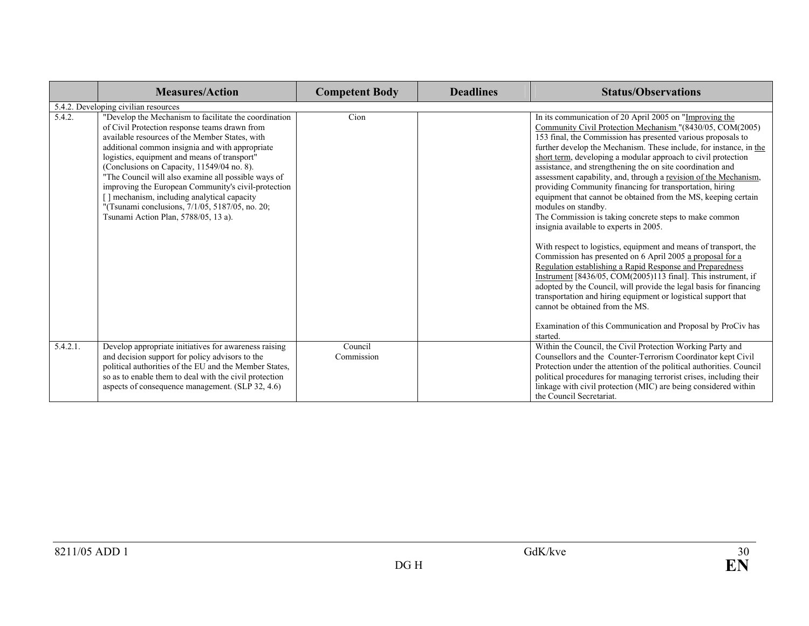|             | <b>Measures/Action</b>                                                                                                                                                                                                                                                                                                                                                                                                                                                                                                                                           | <b>Competent Body</b> | <b>Deadlines</b> | <b>Status/Observations</b>                                                                                                                                                                                                                                                                                                                                                                                                                                                                                                                                                                                                                                                                                                                                                                                                                                                                                                                                                                                                                                                                                                                                                                                                                   |
|-------------|------------------------------------------------------------------------------------------------------------------------------------------------------------------------------------------------------------------------------------------------------------------------------------------------------------------------------------------------------------------------------------------------------------------------------------------------------------------------------------------------------------------------------------------------------------------|-----------------------|------------------|----------------------------------------------------------------------------------------------------------------------------------------------------------------------------------------------------------------------------------------------------------------------------------------------------------------------------------------------------------------------------------------------------------------------------------------------------------------------------------------------------------------------------------------------------------------------------------------------------------------------------------------------------------------------------------------------------------------------------------------------------------------------------------------------------------------------------------------------------------------------------------------------------------------------------------------------------------------------------------------------------------------------------------------------------------------------------------------------------------------------------------------------------------------------------------------------------------------------------------------------|
|             | 5.4.2. Developing civilian resources                                                                                                                                                                                                                                                                                                                                                                                                                                                                                                                             |                       |                  |                                                                                                                                                                                                                                                                                                                                                                                                                                                                                                                                                                                                                                                                                                                                                                                                                                                                                                                                                                                                                                                                                                                                                                                                                                              |
| 5.4.2.      | "Develop the Mechanism to facilitate the coordination<br>of Civil Protection response teams drawn from<br>available resources of the Member States, with<br>additional common insignia and with appropriate<br>logistics, equipment and means of transport"<br>(Conclusions on Capacity, 11549/04 no. 8).<br>"The Council will also examine all possible ways of<br>improving the European Community's civil-protection<br>] mechanism, including analytical capacity<br>"(Tsunami conclusions, 7/1/05, 5187/05, no. 20;<br>Tsunami Action Plan, 5788/05, 13 a). | Cion                  |                  | In its communication of 20 April 2005 on "Improving the<br>Community Civil Protection Mechanism "(8430/05, COM(2005)<br>153 final, the Commission has presented various proposals to<br>further develop the Mechanism. These include, for instance, in the<br>short term, developing a modular approach to civil protection<br>assistance, and strengthening the on site coordination and<br>assessment capability, and, through a revision of the Mechanism,<br>providing Community financing for transportation, hiring<br>equipment that cannot be obtained from the MS, keeping certain<br>modules on standby.<br>The Commission is taking concrete steps to make common<br>insignia available to experts in 2005.<br>With respect to logistics, equipment and means of transport, the<br>Commission has presented on 6 April 2005 a proposal for a<br>Regulation establishing a Rapid Response and Preparedness<br>Instrument [8436/05, COM(2005)113 final]. This instrument, if<br>adopted by the Council, will provide the legal basis for financing<br>transportation and hiring equipment or logistical support that<br>cannot be obtained from the MS.<br>Examination of this Communication and Proposal by ProCiv has<br>started. |
| $5.4.2.1$ . | Develop appropriate initiatives for awareness raising<br>and decision support for policy advisors to the<br>political authorities of the EU and the Member States,<br>so as to enable them to deal with the civil protection<br>aspects of consequence management. (SLP 32, 4.6)                                                                                                                                                                                                                                                                                 | Council<br>Commission |                  | Within the Council, the Civil Protection Working Party and<br>Counsellors and the Counter-Terrorism Coordinator kept Civil<br>Protection under the attention of the political authorities. Council<br>political procedures for managing terrorist crises, including their<br>linkage with civil protection (MIC) are being considered within<br>the Council Secretariat.                                                                                                                                                                                                                                                                                                                                                                                                                                                                                                                                                                                                                                                                                                                                                                                                                                                                     |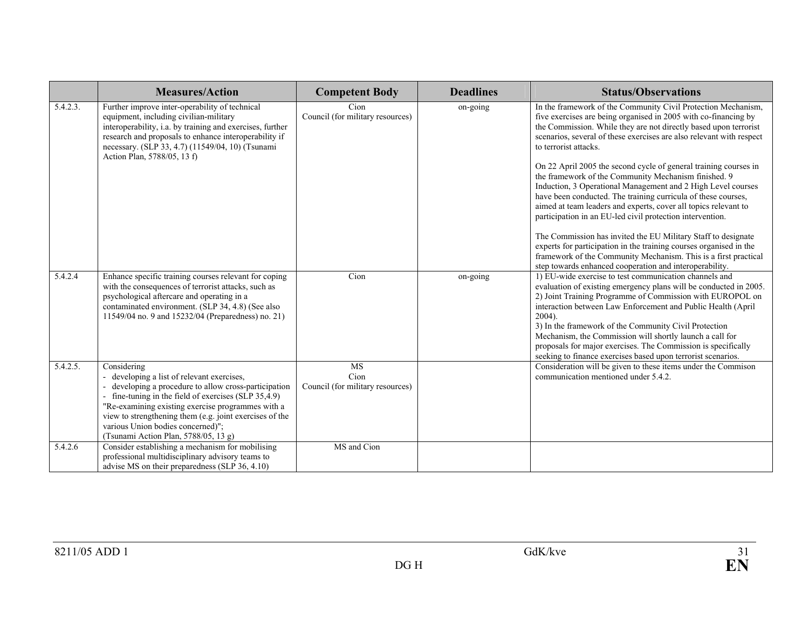|          | <b>Measures/Action</b>                                                                                                                                                                                                                                                                                                                                                | <b>Competent Body</b>                                 | <b>Deadlines</b> | <b>Status/Observations</b>                                                                                                                                                                                                                                                                                                                                                                                                                                                                                                                                                                                                                                                                         |
|----------|-----------------------------------------------------------------------------------------------------------------------------------------------------------------------------------------------------------------------------------------------------------------------------------------------------------------------------------------------------------------------|-------------------------------------------------------|------------------|----------------------------------------------------------------------------------------------------------------------------------------------------------------------------------------------------------------------------------------------------------------------------------------------------------------------------------------------------------------------------------------------------------------------------------------------------------------------------------------------------------------------------------------------------------------------------------------------------------------------------------------------------------------------------------------------------|
| 5.4.2.3. | Further improve inter-operability of technical<br>equipment, including civilian-military<br>interoperability, i.a. by training and exercises, further<br>research and proposals to enhance interoperability if<br>necessary. (SLP 33, 4.7) (11549/04, 10) (Tsunami<br>Action Plan, 5788/05, 13 f)                                                                     | Cion<br>Council (for military resources)              | on-going         | In the framework of the Community Civil Protection Mechanism,<br>five exercises are being organised in 2005 with co-financing by<br>the Commission. While they are not directly based upon terrorist<br>scenarios, several of these exercises are also relevant with respect<br>to terrorist attacks.<br>On 22 April 2005 the second cycle of general training courses in<br>the framework of the Community Mechanism finished. 9<br>Induction, 3 Operational Management and 2 High Level courses<br>have been conducted. The training curricula of these courses,<br>aimed at team leaders and experts, cover all topics relevant to<br>participation in an EU-led civil protection intervention. |
|          |                                                                                                                                                                                                                                                                                                                                                                       |                                                       |                  | The Commission has invited the EU Military Staff to designate<br>experts for participation in the training courses organised in the<br>framework of the Community Mechanism. This is a first practical<br>step towards enhanced cooperation and interoperability.                                                                                                                                                                                                                                                                                                                                                                                                                                  |
| 5.4.2.4  | Enhance specific training courses relevant for coping<br>with the consequences of terrorist attacks, such as<br>psychological aftercare and operating in a<br>contaminated environment. (SLP 34, 4.8) (See also<br>11549/04 no. 9 and 15232/04 (Preparedness) no. 21)                                                                                                 | Cion                                                  | on-going         | 1) EU-wide exercise to test communication channels and<br>evaluation of existing emergency plans will be conducted in 2005.<br>2) Joint Training Programme of Commission with EUROPOL on<br>interaction between Law Enforcement and Public Health (April<br>$2004$ ).<br>3) In the framework of the Community Civil Protection<br>Mechanism, the Commission will shortly launch a call for<br>proposals for major exercises. The Commission is specifically<br>seeking to finance exercises based upon terrorist scenarios.                                                                                                                                                                        |
| 5.4.2.5. | Considering<br>- developing a list of relevant exercises,<br>developing a procedure to allow cross-participation<br>- fine-tuning in the field of exercises (SLP 35,4.9)<br>"Re-examining existing exercise programmes with a<br>view to strengthening them (e.g. joint exercises of the<br>various Union bodies concerned)";<br>(Tsunami Action Plan, 5788/05, 13 g) | <b>MS</b><br>Cion<br>Council (for military resources) |                  | Consideration will be given to these items under the Commison<br>communication mentioned under 5.4.2.                                                                                                                                                                                                                                                                                                                                                                                                                                                                                                                                                                                              |
| 5.4.2.6  | Consider establishing a mechanism for mobilising<br>professional multidisciplinary advisory teams to<br>advise MS on their preparedness (SLP 36, 4.10)                                                                                                                                                                                                                | MS and Cion                                           |                  |                                                                                                                                                                                                                                                                                                                                                                                                                                                                                                                                                                                                                                                                                                    |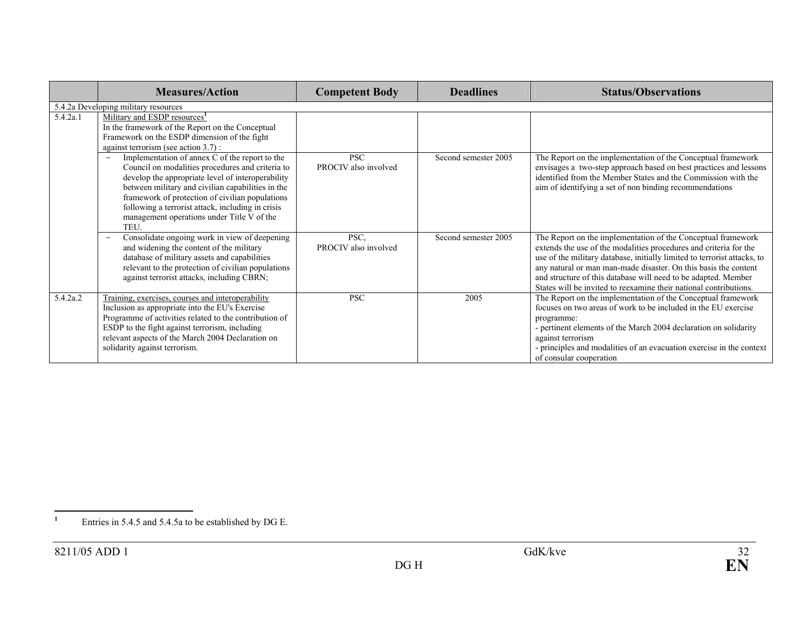|          | <b>Measures/Action</b>                                                                                                                                                                                                                                                                                                                                                                                 | <b>Competent Body</b>              | <b>Deadlines</b>     | <b>Status/Observations</b>                                                                                                                                                                                                                                                                                                                                                                                              |
|----------|--------------------------------------------------------------------------------------------------------------------------------------------------------------------------------------------------------------------------------------------------------------------------------------------------------------------------------------------------------------------------------------------------------|------------------------------------|----------------------|-------------------------------------------------------------------------------------------------------------------------------------------------------------------------------------------------------------------------------------------------------------------------------------------------------------------------------------------------------------------------------------------------------------------------|
|          | 5.4.2a Developing military resources                                                                                                                                                                                                                                                                                                                                                                   |                                    |                      |                                                                                                                                                                                                                                                                                                                                                                                                                         |
| 5.4.2a.1 | Military and ESDP resources <sup>1</sup><br>In the framework of the Report on the Conceptual<br>Framework on the ESDP dimension of the fight<br>against terrorism (see action 3.7):                                                                                                                                                                                                                    |                                    |                      |                                                                                                                                                                                                                                                                                                                                                                                                                         |
|          | Implementation of annex C of the report to the<br>$\overline{\phantom{m}}$<br>Council on modalities procedures and criteria to<br>develop the appropriate level of interoperability<br>between military and civilian capabilities in the<br>framework of protection of civilian populations<br>following a terrorist attack, including in crisis<br>management operations under Title V of the<br>TEU. | <b>PSC</b><br>PROCIV also involved | Second semester 2005 | The Report on the implementation of the Conceptual framework<br>envisages a two-step approach based on best practices and lessons<br>identified from the Member States and the Commission with the<br>aim of identifying a set of non binding recommendations                                                                                                                                                           |
|          | Consolidate ongoing work in view of deepening<br>and widening the content of the military<br>database of military assets and capabilities<br>relevant to the protection of civilian populations<br>against terrorist attacks, including CBRN;                                                                                                                                                          | PSC,<br>PROCIV also involved       | Second semester 2005 | The Report on the implementation of the Conceptual framework<br>extends the use of the modalities procedures and criteria for the<br>use of the military database, initially limited to terrorist attacks, to<br>any natural or man man-made disaster. On this basis the content<br>and structure of this database will need to be adapted. Member<br>States will be invited to reexamine their national contributions. |
| 5.4.2a.2 | Training, exercises, courses and interoperability<br>Inclusion as appropriate into the EU's Exercise<br>Programme of activities related to the contribution of<br>ESDP to the fight against terrorism, including<br>relevant aspects of the March 2004 Declaration on<br>solidarity against terrorism.                                                                                                 | <b>PSC</b>                         | 2005                 | The Report on the implementation of the Conceptual framework<br>focuses on two areas of work to be included in the EU exercise<br>programme:<br>- pertinent elements of the March 2004 declaration on solidarity<br>against terrorism<br>- principles and modalities of an evacuation exercise in the context<br>of consular cooperation                                                                                |

**<sup>1</sup>** Entries in 5.4.5 and 5.4.5a to be established by DG E.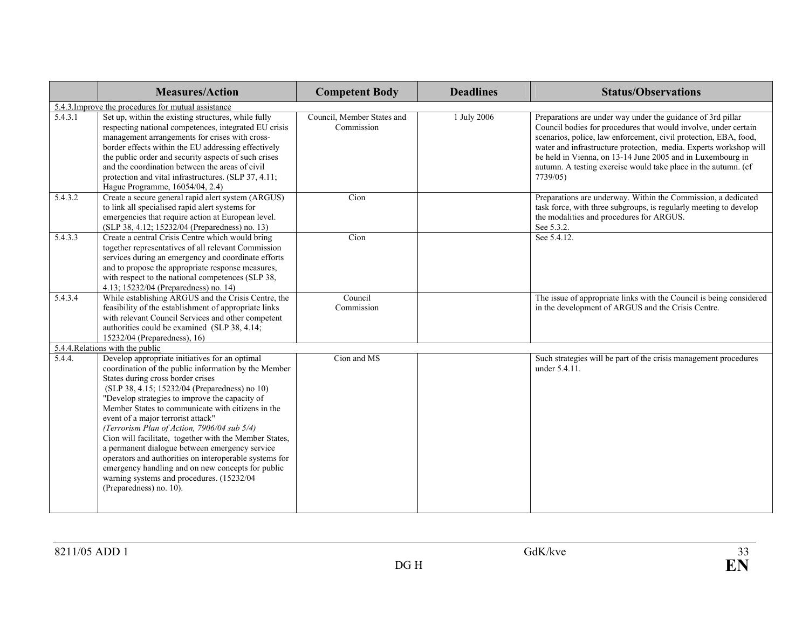|         | <b>Measures/Action</b>                                                                                                                                                                                                                                                                                                                                                                                                                                                                                                                                                                                                                                                                      | <b>Competent Body</b>                    | <b>Deadlines</b> | <b>Status/Observations</b>                                                                                                                                                                                                                                                                                                                                                                                         |
|---------|---------------------------------------------------------------------------------------------------------------------------------------------------------------------------------------------------------------------------------------------------------------------------------------------------------------------------------------------------------------------------------------------------------------------------------------------------------------------------------------------------------------------------------------------------------------------------------------------------------------------------------------------------------------------------------------------|------------------------------------------|------------------|--------------------------------------------------------------------------------------------------------------------------------------------------------------------------------------------------------------------------------------------------------------------------------------------------------------------------------------------------------------------------------------------------------------------|
|         | 5.4.3. Improve the procedures for mutual assistance                                                                                                                                                                                                                                                                                                                                                                                                                                                                                                                                                                                                                                         |                                          |                  |                                                                                                                                                                                                                                                                                                                                                                                                                    |
| 5.4.3.1 | Set up, within the existing structures, while fully<br>respecting national competences, integrated EU crisis<br>management arrangements for crises with cross-<br>border effects within the EU addressing effectively<br>the public order and security aspects of such crises<br>and the coordination between the areas of civil<br>protection and vital infrastructures. (SLP 37, 4.11;<br>Hague Programme, 16054/04, 2.4)                                                                                                                                                                                                                                                                 | Council, Member States and<br>Commission | 1 July 2006      | Preparations are under way under the guidance of 3rd pillar<br>Council bodies for procedures that would involve, under certain<br>scenarios, police, law enforcement, civil protection, EBA, food,<br>water and infrastructure protection, media. Experts workshop will<br>be held in Vienna, on 13-14 June 2005 and in Luxembourg in<br>autumn. A testing exercise would take place in the autumn. (cf<br>7739/05 |
| 5.4.3.2 | Create a secure general rapid alert system (ARGUS)<br>to link all specialised rapid alert systems for<br>emergencies that require action at European level.<br>(SLP 38, 4.12; 15232/04 (Preparedness) no. 13)                                                                                                                                                                                                                                                                                                                                                                                                                                                                               | Cion                                     |                  | Preparations are underway. Within the Commission, a dedicated<br>task force, with three subgroups, is regularly meeting to develop<br>the modalities and procedures for ARGUS.<br>See 5.3.2.                                                                                                                                                                                                                       |
| 5.4.3.3 | Create a central Crisis Centre which would bring<br>together representatives of all relevant Commission<br>services during an emergency and coordinate efforts<br>and to propose the appropriate response measures,<br>with respect to the national competences (SLP 38,<br>4.13; 15232/04 (Preparedness) no. 14)                                                                                                                                                                                                                                                                                                                                                                           | Cion                                     |                  | See 5.4.12.                                                                                                                                                                                                                                                                                                                                                                                                        |
| 5.4.3.4 | While establishing ARGUS and the Crisis Centre, the<br>feasibility of the establishment of appropriate links<br>with relevant Council Services and other competent<br>authorities could be examined (SLP 38, 4.14;<br>15232/04 (Preparedness), 16)                                                                                                                                                                                                                                                                                                                                                                                                                                          | Council<br>Commission                    |                  | The issue of appropriate links with the Council is being considered<br>in the development of ARGUS and the Crisis Centre.                                                                                                                                                                                                                                                                                          |
|         | 5.4.4. Relations with the public                                                                                                                                                                                                                                                                                                                                                                                                                                                                                                                                                                                                                                                            |                                          |                  |                                                                                                                                                                                                                                                                                                                                                                                                                    |
| 5.4.4.  | Develop appropriate initiatives for an optimal<br>coordination of the public information by the Member<br>States during cross border crises<br>(SLP 38, 4.15; 15232/04 (Preparedness) no 10)<br>"Develop strategies to improve the capacity of<br>Member States to communicate with citizens in the<br>event of a major terrorist attack"<br>(Terrorism Plan of Action, 7906/04 sub 5/4)<br>Cion will facilitate, together with the Member States,<br>a permanent dialogue between emergency service<br>operators and authorities on interoperable systems for<br>emergency handling and on new concepts for public<br>warning systems and procedures. (15232/04<br>(Preparedness) no. 10). | Cion and MS                              |                  | Such strategies will be part of the crisis management procedures<br>under 5.4.11.                                                                                                                                                                                                                                                                                                                                  |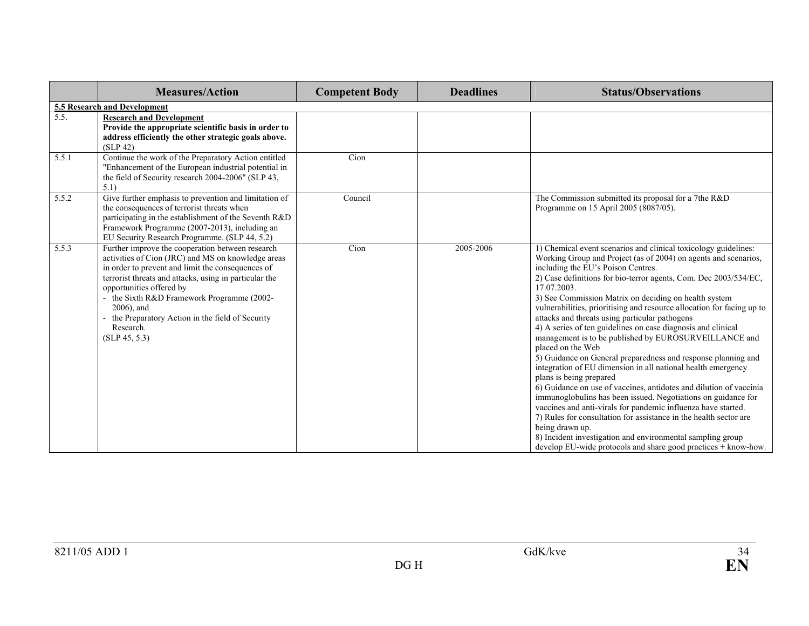|       | <b>Measures/Action</b>                                                                                                                                                                                                                                                                                                                                                                         | <b>Competent Body</b> | <b>Deadlines</b> | <b>Status/Observations</b>                                                                                                                                                                                                                                                                                                                                                                                                                                                                                                                                                                                                                                                                                                                                                                                                                                                                                                                                                                                                                                                                                                                                                                 |
|-------|------------------------------------------------------------------------------------------------------------------------------------------------------------------------------------------------------------------------------------------------------------------------------------------------------------------------------------------------------------------------------------------------|-----------------------|------------------|--------------------------------------------------------------------------------------------------------------------------------------------------------------------------------------------------------------------------------------------------------------------------------------------------------------------------------------------------------------------------------------------------------------------------------------------------------------------------------------------------------------------------------------------------------------------------------------------------------------------------------------------------------------------------------------------------------------------------------------------------------------------------------------------------------------------------------------------------------------------------------------------------------------------------------------------------------------------------------------------------------------------------------------------------------------------------------------------------------------------------------------------------------------------------------------------|
|       | 5.5 Research and Development                                                                                                                                                                                                                                                                                                                                                                   |                       |                  |                                                                                                                                                                                                                                                                                                                                                                                                                                                                                                                                                                                                                                                                                                                                                                                                                                                                                                                                                                                                                                                                                                                                                                                            |
| 5.5.  | <b>Research and Development</b><br>Provide the appropriate scientific basis in order to<br>address efficiently the other strategic goals above.<br>(SLP 42)                                                                                                                                                                                                                                    |                       |                  |                                                                                                                                                                                                                                                                                                                                                                                                                                                                                                                                                                                                                                                                                                                                                                                                                                                                                                                                                                                                                                                                                                                                                                                            |
| 5.5.1 | Continue the work of the Preparatory Action entitled<br>"Enhancement of the European industrial potential in<br>the field of Security research 2004-2006" (SLP 43,<br>5.1)                                                                                                                                                                                                                     | Cion                  |                  |                                                                                                                                                                                                                                                                                                                                                                                                                                                                                                                                                                                                                                                                                                                                                                                                                                                                                                                                                                                                                                                                                                                                                                                            |
| 5.5.2 | Give further emphasis to prevention and limitation of<br>the consequences of terrorist threats when<br>participating in the establishment of the Seventh R&D<br>Framework Programme (2007-2013), including an<br>EU Security Research Programme. (SLP 44, 5.2)                                                                                                                                 | Council               |                  | The Commission submitted its proposal for a 7the R&D<br>Programme on 15 April 2005 (8087/05).                                                                                                                                                                                                                                                                                                                                                                                                                                                                                                                                                                                                                                                                                                                                                                                                                                                                                                                                                                                                                                                                                              |
| 5.5.3 | Further improve the cooperation between research<br>activities of Cion (JRC) and MS on knowledge areas<br>in order to prevent and limit the consequences of<br>terrorist threats and attacks, using in particular the<br>opportunities offered by<br>- the Sixth R&D Framework Programme (2002-<br>2006), and<br>the Preparatory Action in the field of Security<br>Research.<br>(SLP 45, 5.3) | Cion                  | 2005-2006        | 1) Chemical event scenarios and clinical toxicology guidelines:<br>Working Group and Project (as of 2004) on agents and scenarios,<br>including the EU's Poison Centres.<br>2) Case definitions for bio-terror agents, Com. Dec 2003/534/EC,<br>17.07.2003.<br>3) See Commission Matrix on deciding on health system<br>vulnerabilities, prioritising and resource allocation for facing up to<br>attacks and threats using particular pathogens<br>4) A series of ten guidelines on case diagnosis and clinical<br>management is to be published by EUROSURVEILLANCE and<br>placed on the Web<br>5) Guidance on General preparedness and response planning and<br>integration of EU dimension in all national health emergency<br>plans is being prepared<br>6) Guidance on use of vaccines, antidotes and dilution of vaccinia<br>immunoglobulins has been issued. Negotiations on guidance for<br>vaccines and anti-virals for pandemic influenza have started.<br>7) Rules for consultation for assistance in the health sector are<br>being drawn up.<br>8) Incident investigation and environmental sampling group<br>develop EU-wide protocols and share good practices + know-how. |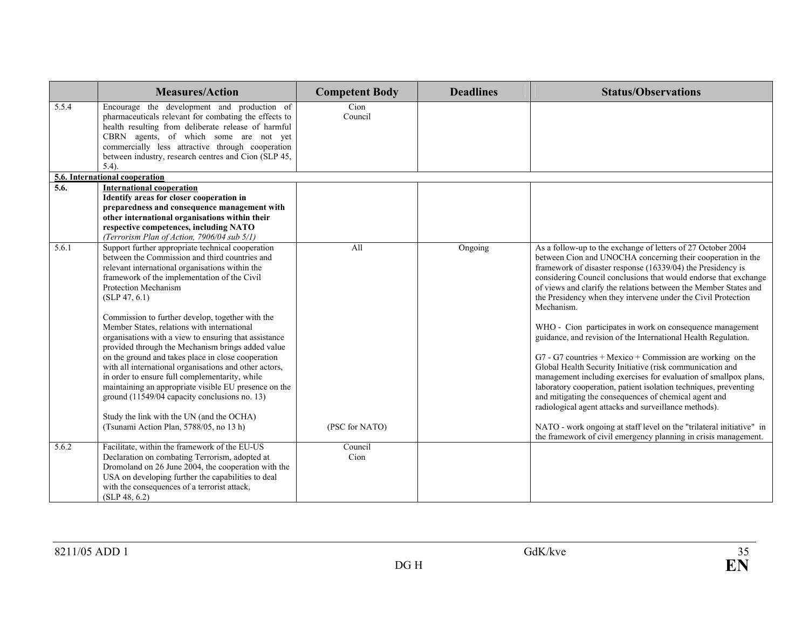|                    | <b>Measures/Action</b>                                                                                                                                                                                                                                                                                                                                                                                                                                                                                                                                                                                                                                                                                                                                                                                                               | <b>Competent Body</b> | <b>Deadlines</b> | <b>Status/Observations</b>                                                                                                                                                                                                                                                                                                                                                                                                                                                                                                                                                                                                                                                                                                                                                                                                                                                                                                                                                                                                                                                         |
|--------------------|--------------------------------------------------------------------------------------------------------------------------------------------------------------------------------------------------------------------------------------------------------------------------------------------------------------------------------------------------------------------------------------------------------------------------------------------------------------------------------------------------------------------------------------------------------------------------------------------------------------------------------------------------------------------------------------------------------------------------------------------------------------------------------------------------------------------------------------|-----------------------|------------------|------------------------------------------------------------------------------------------------------------------------------------------------------------------------------------------------------------------------------------------------------------------------------------------------------------------------------------------------------------------------------------------------------------------------------------------------------------------------------------------------------------------------------------------------------------------------------------------------------------------------------------------------------------------------------------------------------------------------------------------------------------------------------------------------------------------------------------------------------------------------------------------------------------------------------------------------------------------------------------------------------------------------------------------------------------------------------------|
| 5.5.4              | Encourage the development and production of<br>pharmaceuticals relevant for combating the effects to<br>health resulting from deliberate release of harmful<br>CBRN agents, of which some are not yet<br>commercially less attractive through cooperation<br>between industry, research centres and Cion (SLP 45,<br>$5.4$ ).                                                                                                                                                                                                                                                                                                                                                                                                                                                                                                        | Cion.<br>Council      |                  |                                                                                                                                                                                                                                                                                                                                                                                                                                                                                                                                                                                                                                                                                                                                                                                                                                                                                                                                                                                                                                                                                    |
|                    | 5.6. International cooperation                                                                                                                                                                                                                                                                                                                                                                                                                                                                                                                                                                                                                                                                                                                                                                                                       |                       |                  |                                                                                                                                                                                                                                                                                                                                                                                                                                                                                                                                                                                                                                                                                                                                                                                                                                                                                                                                                                                                                                                                                    |
| $\overline{5.6}$ . | <b>International cooperation</b><br><b>Identify areas for closer cooperation in</b><br>preparedness and consequence management with<br>other international organisations within their<br>respective competences, including NATO<br>(Terrorism Plan of Action, 7906/04 sub 5/1)                                                                                                                                                                                                                                                                                                                                                                                                                                                                                                                                                       |                       |                  |                                                                                                                                                                                                                                                                                                                                                                                                                                                                                                                                                                                                                                                                                                                                                                                                                                                                                                                                                                                                                                                                                    |
| 5.6.1              | Support further appropriate technical cooperation<br>between the Commission and third countries and<br>relevant international organisations within the<br>framework of the implementation of the Civil<br>Protection Mechanism<br>(SLP 47, 6.1)<br>Commission to further develop, together with the<br>Member States, relations with international<br>organisations with a view to ensuring that assistance<br>provided through the Mechanism brings added value<br>on the ground and takes place in close cooperation<br>with all international organisations and other actors,<br>in order to ensure full complementarity, while<br>maintaining an appropriate visible EU presence on the<br>ground (11549/04 capacity conclusions no. 13)<br>Study the link with the UN (and the OCHA)<br>(Tsunami Action Plan, 5788/05, no 13 h) | All<br>(PSC for NATO) | Ongoing          | As a follow-up to the exchange of letters of 27 October 2004<br>between Cion and UNOCHA concerning their cooperation in the<br>framework of disaster response (16339/04) the Presidency is<br>considering Council conclusions that would endorse that exchange<br>of views and clarify the relations between the Member States and<br>the Presidency when they intervene under the Civil Protection<br>Mechanism.<br>WHO - Cion participates in work on consequence management<br>guidance, and revision of the International Health Regulation.<br>$G7 - G7$ countries + Mexico + Commission are working on the<br>Global Health Security Initiative (risk communication and<br>management including exercises for evaluation of smallpox plans,<br>laboratory cooperation, patient isolation techniques, preventing<br>and mitigating the consequences of chemical agent and<br>radiological agent attacks and surveillance methods).<br>NATO - work ongoing at staff level on the "trilateral initiative" in<br>the framework of civil emergency planning in crisis management. |
| 5.6.2              | Facilitate, within the framework of the EU-US<br>Declaration on combating Terrorism, adopted at<br>Dromoland on 26 June 2004, the cooperation with the<br>USA on developing further the capabilities to deal<br>with the consequences of a terrorist attack,<br>(SLP 48, 6.2)                                                                                                                                                                                                                                                                                                                                                                                                                                                                                                                                                        | Council<br>Cion       |                  |                                                                                                                                                                                                                                                                                                                                                                                                                                                                                                                                                                                                                                                                                                                                                                                                                                                                                                                                                                                                                                                                                    |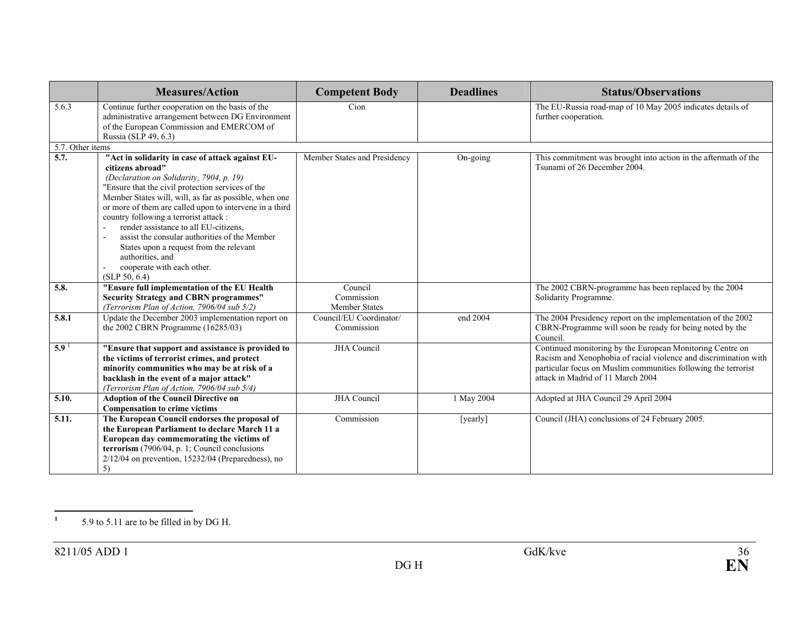|                    | <b>Measures/Action</b>                                                                                                                                                                                                                                                                                                                                                                                                                                                                                                                       | <b>Competent Body</b>                         | <b>Deadlines</b> | <b>Status/Observations</b>                                                                                                                                                                                                           |
|--------------------|----------------------------------------------------------------------------------------------------------------------------------------------------------------------------------------------------------------------------------------------------------------------------------------------------------------------------------------------------------------------------------------------------------------------------------------------------------------------------------------------------------------------------------------------|-----------------------------------------------|------------------|--------------------------------------------------------------------------------------------------------------------------------------------------------------------------------------------------------------------------------------|
| 5.6.3              | Continue further cooperation on the basis of the<br>administrative arrangement between DG Environment<br>of the European Commission and EMERCOM of<br>Russia (SLP 49, 6.3)                                                                                                                                                                                                                                                                                                                                                                   | Cion.                                         |                  | The EU-Russia road-map of 10 May 2005 indicates details of<br>further cooperation.                                                                                                                                                   |
| 5.7. Other items   |                                                                                                                                                                                                                                                                                                                                                                                                                                                                                                                                              |                                               |                  |                                                                                                                                                                                                                                      |
| $\overline{5.7}$ . | "Act in solidarity in case of attack against EU-<br>citizens abroad"<br>(Declaration on Solidarity, 7904, p. 19)<br>"Ensure that the civil protection services of the<br>Member States will, will, as far as possible, when one<br>or more of them are called upon to intervene in a third<br>country following a terrorist attack :<br>render assistance to all EU-citizens.<br>assist the consular authorities of the Member<br>States upon a request from the relevant<br>authorities, and<br>cooperate with each other.<br>(SLP 50, 6.4) | Member States and Presidency                  | On-going         | This commitment was brought into action in the aftermath of the<br>Tsunami of 26 December 2004.                                                                                                                                      |
| 5.8.               | "Ensure full implementation of the EU Health<br><b>Security Strategy and CBRN programmes"</b><br>(Terrorism Plan of Action, 7906/04 sub 5/2)                                                                                                                                                                                                                                                                                                                                                                                                 | Council<br>Commission<br><b>Member States</b> |                  | The 2002 CBRN-programme has been replaced by the 2004<br>Solidarity Programme.                                                                                                                                                       |
| 5.8.1              | Update the December 2003 implementation report on<br>the 2002 CBRN Programme (16285/03)                                                                                                                                                                                                                                                                                                                                                                                                                                                      | Council/EU Coordinator/<br>Commission         | end 2004         | The 2004 Presidency report on the implementation of the 2002<br>CBRN-Programme will soon be ready for being noted by the<br>Council.                                                                                                 |
| 5.9 <sup>1</sup>   | "Ensure that support and assistance is provided to<br>the victims of terrorist crimes, and protect<br>minority communities who may be at risk of a<br>backlash in the event of a major attack"<br>(Terrorism Plan of Action, 7906/04 sub 5/4)                                                                                                                                                                                                                                                                                                | JHA Council                                   |                  | Continued monitoring by the European Monitoring Centre on<br>Racism and Xenophobia of racial violence and discrimination with<br>particular focus on Muslim communities following the terrorist<br>attack in Madrid of 11 March 2004 |
| 5.10.              | <b>Adoption of the Council Directive on</b><br><b>Compensation to crime victims</b>                                                                                                                                                                                                                                                                                                                                                                                                                                                          | <b>JHA</b> Council                            | 1 May 2004       | Adopted at JHA Council 29 April 2004                                                                                                                                                                                                 |
| 5.11.              | The European Council endorses the proposal of<br>the European Parliament to declare March 11 a<br>European day commemorating the victims of<br>terrorism (7906/04, p. 1; Council conclusions<br>$2/12/04$ on prevention, 15232/04 (Preparedness), no<br>5)                                                                                                                                                                                                                                                                                   | Commission                                    | [yearly]         | Council (JHA) conclusions of 24 February 2005.                                                                                                                                                                                       |

<sup>&</sup>lt;sup>1</sup> 5.9 to 5.11 are to be filled in by DG H.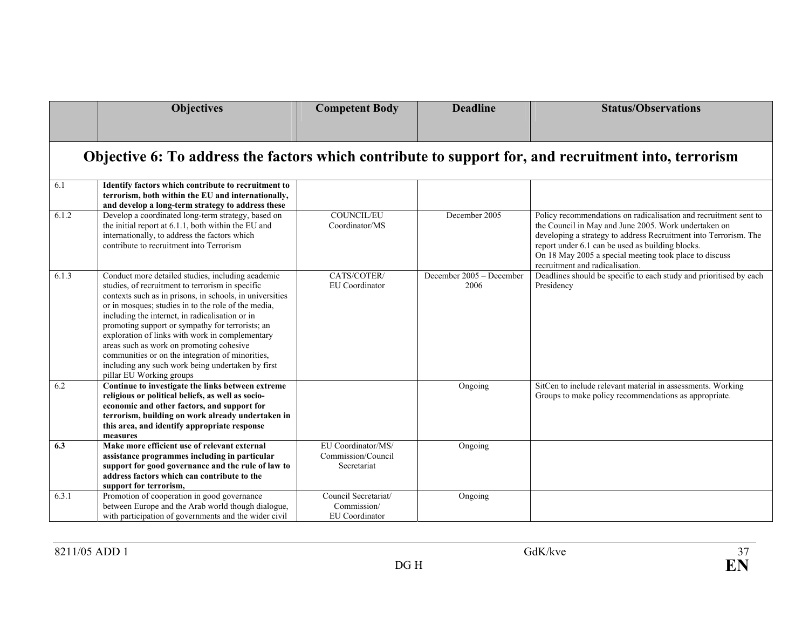|       | <b>Objectives</b>                                                                                       | <b>Competent Body</b>                    | <b>Deadline</b>                  | <b>Status/Observations</b>                                                                                           |  |  |
|-------|---------------------------------------------------------------------------------------------------------|------------------------------------------|----------------------------------|----------------------------------------------------------------------------------------------------------------------|--|--|
|       |                                                                                                         |                                          |                                  |                                                                                                                      |  |  |
|       |                                                                                                         |                                          |                                  |                                                                                                                      |  |  |
|       | Objective 6: To address the factors which contribute to support for, and recruitment into, terrorism    |                                          |                                  |                                                                                                                      |  |  |
|       |                                                                                                         |                                          |                                  |                                                                                                                      |  |  |
| 6.1   | Identify factors which contribute to recruitment to                                                     |                                          |                                  |                                                                                                                      |  |  |
|       | terrorism, both within the EU and internationally,<br>and develop a long-term strategy to address these |                                          |                                  |                                                                                                                      |  |  |
| 6.1.2 | Develop a coordinated long-term strategy, based on                                                      | <b>COUNCIL/EU</b>                        | December 2005                    | Policy recommendations on radicalisation and recruitment sent to                                                     |  |  |
|       | the initial report at 6.1.1, both within the EU and                                                     | Coordinator/MS                           |                                  | the Council in May and June 2005. Work undertaken on                                                                 |  |  |
|       | internationally, to address the factors which<br>contribute to recruitment into Terrorism               |                                          |                                  | developing a strategy to address Recruitment into Terrorism. The<br>report under 6.1 can be used as building blocks. |  |  |
|       |                                                                                                         |                                          |                                  | On 18 May 2005 a special meeting took place to discuss                                                               |  |  |
|       |                                                                                                         |                                          |                                  | recruitment and radicalisation.                                                                                      |  |  |
| 6.1.3 | Conduct more detailed studies, including academic<br>studies, of recruitment to terrorism in specific   | CATS/COTER/<br><b>EU</b> Coordinator     | December 2005 - December<br>2006 | Deadlines should be specific to each study and prioritised by each<br>Presidency                                     |  |  |
|       | contexts such as in prisons, in schools, in universities                                                |                                          |                                  |                                                                                                                      |  |  |
|       | or in mosques; studies in to the role of the media,                                                     |                                          |                                  |                                                                                                                      |  |  |
|       | including the internet, in radicalisation or in<br>promoting support or sympathy for terrorists; an     |                                          |                                  |                                                                                                                      |  |  |
|       | exploration of links with work in complementary                                                         |                                          |                                  |                                                                                                                      |  |  |
|       | areas such as work on promoting cohesive                                                                |                                          |                                  |                                                                                                                      |  |  |
|       | communities or on the integration of minorities,<br>including any such work being undertaken by first   |                                          |                                  |                                                                                                                      |  |  |
|       | pillar EU Working groups                                                                                |                                          |                                  |                                                                                                                      |  |  |
| 6.2   | Continue to investigate the links between extreme                                                       |                                          | Ongoing                          | SitCen to include relevant material in assessments. Working                                                          |  |  |
|       | religious or political beliefs, as well as socio-                                                       |                                          |                                  | Groups to make policy recommendations as appropriate.                                                                |  |  |
|       | economic and other factors, and support for<br>terrorism, building on work already undertaken in        |                                          |                                  |                                                                                                                      |  |  |
|       | this area, and identify appropriate response                                                            |                                          |                                  |                                                                                                                      |  |  |
|       | measures                                                                                                |                                          |                                  |                                                                                                                      |  |  |
| 6.3   | Make more efficient use of relevant external<br>assistance programmes including in particular           | EU Coordinator/MS/<br>Commission/Council | Ongoing                          |                                                                                                                      |  |  |
|       | support for good governance and the rule of law to                                                      | Secretariat                              |                                  |                                                                                                                      |  |  |
|       | address factors which can contribute to the                                                             |                                          |                                  |                                                                                                                      |  |  |
| 6.3.1 | support for terrorism,<br>Promotion of cooperation in good governance                                   | Council Secretariat/                     |                                  |                                                                                                                      |  |  |
|       | between Europe and the Arab world though dialogue,                                                      | Commission/                              | Ongoing                          |                                                                                                                      |  |  |
|       | with participation of governments and the wider civil                                                   | <b>EU</b> Coordinator                    |                                  |                                                                                                                      |  |  |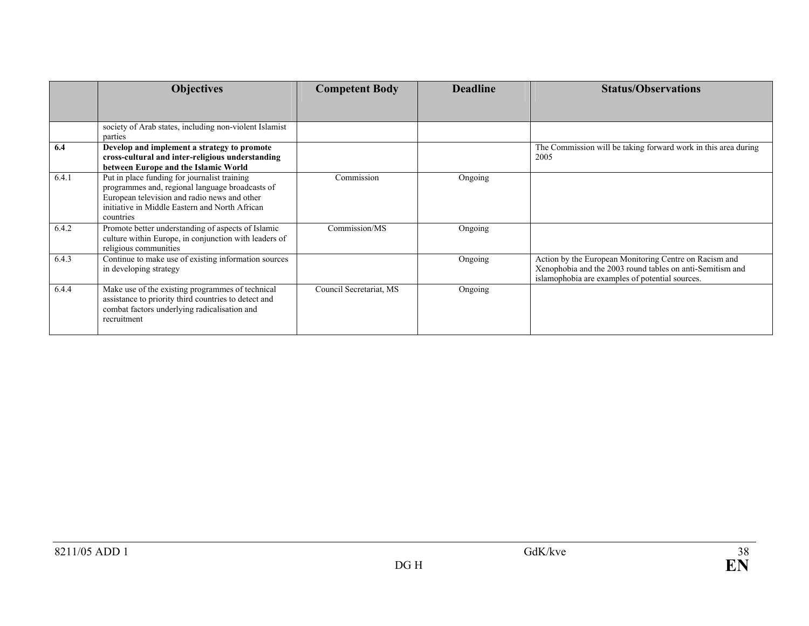|       | <b>Objectives</b>                                                                                                                                                                                              | <b>Competent Body</b>   | <b>Deadline</b> | <b>Status/Observations</b>                                                                                                                                             |
|-------|----------------------------------------------------------------------------------------------------------------------------------------------------------------------------------------------------------------|-------------------------|-----------------|------------------------------------------------------------------------------------------------------------------------------------------------------------------------|
|       |                                                                                                                                                                                                                |                         |                 |                                                                                                                                                                        |
|       | society of Arab states, including non-violent Islamist<br>parties                                                                                                                                              |                         |                 |                                                                                                                                                                        |
| 6.4   | Develop and implement a strategy to promote<br>cross-cultural and inter-religious understanding<br>between Europe and the Islamic World                                                                        |                         |                 | The Commission will be taking forward work in this area during<br>2005                                                                                                 |
| 6.4.1 | Put in place funding for journalist training<br>programmes and, regional language broadcasts of<br>European television and radio news and other<br>initiative in Middle Eastern and North African<br>countries | Commission              | Ongoing         |                                                                                                                                                                        |
| 6.4.2 | Promote better understanding of aspects of Islamic<br>culture within Europe, in conjunction with leaders of<br>religious communities                                                                           | Commission/MS           | Ongoing         |                                                                                                                                                                        |
| 6.4.3 | Continue to make use of existing information sources<br>in developing strategy                                                                                                                                 |                         | Ongoing         | Action by the European Monitoring Centre on Racism and<br>Xenophobia and the 2003 round tables on anti-Semitism and<br>islamophobia are examples of potential sources. |
| 6.4.4 | Make use of the existing programmes of technical<br>assistance to priority third countries to detect and<br>combat factors underlying radicalisation and<br>recruitment                                        | Council Secretariat, MS | Ongoing         |                                                                                                                                                                        |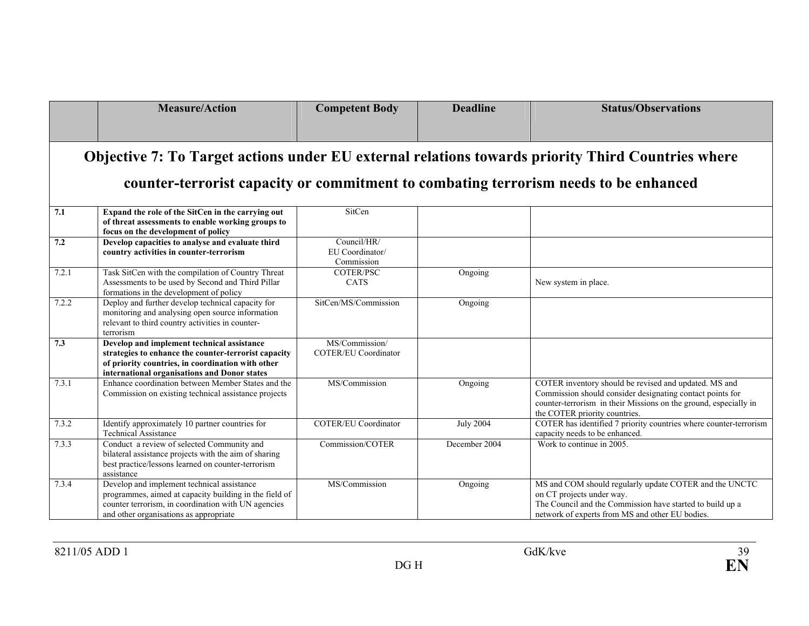|                                                                                                                                                                                           | <b>Measure/Action</b>                                                                                                                                                                                   | <b>Competent Body</b>                         | <b>Deadline</b>  | <b>Status/Observations</b>                                                                                                                                                                                              |
|-------------------------------------------------------------------------------------------------------------------------------------------------------------------------------------------|---------------------------------------------------------------------------------------------------------------------------------------------------------------------------------------------------------|-----------------------------------------------|------------------|-------------------------------------------------------------------------------------------------------------------------------------------------------------------------------------------------------------------------|
|                                                                                                                                                                                           |                                                                                                                                                                                                         |                                               |                  |                                                                                                                                                                                                                         |
| Objective 7: To Target actions under EU external relations towards priority Third Countries where<br>counter-terrorist capacity or commitment to combating terrorism needs to be enhanced |                                                                                                                                                                                                         |                                               |                  |                                                                                                                                                                                                                         |
| 7.1                                                                                                                                                                                       | Expand the role of the SitCen in the carrying out<br>of threat assessments to enable working groups to<br>focus on the development of policy                                                            | SitCen                                        |                  |                                                                                                                                                                                                                         |
| 7.2                                                                                                                                                                                       | Develop capacities to analyse and evaluate third<br>country activities in counter-terrorism                                                                                                             | Council/HR/<br>EU Coordinator/<br>Commission  |                  |                                                                                                                                                                                                                         |
| 7.2.1                                                                                                                                                                                     | Task SitCen with the compilation of Country Threat<br>Assessments to be used by Second and Third Pillar<br>formations in the development of policy                                                      | COTER/PSC<br>CATS                             | Ongoing          | New system in place.                                                                                                                                                                                                    |
| 7.2.2                                                                                                                                                                                     | Deploy and further develop technical capacity for<br>monitoring and analysing open source information<br>relevant to third country activities in counter-<br>terrorism                                  | SitCen/MS/Commission                          | Ongoing          |                                                                                                                                                                                                                         |
| 7.3                                                                                                                                                                                       | Develop and implement technical assistance<br>strategies to enhance the counter-terrorist capacity<br>of priority countries, in coordination with other<br>international organisations and Donor states | MS/Commission/<br><b>COTER/EU Coordinator</b> |                  |                                                                                                                                                                                                                         |
| 7.3.1                                                                                                                                                                                     | Enhance coordination between Member States and the<br>Commission on existing technical assistance projects                                                                                              | MS/Commission                                 | Ongoing          | COTER inventory should be revised and updated. MS and<br>Commission should consider designating contact points for<br>counter-terrorism in their Missions on the ground, especially in<br>the COTER priority countries. |
| 7.3.2                                                                                                                                                                                     | Identify approximately 10 partner countries for<br><b>Technical Assistance</b>                                                                                                                          | <b>COTER/EU Coordinator</b>                   | <b>July 2004</b> | COTER has identified 7 priority countries where counter-terrorism<br>capacity needs to be enhanced.                                                                                                                     |
| 7.3.3                                                                                                                                                                                     | Conduct a review of selected Community and<br>bilateral assistance projects with the aim of sharing<br>best practice/lessons learned on counter-terrorism<br>assistance                                 | Commission/COTER                              | December 2004    | Work to continue in 2005.                                                                                                                                                                                               |
| 7.3.4                                                                                                                                                                                     | Develop and implement technical assistance<br>programmes, aimed at capacity building in the field of<br>counter terrorism, in coordination with UN agencies<br>and other organisations as appropriate   | MS/Commission                                 | Ongoing          | MS and COM should regularly update COTER and the UNCTC<br>on CT projects under way.<br>The Council and the Commission have started to build up a<br>network of experts from MS and other EU bodies.                     |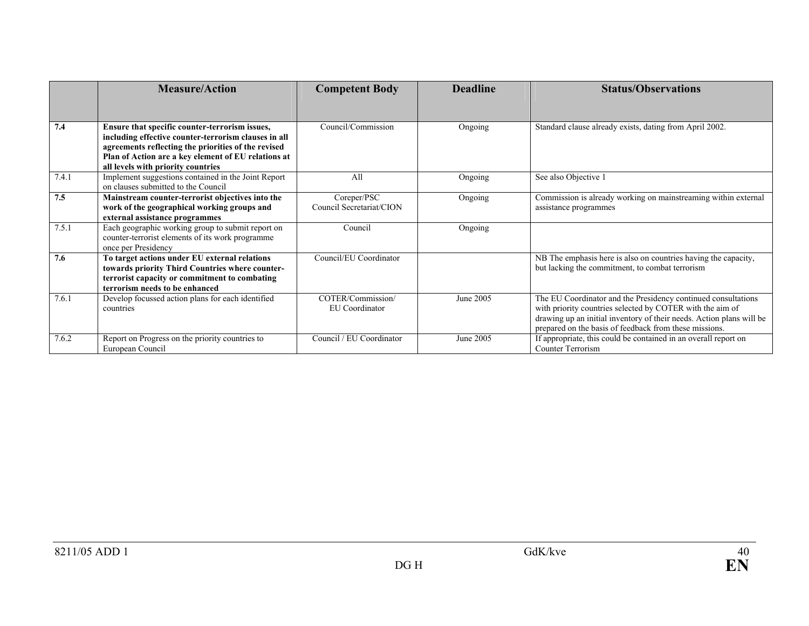|       | <b>Measure/Action</b>                                                                                                                                                                                                                                      | <b>Competent Body</b>                   | <b>Deadline</b> | <b>Status/Observations</b>                                                                                                                                                                                                                                   |
|-------|------------------------------------------------------------------------------------------------------------------------------------------------------------------------------------------------------------------------------------------------------------|-----------------------------------------|-----------------|--------------------------------------------------------------------------------------------------------------------------------------------------------------------------------------------------------------------------------------------------------------|
|       |                                                                                                                                                                                                                                                            |                                         |                 |                                                                                                                                                                                                                                                              |
| 7.4   | Ensure that specific counter-terrorism issues,<br>including effective counter-terrorism clauses in all<br>agreements reflecting the priorities of the revised<br>Plan of Action are a key element of EU relations at<br>all levels with priority countries | Council/Commission                      | Ongoing         | Standard clause already exists, dating from April 2002.                                                                                                                                                                                                      |
| 7.4.1 | Implement suggestions contained in the Joint Report<br>on clauses submitted to the Council                                                                                                                                                                 | All                                     | Ongoing         | See also Objective 1                                                                                                                                                                                                                                         |
| 7.5   | Mainstream counter-terrorist objectives into the<br>work of the geographical working groups and<br>external assistance programmes                                                                                                                          | Coreper/PSC<br>Council Secretariat/CION | Ongoing         | Commission is already working on mainstreaming within external<br>assistance programmes                                                                                                                                                                      |
| 7.5.1 | Each geographic working group to submit report on<br>counter-terrorist elements of its work programme<br>once per Presidency                                                                                                                               | Council                                 | Ongoing         |                                                                                                                                                                                                                                                              |
| 7.6   | To target actions under EU external relations<br>towards priority Third Countries where counter-<br>terrorist capacity or commitment to combating<br>terrorism needs to be enhanced                                                                        | Council/EU Coordinator                  |                 | NB The emphasis here is also on countries having the capacity,<br>but lacking the commitment, to combat terrorism                                                                                                                                            |
| 7.6.1 | Develop focussed action plans for each identified<br>countries                                                                                                                                                                                             | COTER/Commission/<br>EU Coordinator     | June 2005       | The EU Coordinator and the Presidency continued consultations<br>with priority countries selected by COTER with the aim of<br>drawing up an initial inventory of their needs. Action plans will be<br>prepared on the basis of feedback from these missions. |
| 7.6.2 | Report on Progress on the priority countries to<br>European Council                                                                                                                                                                                        | Council / EU Coordinator                | June 2005       | If appropriate, this could be contained in an overall report on<br>Counter Terrorism                                                                                                                                                                         |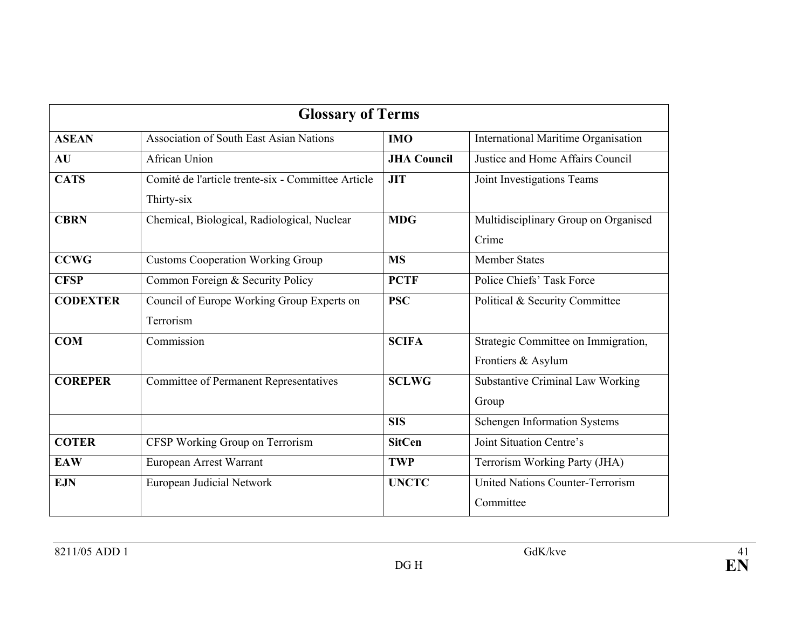| <b>Glossary of Terms</b> |                                                    |                    |                                         |
|--------------------------|----------------------------------------------------|--------------------|-----------------------------------------|
| <b>ASEAN</b>             | <b>Association of South East Asian Nations</b>     | <b>IMO</b>         | International Maritime Organisation     |
| AU                       | <b>African Union</b>                               | <b>JHA Council</b> | Justice and Home Affairs Council        |
| <b>CATS</b>              | Comité de l'article trente-six - Committee Article | <b>JIT</b>         | Joint Investigations Teams              |
|                          | Thirty-six                                         |                    |                                         |
| <b>CBRN</b>              | Chemical, Biological, Radiological, Nuclear        | <b>MDG</b>         | Multidisciplinary Group on Organised    |
|                          |                                                    |                    | Crime                                   |
| <b>CCWG</b>              | <b>Customs Cooperation Working Group</b>           | <b>MS</b>          | <b>Member States</b>                    |
| <b>CFSP</b>              | Common Foreign & Security Policy                   | <b>PCTF</b>        | Police Chiefs' Task Force               |
| <b>CODEXTER</b>          | Council of Europe Working Group Experts on         | <b>PSC</b>         | Political & Security Committee          |
|                          | Terrorism                                          |                    |                                         |
| <b>COM</b>               | Commission                                         | <b>SCIFA</b>       | Strategic Committee on Immigration,     |
|                          |                                                    |                    | Frontiers & Asylum                      |
| <b>COREPER</b>           | <b>Committee of Permanent Representatives</b>      | <b>SCLWG</b>       | Substantive Criminal Law Working        |
|                          |                                                    |                    | Group                                   |
|                          |                                                    | <b>SIS</b>         | Schengen Information Systems            |
| <b>COTER</b>             | CFSP Working Group on Terrorism                    | <b>SitCen</b>      | Joint Situation Centre's                |
| <b>EAW</b>               | European Arrest Warrant                            | <b>TWP</b>         | Terrorism Working Party (JHA)           |
| <b>EJN</b>               | European Judicial Network                          | <b>UNCTC</b>       | <b>United Nations Counter-Terrorism</b> |
|                          |                                                    |                    | Committee                               |